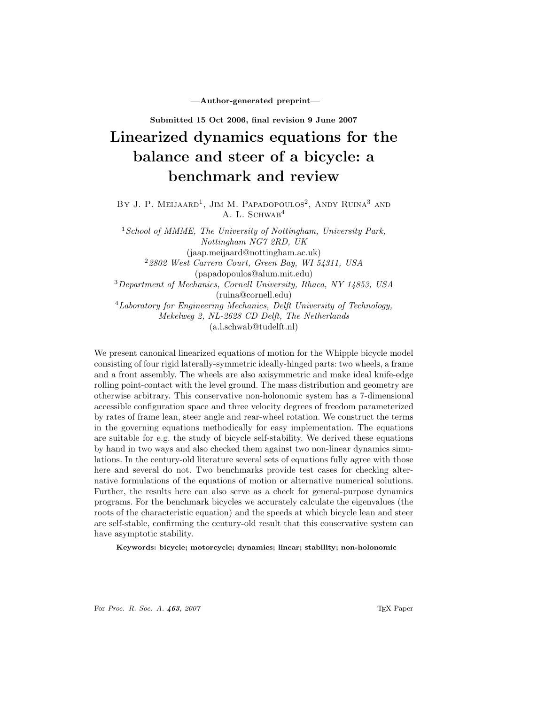—Author-generated preprint—

Submitted 15 Oct 2006, final revision 9 June 2007

# Linearized dynamics equations for the balance and steer of a bicycle: a benchmark and review

BY J. P. MEIJAARD<sup>1</sup>, JIM M. PAPADOPOULOS<sup>2</sup>, ANDY RUINA<sup>3</sup> AND A. L. SCHWAB<sup>4</sup>

 $1$  School of MMME, The University of Nottingham, University Park, Nottingham NG7 2RD, UK (jaap.meijaard@nottingham.ac.uk)  $22802$  West Carrera Court, Green Bay, WI 54311, USA (papadopoulos@alum.mit.edu) <sup>3</sup>Department of Mechanics, Cornell University, Ithaca, NY 14853, USA (ruina@cornell.edu) <sup>4</sup>Laboratory for Engineering Mechanics, Delft University of Technology, Mekelweg 2, NL-2628 CD Delft, The Netherlands (a.l.schwab@tudelft.nl)

We present canonical linearized equations of motion for the Whipple bicycle model consisting of four rigid laterally-symmetric ideally-hinged parts: two wheels, a frame and a front assembly. The wheels are also axisymmetric and make ideal knife-edge rolling point-contact with the level ground. The mass distribution and geometry are otherwise arbitrary. This conservative non-holonomic system has a 7-dimensional accessible configuration space and three velocity degrees of freedom parameterized by rates of frame lean, steer angle and rear-wheel rotation. We construct the terms in the governing equations methodically for easy implementation. The equations are suitable for e.g. the study of bicycle self-stability. We derived these equations by hand in two ways and also checked them against two non-linear dynamics simulations. In the century-old literature several sets of equations fully agree with those here and several do not. Two benchmarks provide test cases for checking alternative formulations of the equations of motion or alternative numerical solutions. Further, the results here can also serve as a check for general-purpose dynamics programs. For the benchmark bicycles we accurately calculate the eigenvalues (the roots of the characteristic equation) and the speeds at which bicycle lean and steer are self-stable, confirming the century-old result that this conservative system can have asymptotic stability.

Keywords: bicycle; motorcycle; dynamics; linear; stability; non-holonomic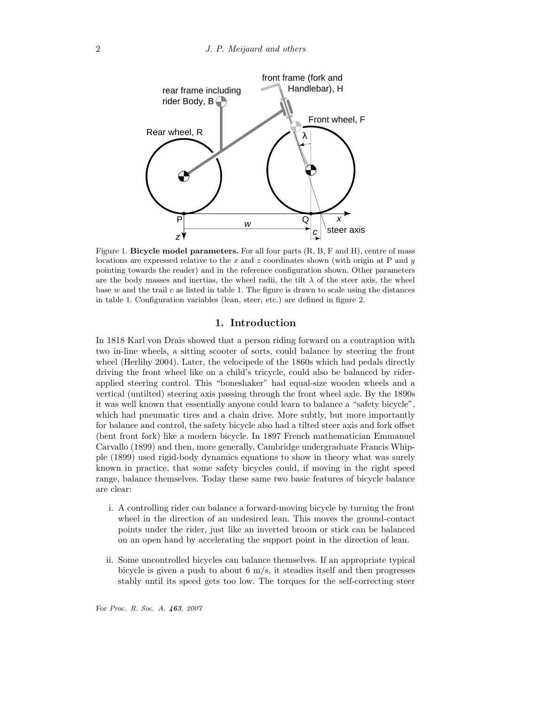

Figure 1. Bicycle model parameters. For all four parts  $(R, B, F, F)$  and H), centre of mass locations are expressed relative to the x and z coordinates shown (with origin at P and  $y$ pointing towards the reader) and in the reference configuration shown. Other parameters are the body masses and inertias, the wheel radii, the tilt  $\lambda$  of the steer axis, the wheel base  $w$  and the trail  $c$  as listed in table 1. The figure is drawn to scale using the distances in table 1. Configuration variables (lean, steer, etc.) are defined in figure 2.

# 1. Introduction

In 1818 Karl von Drais showed that a person riding forward on a contraption with two in-line wheels, a sitting scooter of sorts, could balance by steering the front wheel (Herlihy 2004). Later, the velocipede of the 1860s which had pedals directly driving the front wheel like on a child's tricycle, could also be balanced by riderapplied steering control. This "boneshaker" had equal-size wooden wheels and a vertical (untilted) steering axis passing through the front wheel axle. By the 1890s it was well known that essentially anyone could learn to balance a "safety bicycle", which had pneumatic tires and a chain drive. More subtly, but more importantly for balance and control, the safety bicycle also had a tilted steer axis and fork offset (bent front fork) like a modern bicycle. In 1897 French mathematician Emmanuel Carvallo (1899) and then, more generally, Cambridge undergraduate Francis Whipple (1899) used rigid-body dynamics equations to show in theory what was surely known in practice, that some safety bicycles could, if moving in the right speed range, balance themselves. Today these same two basic features of bicycle balance are clear:

- i. A controlling rider can balance a forward-moving bicycle by turning the front wheel in the direction of an undesired lean. This moves the ground-contact points under the rider, just like an inverted broom or stick can be balanced on an open hand by accelerating the support point in the direction of lean.
- ii. Some uncontrolled bicycles can balance themselves. If an appropriate typical bicycle is given a push to about 6 m/s, it steadies itself and then progresses stably until its speed gets too low. The torques for the self-correcting steer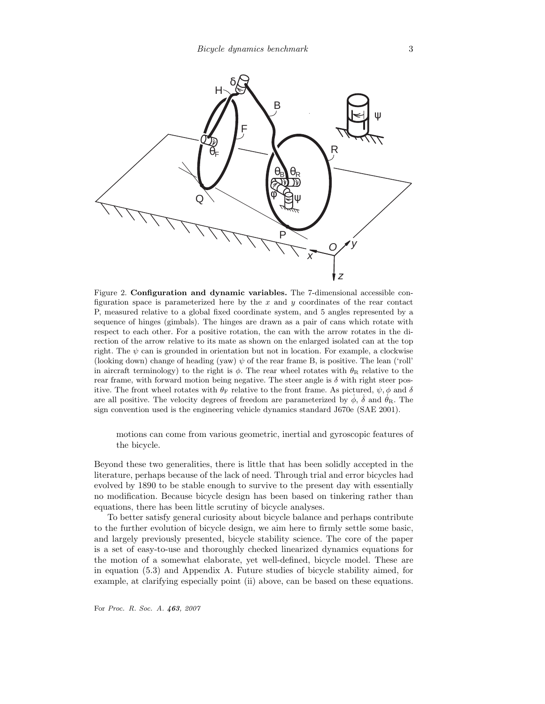

Figure 2. Configuration and dynamic variables. The 7-dimensional accessible configuration space is parameterized here by the  $x$  and  $y$  coordinates of the rear contact P, measured relative to a global fixed coordinate system, and 5 angles represented by a sequence of hinges (gimbals). The hinges are drawn as a pair of cans which rotate with respect to each other. For a positive rotation, the can with the arrow rotates in the direction of the arrow relative to its mate as shown on the enlarged isolated can at the top right. The  $\psi$  can is grounded in orientation but not in location. For example, a clockwise (looking down) change of heading (yaw)  $\psi$  of the rear frame B, is positive. The lean ('roll' in aircraft terminology) to the right is  $\phi$ . The rear wheel rotates with  $\theta_R$  relative to the rear frame, with forward motion being negative. The steer angle is  $\delta$  with right steer positive. The front wheel rotates with  $\theta_F$  relative to the front frame. As pictured,  $\psi, \phi$  and  $\delta$ are all positive. The velocity degrees of freedom are parameterized by  $\dot{\phi}$ ,  $\dot{\delta}$  and  $\dot{\theta}_R$ . The sign convention used is the engineering vehicle dynamics standard J670e (SAE 2001).

motions can come from various geometric, inertial and gyroscopic features of the bicycle.

Beyond these two generalities, there is little that has been solidly accepted in the literature, perhaps because of the lack of need. Through trial and error bicycles had evolved by 1890 to be stable enough to survive to the present day with essentially no modification. Because bicycle design has been based on tinkering rather than equations, there has been little scrutiny of bicycle analyses.

To better satisfy general curiosity about bicycle balance and perhaps contribute to the further evolution of bicycle design, we aim here to firmly settle some basic, and largely previously presented, bicycle stability science. The core of the paper is a set of easy-to-use and thoroughly checked linearized dynamics equations for the motion of a somewhat elaborate, yet well-defined, bicycle model. These are in equation (5.3) and Appendix A. Future studies of bicycle stability aimed, for example, at clarifying especially point (ii) above, can be based on these equations.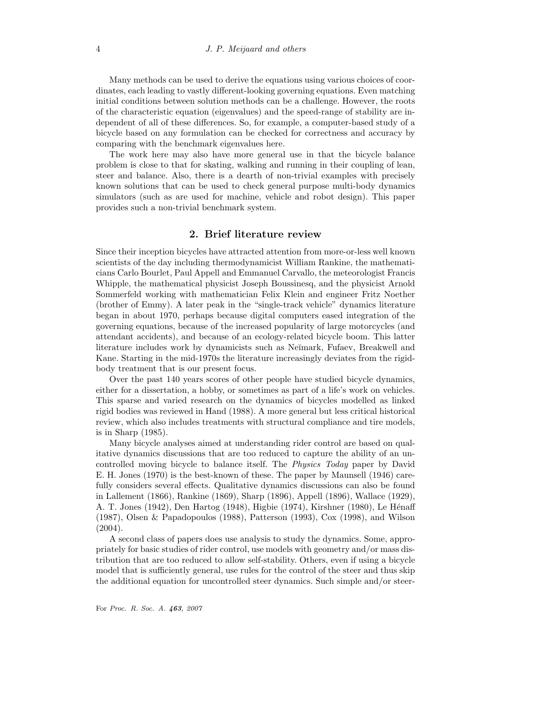Many methods can be used to derive the equations using various choices of coordinates, each leading to vastly different-looking governing equations. Even matching initial conditions between solution methods can be a challenge. However, the roots of the characteristic equation (eigenvalues) and the speed-range of stability are independent of all of these differences. So, for example, a computer-based study of a bicycle based on any formulation can be checked for correctness and accuracy by comparing with the benchmark eigenvalues here.

The work here may also have more general use in that the bicycle balance problem is close to that for skating, walking and running in their coupling of lean, steer and balance. Also, there is a dearth of non-trivial examples with precisely known solutions that can be used to check general purpose multi-body dynamics simulators (such as are used for machine, vehicle and robot design). This paper provides such a non-trivial benchmark system.

# 2. Brief literature review

Since their inception bicycles have attracted attention from more-or-less well known scientists of the day including thermodynamicist William Rankine, the mathematicians Carlo Bourlet, Paul Appell and Emmanuel Carvallo, the meteorologist Francis Whipple, the mathematical physicist Joseph Boussinesq, and the physicist Arnold Sommerfeld working with mathematician Felix Klein and engineer Fritz Noether (brother of Emmy). A later peak in the "single-track vehicle" dynamics literature began in about 1970, perhaps because digital computers eased integration of the governing equations, because of the increased popularity of large motorcycles (and attendant accidents), and because of an ecology-related bicycle boom. This latter literature includes work by dynamicists such as Neĭmark, Fufaev, Breakwell and Kane. Starting in the mid-1970s the literature increasingly deviates from the rigidbody treatment that is our present focus.

Over the past 140 years scores of other people have studied bicycle dynamics, either for a dissertation, a hobby, or sometimes as part of a life's work on vehicles. This sparse and varied research on the dynamics of bicycles modelled as linked rigid bodies was reviewed in Hand (1988). A more general but less critical historical review, which also includes treatments with structural compliance and tire models, is in Sharp (1985).

Many bicycle analyses aimed at understanding rider control are based on qualitative dynamics discussions that are too reduced to capture the ability of an uncontrolled moving bicycle to balance itself. The Physics Today paper by David E. H. Jones (1970) is the best-known of these. The paper by Maunsell (1946) carefully considers several effects. Qualitative dynamics discussions can also be found in Lallement (1866), Rankine (1869), Sharp (1896), Appell (1896), Wallace (1929), A. T. Jones (1942), Den Hartog (1948), Higbie (1974), Kirshner (1980), Le Hénaff (1987), Olsen & Papadopoulos (1988), Patterson (1993), Cox (1998), and Wilson (2004).

A second class of papers does use analysis to study the dynamics. Some, appropriately for basic studies of rider control, use models with geometry and/or mass distribution that are too reduced to allow self-stability. Others, even if using a bicycle model that is sufficiently general, use rules for the control of the steer and thus skip the additional equation for uncontrolled steer dynamics. Such simple and/or steer-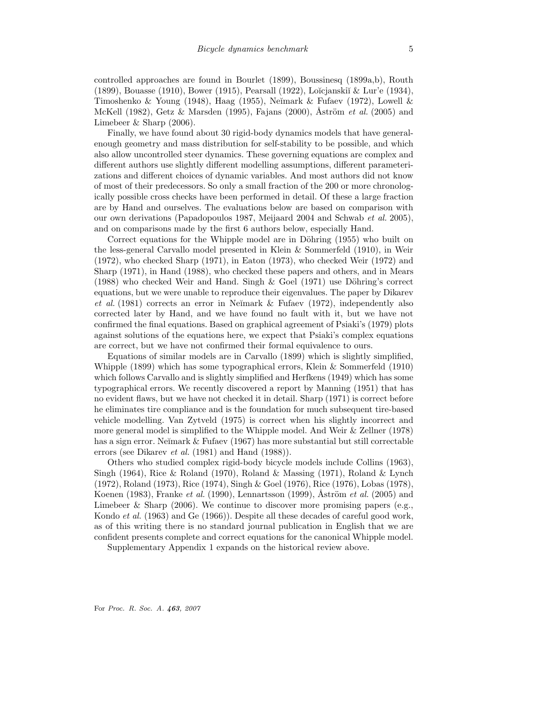controlled approaches are found in Bourlet (1899), Boussinesq (1899a,b), Routh (1899), Bouasse (1910), Bower (1915), Pearsall (1922), Lo˘ıcjanski˘ı & Lur'e (1934), Timoshenko & Young (1948), Haag (1955), Neĭmark & Fufaev (1972), Lowell & McKell (1982), Getz & Marsden (1995), Fajans (2000), Åström et al. (2005) and Limebeer & Sharp (2006).

Finally, we have found about 30 rigid-body dynamics models that have generalenough geometry and mass distribution for self-stability to be possible, and which also allow uncontrolled steer dynamics. These governing equations are complex and different authors use slightly different modelling assumptions, different parameterizations and different choices of dynamic variables. And most authors did not know of most of their predecessors. So only a small fraction of the 200 or more chronologically possible cross checks have been performed in detail. Of these a large fraction are by Hand and ourselves. The evaluations below are based on comparison with our own derivations (Papadopoulos 1987, Meijaard 2004 and Schwab et al. 2005), and on comparisons made by the first 6 authors below, especially Hand.

Correct equations for the Whipple model are in Döhring (1955) who built on the less-general Carvallo model presented in Klein & Sommerfeld (1910), in Weir (1972), who checked Sharp (1971), in Eaton (1973), who checked Weir (1972) and Sharp (1971), in Hand (1988), who checked these papers and others, and in Mears  $(1988)$  who checked Weir and Hand. Singh & Goel  $(1971)$  use Döhring's correct equations, but we were unable to reproduce their eigenvalues. The paper by Dikarev et al.  $(1981)$  corrects an error in Neĭmark & Fufaev  $(1972)$ , independently also corrected later by Hand, and we have found no fault with it, but we have not confirmed the final equations. Based on graphical agreement of Psiaki's (1979) plots against solutions of the equations here, we expect that Psiaki's complex equations are correct, but we have not confirmed their formal equivalence to ours.

Equations of similar models are in Carvallo (1899) which is slightly simplified, Whipple (1899) which has some typographical errors, Klein & Sommerfeld (1910) which follows Carvallo and is slightly simplified and Herfkens (1949) which has some typographical errors. We recently discovered a report by Manning (1951) that has no evident flaws, but we have not checked it in detail. Sharp (1971) is correct before he eliminates tire compliance and is the foundation for much subsequent tire-based vehicle modelling. Van Zytveld (1975) is correct when his slightly incorrect and more general model is simplified to the Whipple model. And Weir & Zellner (1978) has a sign error. Neĭmark & Fufaev (1967) has more substantial but still correctable errors (see Dikarev *et al.* (1981) and Hand  $(1988)$ ).

Others who studied complex rigid-body bicycle models include Collins (1963), Singh (1964), Rice & Roland (1970), Roland & Massing (1971), Roland & Lynch (1972), Roland (1973), Rice (1974), Singh & Goel (1976), Rice (1976), Lobas (1978), Koenen (1983), Franke *et al.* (1990), Lennartsson (1999), Aström *et al.* (2005) and Limebeer & Sharp  $(2006)$ . We continue to discover more promising papers (e.g., Kondo et al. (1963) and Ge (1966)). Despite all these decades of careful good work, as of this writing there is no standard journal publication in English that we are confident presents complete and correct equations for the canonical Whipple model.

Supplementary Appendix 1 expands on the historical review above.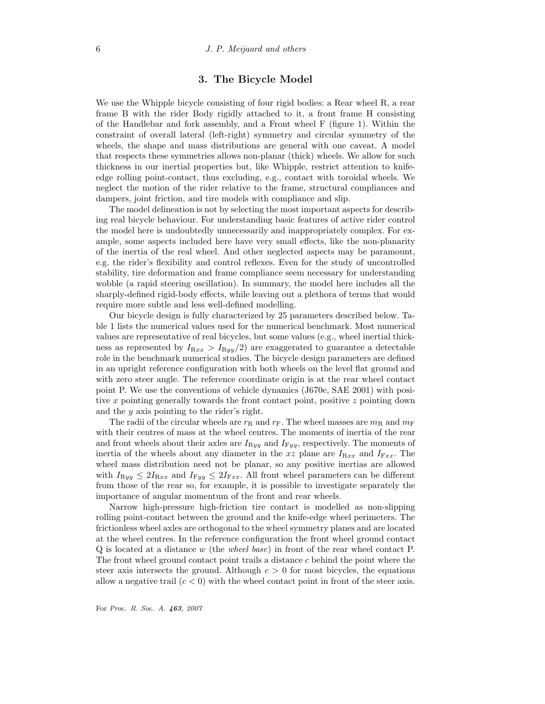# 3. The Bicycle Model

We use the Whipple bicycle consisting of four rigid bodies: a Rear wheel R, a rear frame B with the rider Body rigidly attached to it, a front frame H consisting of the Handlebar and fork assembly, and a Front wheel F (figure 1). Within the constraint of overall lateral (left-right) symmetry and circular symmetry of the wheels, the shape and mass distributions are general with one caveat. A model that respects these symmetries allows non-planar (thick) wheels. We allow for such thickness in our inertial properties but, like Whipple, restrict attention to knifeedge rolling point-contact, thus excluding, e.g., contact with toroidal wheels. We neglect the motion of the rider relative to the frame, structural compliances and dampers, joint friction, and tire models with compliance and slip.

The model delineation is not by selecting the most important aspects for describing real bicycle behaviour. For understanding basic features of active rider control the model here is undoubtedly unnecessarily and inappropriately complex. For example, some aspects included here have very small effects, like the non-planarity of the inertia of the real wheel. And other neglected aspects may be paramount, e.g. the rider's flexibility and control reflexes. Even for the study of uncontrolled stability, tire deformation and frame compliance seem necessary for understanding wobble (a rapid steering oscillation). In summary, the model here includes all the sharply-defined rigid-body effects, while leaving out a plethora of terms that would require more subtle and less well-defined modelling.

Our bicycle design is fully characterized by 25 parameters described below. Table 1 lists the numerical values used for the numerical benchmark. Most numerical values are representative of real bicycles, but some values (e.g., wheel inertial thickness as represented by  $I_{\text{Rxx}} > I_{\text{Ryy}}(2)$  are exaggerated to guarantee a detectable role in the benchmark numerical studies. The bicycle design parameters are defined in an upright reference configuration with both wheels on the level flat ground and with zero steer angle. The reference coordinate origin is at the rear wheel contact point P. We use the conventions of vehicle dynamics (J670e, SAE 2001) with positive x pointing generally towards the front contact point, positive z pointing down and the y axis pointing to the rider's right.

The radii of the circular wheels are  $r_R$  and  $r_F$ . The wheel masses are  $m_R$  and  $m_F$ with their centres of mass at the wheel centres. The moments of inertia of the rear and front wheels about their axles are  $I_{\mathrm{R}yy}$  and  $I_{\mathrm{F}yy}$ , respectively. The moments of inertia of the wheels about any diameter in the xz plane are  $I_{\text{R}xx}$  and  $I_{\text{F}xx}$ . The wheel mass distribution need not be planar, so any positive inertias are allowed with  $I_{\text{R}yy} \leq 2I_{\text{R}xx}$  and  $I_{\text{F}yy} \leq 2I_{\text{F}xx}$ . All front wheel parameters can be different from those of the rear so, for example, it is possible to investigate separately the importance of angular momentum of the front and rear wheels.

Narrow high-pressure high-friction tire contact is modelled as non-slipping rolling point-contact between the ground and the knife-edge wheel perimeters. The frictionless wheel axles are orthogonal to the wheel symmetry planes and are located at the wheel centres. In the reference configuration the front wheel ground contact Q is located at a distance w (the wheel base) in front of the rear wheel contact P. The front wheel ground contact point trails a distance c behind the point where the steer axis intersects the ground. Although  $c > 0$  for most bicycles, the equations allow a negative trail  $(c < 0)$  with the wheel contact point in front of the steer axis.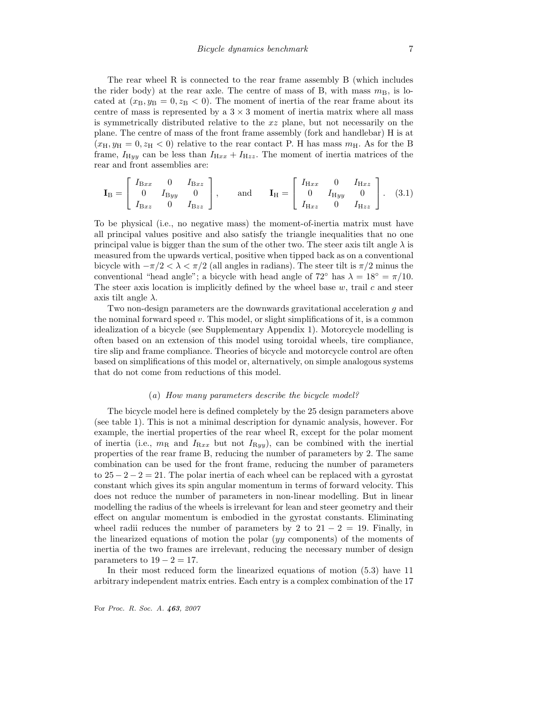The rear wheel R is connected to the rear frame assembly B (which includes the rider body) at the rear axle. The centre of mass of B, with mass  $m<sub>B</sub>$ , is located at  $(x_B, y_B = 0, z_B < 0)$ . The moment of inertia of the rear frame about its centre of mass is represented by a  $3 \times 3$  moment of inertia matrix where all mass is symmetrically distributed relative to the xz plane, but not necessarily on the plane. The centre of mass of the front frame assembly (fork and handlebar) H is at  $(x_H, y_H = 0, z_H < 0)$  relative to the rear contact P. H has mass  $m<sub>H</sub>$ . As for the B frame,  $I_{\text{H}yy}$  can be less than  $I_{\text{H}xx} + I_{\text{H}zz}$ . The moment of inertia matrices of the rear and front assemblies are:

$$
\mathbf{I}_{\rm B} = \begin{bmatrix} I_{\rm Bxx} & 0 & I_{\rm Bzz} \\ 0 & I_{\rm Byy} & 0 \\ I_{\rm Bzz} & 0 & I_{\rm Bzz} \end{bmatrix}, \quad \text{and} \quad \mathbf{I}_{\rm H} = \begin{bmatrix} I_{\rm Hxx} & 0 & I_{\rm Hzz} \\ 0 & I_{\rm Hyy} & 0 \\ I_{\rm Hzz} & 0 & I_{\rm Hzz} \end{bmatrix}. \quad (3.1)
$$

To be physical (i.e., no negative mass) the moment-of-inertia matrix must have all principal values positive and also satisfy the triangle inequalities that no one principal value is bigger than the sum of the other two. The steer axis tilt angle  $\lambda$  is measured from the upwards vertical, positive when tipped back as on a conventional bicycle with  $-\pi/2 < \lambda < \pi/2$  (all angles in radians). The steer tilt is  $\pi/2$  minus the conventional "head angle"; a bicycle with head angle of  $72°$  has  $\lambda = 18° = \pi/10$ . The steer axis location is implicitly defined by the wheel base  $w$ , trail  $c$  and steer axis tilt angle  $\lambda$ .

Two non-design parameters are the downwards gravitational acceleration g and the nominal forward speed  $v$ . This model, or slight simplifications of it, is a common idealization of a bicycle (see Supplementary Appendix 1). Motorcycle modelling is often based on an extension of this model using toroidal wheels, tire compliance, tire slip and frame compliance. Theories of bicycle and motorcycle control are often based on simplifications of this model or, alternatively, on simple analogous systems that do not come from reductions of this model.

#### (a) How many parameters describe the bicycle model?

The bicycle model here is defined completely by the 25 design parameters above (see table 1). This is not a minimal description for dynamic analysis, however. For example, the inertial properties of the rear wheel R, except for the polar moment of inertia (i.e.,  $m_R$  and  $I_{Rxx}$  but not  $I_{Ryy}$ ), can be combined with the inertial properties of the rear frame B, reducing the number of parameters by 2. The same combination can be used for the front frame, reducing the number of parameters to  $25 - 2 - 2 = 21$ . The polar inertia of each wheel can be replaced with a gyrostat constant which gives its spin angular momentum in terms of forward velocity. This does not reduce the number of parameters in non-linear modelling. But in linear modelling the radius of the wheels is irrelevant for lean and steer geometry and their effect on angular momentum is embodied in the gyrostat constants. Eliminating wheel radii reduces the number of parameters by 2 to  $21 - 2 = 19$ . Finally, in the linearized equations of motion the polar (yy components) of the moments of inertia of the two frames are irrelevant, reducing the necessary number of design parameters to  $19 - 2 = 17$ .

In their most reduced form the linearized equations of motion (5.3) have 11 arbitrary independent matrix entries. Each entry is a complex combination of the 17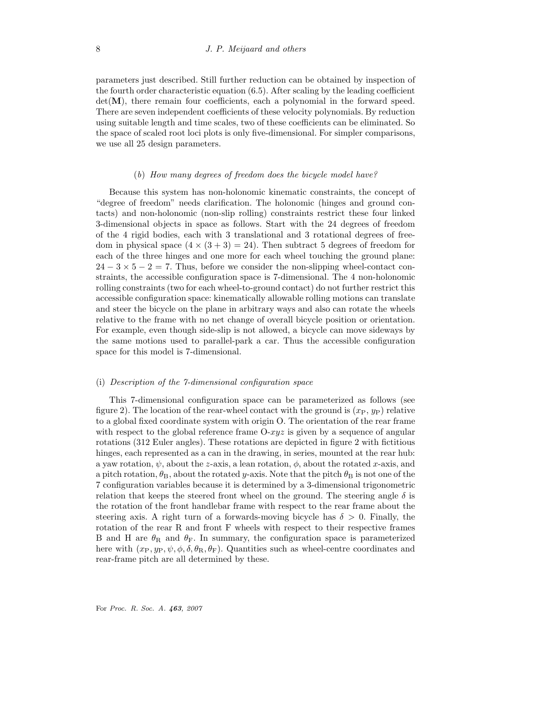parameters just described. Still further reduction can be obtained by inspection of the fourth order characteristic equation (6.5). After scaling by the leading coefficient  $det(\mathbf{M})$ , there remain four coefficients, each a polynomial in the forward speed. There are seven independent coefficients of these velocity polynomials. By reduction using suitable length and time scales, two of these coefficients can be eliminated. So the space of scaled root loci plots is only five-dimensional. For simpler comparisons, we use all 25 design parameters.

#### (b) How many degrees of freedom does the bicycle model have?

Because this system has non-holonomic kinematic constraints, the concept of "degree of freedom" needs clarification. The holonomic (hinges and ground contacts) and non-holonomic (non-slip rolling) constraints restrict these four linked 3-dimensional objects in space as follows. Start with the 24 degrees of freedom of the 4 rigid bodies, each with 3 translational and 3 rotational degrees of freedom in physical space  $(4 \times (3 + 3) = 24)$ . Then subtract 5 degrees of freedom for each of the three hinges and one more for each wheel touching the ground plane:  $24-3\times5-2=7$ . Thus, before we consider the non-slipping wheel-contact constraints, the accessible configuration space is 7-dimensional. The 4 non-holonomic rolling constraints (two for each wheel-to-ground contact) do not further restrict this accessible configuration space: kinematically allowable rolling motions can translate and steer the bicycle on the plane in arbitrary ways and also can rotate the wheels relative to the frame with no net change of overall bicycle position or orientation. For example, even though side-slip is not allowed, a bicycle can move sideways by the same motions used to parallel-park a car. Thus the accessible configuration space for this model is 7-dimensional.

#### (i) Description of the 7-dimensional configuration space

This 7-dimensional configuration space can be parameterized as follows (see figure 2). The location of the rear-wheel contact with the ground is  $(x_P, y_P)$  relative to a global fixed coordinate system with origin O. The orientation of the rear frame with respect to the global reference frame  $0$ - $xyz$  is given by a sequence of angular rotations (312 Euler angles). These rotations are depicted in figure 2 with fictitious hinges, each represented as a can in the drawing, in series, mounted at the rear hub: a yaw rotation,  $\psi$ , about the z-axis, a lean rotation,  $\phi$ , about the rotated x-axis, and a pitch rotation,  $\theta_B$ , about the rotated y-axis. Note that the pitch  $\theta_B$  is not one of the 7 configuration variables because it is determined by a 3-dimensional trigonometric relation that keeps the steered front wheel on the ground. The steering angle  $\delta$  is the rotation of the front handlebar frame with respect to the rear frame about the steering axis. A right turn of a forwards-moving bicycle has  $\delta > 0$ . Finally, the rotation of the rear R and front F wheels with respect to their respective frames B and H are  $\theta_R$  and  $\theta_F$ . In summary, the configuration space is parameterized here with  $(x_P, y_P, \psi, \phi, \delta, \theta_R, \theta_F)$ . Quantities such as wheel-centre coordinates and rear-frame pitch are all determined by these.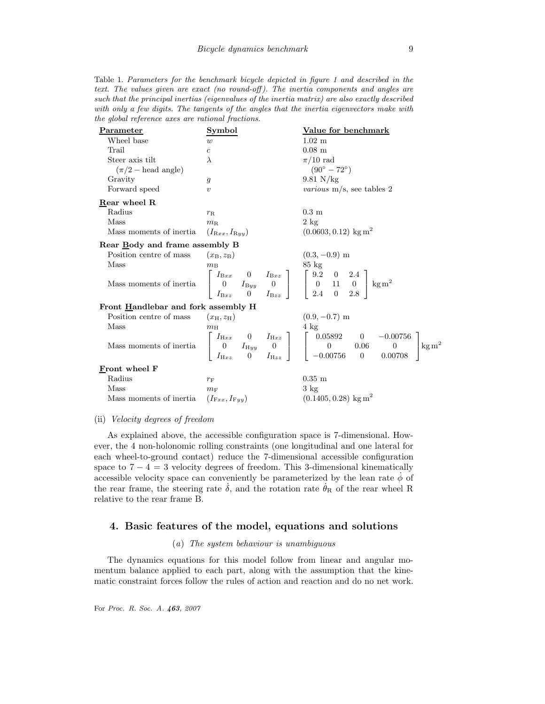Table 1. Parameters for the benchmark bicycle depicted in figure 1 and described in the text. The values given are exact (no round-off). The inertia components and angles are such that the principal inertias (eigenvalues of the inertia matrix) are also exactly described with only a few digits. The tangents of the angles that the inertia eigenvectors make with the global reference axes are rational fractions.

| Parameter                                                  | Symbol                                                                                                                                                                                                                                                      | Value for benchmark                                                                                                                                                                                                                                                                                                                  |  |  |  |
|------------------------------------------------------------|-------------------------------------------------------------------------------------------------------------------------------------------------------------------------------------------------------------------------------------------------------------|--------------------------------------------------------------------------------------------------------------------------------------------------------------------------------------------------------------------------------------------------------------------------------------------------------------------------------------|--|--|--|
| Wheel base                                                 | w                                                                                                                                                                                                                                                           | $1.02 \text{ m}$                                                                                                                                                                                                                                                                                                                     |  |  |  |
| Trail                                                      | $\boldsymbol{c}$                                                                                                                                                                                                                                            | $0.08$ m                                                                                                                                                                                                                                                                                                                             |  |  |  |
| Steer axis tilt                                            | $\lambda$                                                                                                                                                                                                                                                   | $\pi/10$ rad                                                                                                                                                                                                                                                                                                                         |  |  |  |
| $(\pi/2 - \text{head angle})$                              |                                                                                                                                                                                                                                                             | $(90^{\circ} - 72^{\circ})$                                                                                                                                                                                                                                                                                                          |  |  |  |
| Gravity                                                    | $\mathfrak{g}$                                                                                                                                                                                                                                              | $9.81$ N/kg                                                                                                                                                                                                                                                                                                                          |  |  |  |
| Forward speed                                              | $\eta$                                                                                                                                                                                                                                                      | <i>various</i> $m/s$ , see tables 2                                                                                                                                                                                                                                                                                                  |  |  |  |
| Rear wheel R                                               |                                                                                                                                                                                                                                                             |                                                                                                                                                                                                                                                                                                                                      |  |  |  |
| Radius                                                     | $r_{\rm R}$                                                                                                                                                                                                                                                 | $0.3 \text{ m}$                                                                                                                                                                                                                                                                                                                      |  |  |  |
| Mass                                                       | $m_{\rm R}$                                                                                                                                                                                                                                                 | $2 \text{ kg}$                                                                                                                                                                                                                                                                                                                       |  |  |  |
| Mass moments of inertia                                    | $(I_{\mathrm{R}xx}, I_{\mathrm{R}yy})$                                                                                                                                                                                                                      | $(0.0603, 0.12)$ kg m <sup>2</sup>                                                                                                                                                                                                                                                                                                   |  |  |  |
| Rear Body and frame assembly B                             |                                                                                                                                                                                                                                                             |                                                                                                                                                                                                                                                                                                                                      |  |  |  |
| Position centre of mass                                    | $(x_B, z_B)$                                                                                                                                                                                                                                                | $(0.3, -0.9)$ m                                                                                                                                                                                                                                                                                                                      |  |  |  |
| Mass                                                       | $m_{\rm B}$                                                                                                                                                                                                                                                 |                                                                                                                                                                                                                                                                                                                                      |  |  |  |
|                                                            | Mass moments of inertia $\begin{bmatrix} I_{\text{B}xx} & 0 & I_{\text{B}xz} \\ 0 & I_{\text{B}yy} & 0 \\ I_{\text{B}xx} & 0 & I_{\text{B}zz} \end{bmatrix}$ $\begin{bmatrix} 9.2 & 0 & 2.4 \\ 0 & 11 & 0 \\ 2.4 & 0 & 2.8 \end{bmatrix}$ kg m <sup>2</sup> |                                                                                                                                                                                                                                                                                                                                      |  |  |  |
| Front Handlebar and fork assembly H                        |                                                                                                                                                                                                                                                             |                                                                                                                                                                                                                                                                                                                                      |  |  |  |
| Position centre of mass                                    | $(x_H, z_H)$ (0.9, -0.7) m                                                                                                                                                                                                                                  |                                                                                                                                                                                                                                                                                                                                      |  |  |  |
| Mass                                                       | $m_{\rm H}$                                                                                                                                                                                                                                                 | $4 \text{ kg}$                                                                                                                                                                                                                                                                                                                       |  |  |  |
|                                                            |                                                                                                                                                                                                                                                             | $\text{Mass moments of inertia} \quad \left[ \begin{array}{ccc} I_{\text{H}xx} & 0 & I_{\text{H}xz} \\ 0 & I_{\text{H}yy} & 0 \\ I_{\text{H}xz} & 0 & I_{\text{H}zz} \end{array} \right] \quad \left[ \begin{array}{ccc} 0.05892 & 0 & -0.00756 \\ 0 & 0.06 & 0 \\ -0.00756 & 0 & 0.00708 \end{array} \right] \text{kg}\,\text{m}^2$ |  |  |  |
| Front wheel F                                              |                                                                                                                                                                                                                                                             |                                                                                                                                                                                                                                                                                                                                      |  |  |  |
| Radius                                                     | $r_{\rm F}$                                                                                                                                                                                                                                                 | $0.35$ m                                                                                                                                                                                                                                                                                                                             |  |  |  |
| Mass                                                       | $m_{\rm F}$                                                                                                                                                                                                                                                 | $3 \text{ kg}$                                                                                                                                                                                                                                                                                                                       |  |  |  |
| Mass moments of inertia $(I_{\text{F}xx}, I_{\text{F}yy})$ |                                                                                                                                                                                                                                                             | $(0.1405, 0.28)$ kg m <sup>2</sup>                                                                                                                                                                                                                                                                                                   |  |  |  |
|                                                            |                                                                                                                                                                                                                                                             |                                                                                                                                                                                                                                                                                                                                      |  |  |  |

#### (ii) Velocity degrees of freedom

As explained above, the accessible configuration space is 7-dimensional. However, the 4 non-holonomic rolling constraints (one longitudinal and one lateral for each wheel-to-ground contact) reduce the 7-dimensional accessible configuration space to  $7 - 4 = 3$  velocity degrees of freedom. This 3-dimensional kinematically accessible velocity space can conveniently be parameterized by the lean rate  $\dot{\phi}$  of the rear frame, the steering rate  $\dot{\delta}$ , and the rotation rate  $\dot{\theta}_R$  of the rear wheel R relative to the rear frame B.

## 4. Basic features of the model, equations and solutions

#### (a) The system behaviour is unambiguous

The dynamics equations for this model follow from linear and angular momentum balance applied to each part, along with the assumption that the kinematic constraint forces follow the rules of action and reaction and do no net work.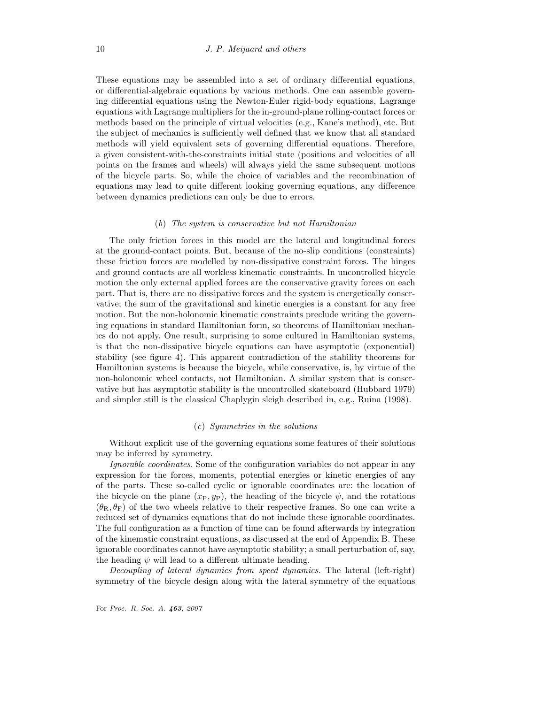These equations may be assembled into a set of ordinary differential equations, or differential-algebraic equations by various methods. One can assemble governing differential equations using the Newton-Euler rigid-body equations, Lagrange equations with Lagrange multipliers for the in-ground-plane rolling-contact forces or methods based on the principle of virtual velocities (e.g., Kane's method), etc. But the subject of mechanics is sufficiently well defined that we know that all standard methods will yield equivalent sets of governing differential equations. Therefore, a given consistent-with-the-constraints initial state (positions and velocities of all points on the frames and wheels) will always yield the same subsequent motions of the bicycle parts. So, while the choice of variables and the recombination of equations may lead to quite different looking governing equations, any difference between dynamics predictions can only be due to errors.

#### (b) The system is conservative but not Hamiltonian

The only friction forces in this model are the lateral and longitudinal forces at the ground-contact points. But, because of the no-slip conditions (constraints) these friction forces are modelled by non-dissipative constraint forces. The hinges and ground contacts are all workless kinematic constraints. In uncontrolled bicycle motion the only external applied forces are the conservative gravity forces on each part. That is, there are no dissipative forces and the system is energetically conservative; the sum of the gravitational and kinetic energies is a constant for any free motion. But the non-holonomic kinematic constraints preclude writing the governing equations in standard Hamiltonian form, so theorems of Hamiltonian mechanics do not apply. One result, surprising to some cultured in Hamiltonian systems, is that the non-dissipative bicycle equations can have asymptotic (exponential) stability (see figure 4). This apparent contradiction of the stability theorems for Hamiltonian systems is because the bicycle, while conservative, is, by virtue of the non-holonomic wheel contacts, not Hamiltonian. A similar system that is conservative but has asymptotic stability is the uncontrolled skateboard (Hubbard 1979) and simpler still is the classical Chaplygin sleigh described in, e.g., Ruina (1998).

#### (c) Symmetries in the solutions

Without explicit use of the governing equations some features of their solutions may be inferred by symmetry.

Ignorable coordinates. Some of the configuration variables do not appear in any expression for the forces, moments, potential energies or kinetic energies of any of the parts. These so-called cyclic or ignorable coordinates are: the location of the bicycle on the plane  $(x_P, y_P)$ , the heading of the bicycle  $\psi$ , and the rotations  $(\theta_{\rm R}, \theta_{\rm F})$  of the two wheels relative to their respective frames. So one can write a reduced set of dynamics equations that do not include these ignorable coordinates. The full configuration as a function of time can be found afterwards by integration of the kinematic constraint equations, as discussed at the end of Appendix B. These ignorable coordinates cannot have asymptotic stability; a small perturbation of, say, the heading  $\psi$  will lead to a different ultimate heading.

Decoupling of lateral dynamics from speed dynamics. The lateral (left-right) symmetry of the bicycle design along with the lateral symmetry of the equations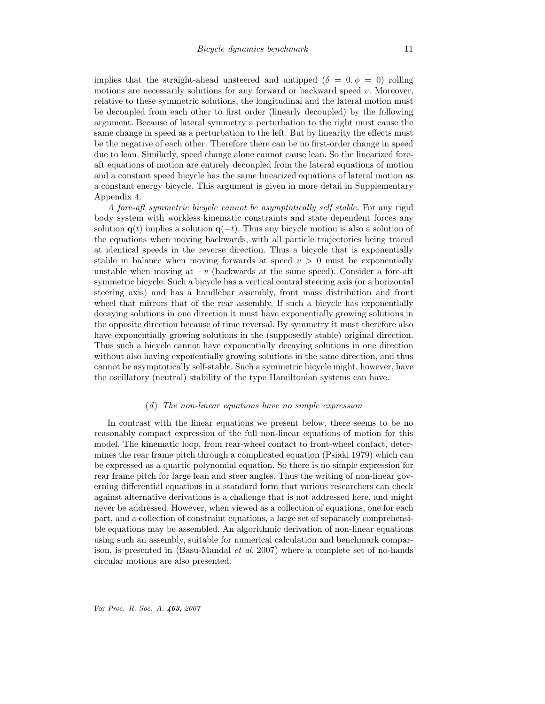implies that the straight-ahead unsteered and untipped  $(\delta = 0, \phi = 0)$  rolling motions are necessarily solutions for any forward or backward speed  $v$ . Moreover, relative to these symmetric solutions, the longitudinal and the lateral motion must be decoupled from each other to first order (linearly decoupled) by the following argument. Because of lateral symmetry a perturbation to the right must cause the same change in speed as a perturbation to the left. But by linearity the effects must be the negative of each other. Therefore there can be no first-order change in speed due to lean. Similarly, speed change alone cannot cause lean. So the linearized foreaft equations of motion are entirely decoupled from the lateral equations of motion and a constant speed bicycle has the same linearized equations of lateral motion as a constant energy bicycle. This argument is given in more detail in Supplementary Appendix 4.

A fore-aft symmetric bicycle cannot be asymptotically self stable. For any rigid body system with workless kinematic constraints and state dependent forces any solution  $q(t)$  implies a solution  $q(-t)$ . Thus any bicycle motion is also a solution of the equations when moving backwards, with all particle trajectories being traced at identical speeds in the reverse direction. Thus a bicycle that is exponentially stable in balance when moving forwards at speed  $v > 0$  must be exponentially unstable when moving at  $-v$  (backwards at the same speed). Consider a fore-aft symmetric bicycle. Such a bicycle has a vertical central steering axis (or a horizontal steering axis) and has a handlebar assembly, front mass distribution and front wheel that mirrors that of the rear assembly. If such a bicycle has exponentially decaying solutions in one direction it must have exponentially growing solutions in the opposite direction because of time reversal. By symmetry it must therefore also have exponentially growing solutions in the (supposedly stable) original direction. Thus such a bicycle cannot have exponentially decaying solutions in one direction without also having exponentially growing solutions in the same direction, and thus cannot be asymptotically self-stable. Such a symmetric bicycle might, however, have the oscillatory (neutral) stability of the type Hamiltonian systems can have.

#### (d) The non-linear equations have no simple expression

In contrast with the linear equations we present below, there seems to be no reasonably compact expression of the full non-linear equations of motion for this model. The kinematic loop, from rear-wheel contact to front-wheel contact, determines the rear frame pitch through a complicated equation (Psiaki 1979) which can be expressed as a quartic polynomial equation. So there is no simple expression for rear frame pitch for large lean and steer angles. Thus the writing of non-linear governing differential equations in a standard form that various researchers can check against alternative derivations is a challenge that is not addressed here, and might never be addressed. However, when viewed as a collection of equations, one for each part, and a collection of constraint equations, a large set of separately comprehensible equations may be assembled. An algorithmic derivation of non-linear equations using such an assembly, suitable for numerical calculation and benchmark comparison, is presented in (Basu-Mandal et al. 2007) where a complete set of no-hands circular motions are also presented.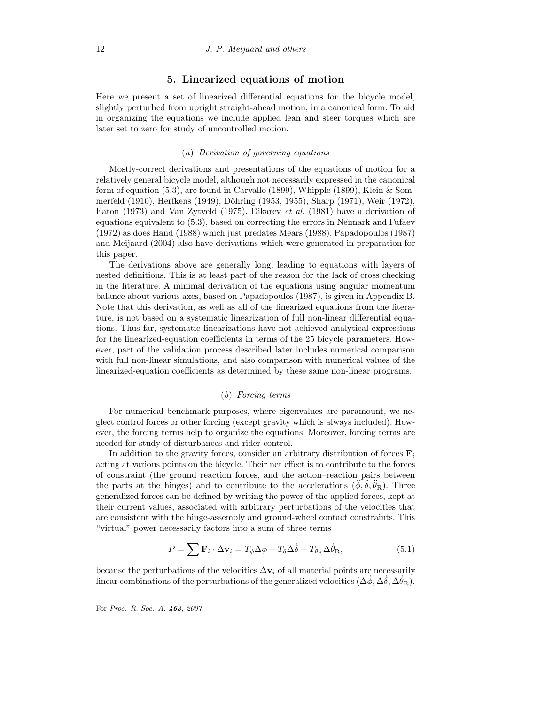# 5. Linearized equations of motion

Here we present a set of linearized differential equations for the bicycle model, slightly perturbed from upright straight-ahead motion, in a canonical form. To aid in organizing the equations we include applied lean and steer torques which are later set to zero for study of uncontrolled motion.

#### (a) Derivation of governing equations

Mostly-correct derivations and presentations of the equations of motion for a relatively general bicycle model, although not necessarily expressed in the canonical form of equation (5.3), are found in Carvallo (1899), Whipple (1899), Klein & Sommerfeld (1910), Herfkens (1949), Döhring (1953, 1955), Sharp (1971), Weir (1972), Eaton (1973) and Van Zytveld (1975). Dikarev et al. (1981) have a derivation of equations equivalent to  $(5.3)$ , based on correcting the errors in Neĭmark and Fufaev (1972) as does Hand (1988) which just predates Mears (1988). Papadopoulos (1987) and Meijaard (2004) also have derivations which were generated in preparation for this paper.

The derivations above are generally long, leading to equations with layers of nested definitions. This is at least part of the reason for the lack of cross checking in the literature. A minimal derivation of the equations using angular momentum balance about various axes, based on Papadopoulos (1987), is given in Appendix B. Note that this derivation, as well as all of the linearized equations from the literature, is not based on a systematic linearization of full non-linear differential equations. Thus far, systematic linearizations have not achieved analytical expressions for the linearized-equation coefficients in terms of the 25 bicycle parameters. However, part of the validation process described later includes numerical comparison with full non-linear simulations, and also comparison with numerical values of the linearized-equation coefficients as determined by these same non-linear programs.

# (b) Forcing terms

For numerical benchmark purposes, where eigenvalues are paramount, we neglect control forces or other forcing (except gravity which is always included). However, the forcing terms help to organize the equations. Moreover, forcing terms are needed for study of disturbances and rider control.

In addition to the gravity forces, consider an arbitrary distribution of forces  $\mathbf{F}_i$ acting at various points on the bicycle. Their net effect is to contribute to the forces of constraint (the ground reaction forces, and the action–reaction pairs between the parts at the hinges) and to contribute to the accelerations  $(\phi, \delta, \theta_R)$ . Three generalized forces can be defined by writing the power of the applied forces, kept at their current values, associated with arbitrary perturbations of the velocities that are consistent with the hinge-assembly and ground-wheel contact constraints. This "virtual" power necessarily factors into a sum of three terms

$$
P = \sum \mathbf{F}_i \cdot \Delta \mathbf{v}_i = T_{\phi} \Delta \dot{\phi} + T_{\delta} \Delta \dot{\delta} + T_{\theta_R} \Delta \dot{\theta}_R, \tag{5.1}
$$

because the perturbations of the velocities  $\Delta v_i$  of all material points are necessarily linear combinations of the perturbations of the generalized velocities ( $\Delta\phi$ ,  $\Delta\delta$ ,  $\Delta\theta$ <sub>R</sub>).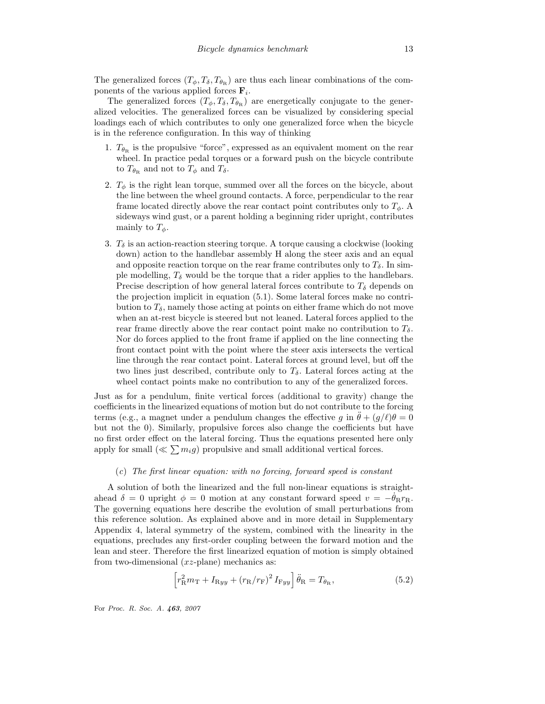The generalized forces  $(T_{\phi}, T_{\delta}, T_{\theta_{\rm R}})$  are thus each linear combinations of the components of the various applied forces  $\mathbf{F}_i$ .

The generalized forces  $(T_{\phi}, T_{\delta}, T_{\theta_{\rm R}})$  are energetically conjugate to the generalized velocities. The generalized forces can be visualized by considering special loadings each of which contributes to only one generalized force when the bicycle is in the reference configuration. In this way of thinking

- 1.  $T_{\theta_R}$  is the propulsive "force", expressed as an equivalent moment on the rear wheel. In practice pedal torques or a forward push on the bicycle contribute to  $T_{\theta_{\mathbf{R}}}$  and not to  $T_{\phi}$  and  $T_{\delta}$ .
- 2.  $T_{\phi}$  is the right lean torque, summed over all the forces on the bicycle, about the line between the wheel ground contacts. A force, perpendicular to the rear frame located directly above the rear contact point contributes only to  $T_{\phi}$ . A sideways wind gust, or a parent holding a beginning rider upright, contributes mainly to  $T_{\phi}$ .
- 3.  $T_{\delta}$  is an action-reaction steering torque. A torque causing a clockwise (looking down) action to the handlebar assembly H along the steer axis and an equal and opposite reaction torque on the rear frame contributes only to  $T_{\delta}$ . In simple modelling,  $T_{\delta}$  would be the torque that a rider applies to the handlebars. Precise description of how general lateral forces contribute to  $T_{\delta}$  depends on the projection implicit in equation (5.1). Some lateral forces make no contribution to  $T_\delta$ , namely those acting at points on either frame which do not move when an at-rest bicycle is steered but not leaned. Lateral forces applied to the rear frame directly above the rear contact point make no contribution to  $T_{\delta}$ . Nor do forces applied to the front frame if applied on the line connecting the front contact point with the point where the steer axis intersects the vertical line through the rear contact point. Lateral forces at ground level, but off the two lines just described, contribute only to  $T_{\delta}$ . Lateral forces acting at the wheel contact points make no contribution to any of the generalized forces.

Just as for a pendulum, finite vertical forces (additional to gravity) change the coefficients in the linearized equations of motion but do not contribute to the forcing terms (e.g., a magnet under a pendulum changes the effective q in  $\ddot{\theta} + (q/\ell)\theta = 0$ but not the 0). Similarly, propulsive forces also change the coefficients but have no first order effect on the lateral forcing. Thus the equations presented here only apply for small  $(\ll \sum m_i g)$  propulsive and small additional vertical forces.

#### (c) The first linear equation: with no forcing, forward speed is constant

A solution of both the linearized and the full non-linear equations is straightahead  $\delta = 0$  upright  $\phi = 0$  motion at any constant forward speed  $v = -\dot{\theta}_R r_R$ . The governing equations here describe the evolution of small perturbations from this reference solution. As explained above and in more detail in Supplementary Appendix 4, lateral symmetry of the system, combined with the linearity in the equations, precludes any first-order coupling between the forward motion and the lean and steer. Therefore the first linearized equation of motion is simply obtained from two-dimensional  $(xz$ -plane) mechanics as:

$$
\[r_{\rm R}^2 m_{\rm T} + I_{\rm Ryy} + (r_{\rm R}/r_{\rm F})^2 I_{\rm Fyy}\]\ddot{\theta}_{\rm R} = T_{\theta_{\rm R}},\tag{5.2}
$$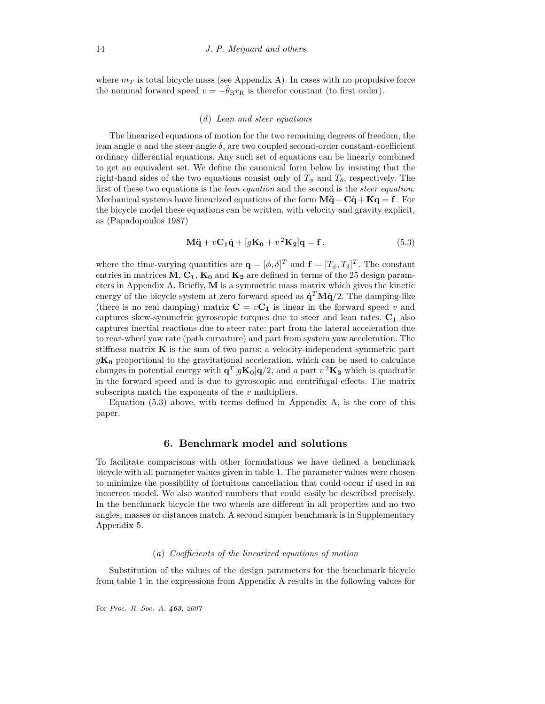where  $m<sub>T</sub>$  is total bicycle mass (see Appendix A). In cases with no propulsive force the nominal forward speed  $v = -\theta_{\rm R} r_{\rm R}$  is therefor constant (to first order).

## (d) Lean and steer equations

The linearized equations of motion for the two remaining degrees of freedom, the lean angle  $\phi$  and the steer angle  $\delta$ , are two coupled second-order constant-coefficient ordinary differential equations. Any such set of equations can be linearly combined to get an equivalent set. We define the canonical form below by insisting that the right-hand sides of the two equations consist only of  $T_{\phi}$  and  $T_{\delta}$ , respectively. The first of these two equations is the *lean equation* and the second is the *steer equation*. Mechanical systems have linearized equations of the form  $\mathbf{M\ddot{q} + C\dot{q} + Kq = f}$ . For the bicycle model these equations can be written, with velocity and gravity explicit, as (Papadopoulos 1987)

$$
\mathbf{M}\ddot{\mathbf{q}} + v\mathbf{C}_1\dot{\mathbf{q}} + [g\mathbf{K}_0 + v^2\mathbf{K}_2]\mathbf{q} = \mathbf{f},\tag{5.3}
$$

where the time-varying quantities are  $\mathbf{q} = [\phi, \delta]^T$  and  $\mathbf{f} = [T_{\phi}, T_{\delta}]^T$ . The constant entries in matrices  $M, C_1, K_0$  and  $K_2$  are defined in terms of the 25 design parameters in Appendix A. Briefly, M is a symmetric mass matrix which gives the kinetic energy of the bicycle system at zero forward speed as  $\dot{\mathbf{q}}^T \mathbf{M} \dot{\mathbf{q}}/2$ . The damping-like (there is no real damping) matrix  $\mathbf{C} = v\mathbf{C}_1$  is linear in the forward speed v and captures skew-symmetric gyroscopic torques due to steer and lean rates.  $C_1$  also captures inertial reactions due to steer rate: part from the lateral acceleration due to rear-wheel yaw rate (path curvature) and part from system yaw acceleration. The stiffness matrix  $\bf{K}$  is the sum of two parts: a velocity-independent symmetric part  $qK_0$  proportional to the gravitational acceleration, which can be used to calculate changes in potential energy with  $\mathbf{q}^{T}[g\mathbf{K_{0}}]\mathbf{q}/2$ , and a part  $v^{2}\mathbf{K_{2}}$  which is quadratic in the forward speed and is due to gyroscopic and centrifugal effects. The matrix subscripts match the exponents of the  $v$  multipliers.

Equation  $(5.3)$  above, with terms defined in Appendix A, is the core of this paper.

#### 6. Benchmark model and solutions

To facilitate comparisons with other formulations we have defined a benchmark bicycle with all parameter values given in table 1. The parameter values were chosen to minimize the possibility of fortuitous cancellation that could occur if used in an incorrect model. We also wanted numbers that could easily be described precisely. In the benchmark bicycle the two wheels are different in all properties and no two angles, masses or distances match. A second simpler benchmark is in Supplementary Appendix 5.

#### (a) Coefficients of the linearized equations of motion

Substitution of the values of the design parameters for the benchmark bicycle from table 1 in the expressions from Appendix A results in the following values for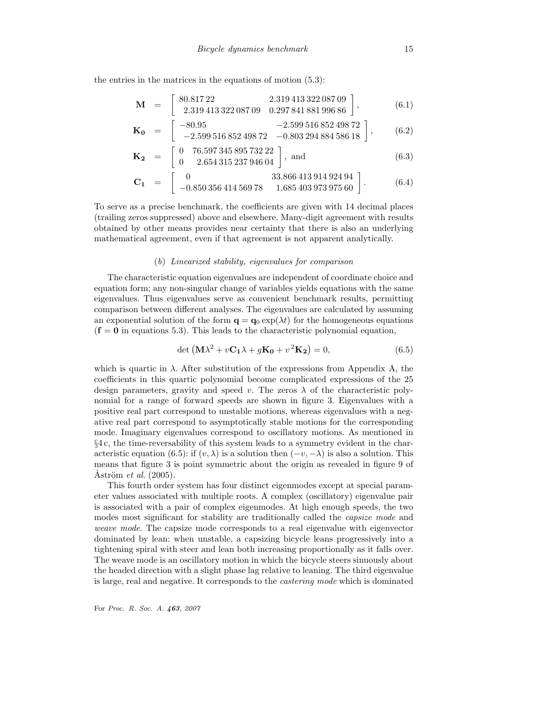the entries in the matrices in the equations of motion (5.3):

$$
\mathbf{M} = \begin{bmatrix} 80.81722 & 2.31941332208709 \\ 2.31941332208709 & 0.29784188199686 \end{bmatrix},
$$
 (6.1)

$$
\mathbf{K_0} = \begin{bmatrix} -80.95 & -2.59951685249872 \\ -2.59951685249872 & -0.80329488458618 \end{bmatrix},
$$
 (6.2)

$$
\mathbf{K_2} = \begin{bmatrix} 0 & 76.59734589573222 \\ 0 & 2.65431523794604 \end{bmatrix}, \text{ and} \tag{6.3}
$$

$$
\mathbf{C_1} = \begin{bmatrix} 0 & 33.866\,413\,914\,924\,94 \\ -0.850\,356\,414\,569\,78 & 1.685\,403\,973\,975\,60 \end{bmatrix} . \tag{6.4}
$$

To serve as a precise benchmark, the coefficients are given with 14 decimal places (trailing zeros suppressed) above and elsewhere. Many-digit agreement with results obtained by other means provides near certainty that there is also an underlying mathematical agreement, even if that agreement is not apparent analytically.

#### (b) Linearized stability, eigenvalues for comparison

The characteristic equation eigenvalues are independent of coordinate choice and equation form; any non-singular change of variables yields equations with the same eigenvalues. Thus eigenvalues serve as convenient benchmark results, permitting comparison between different analyses. The eigenvalues are calculated by assuming an exponential solution of the form  $\mathbf{q} = \mathbf{q}_0 \exp(\lambda t)$  for the homogeneous equations  $(f = 0$  in equations 5.3). This leads to the characteristic polynomial equation,

$$
\det\left(\mathbf{M}\lambda^2 + v\mathbf{C}_1\lambda + g\mathbf{K}_0 + v^2\mathbf{K}_2\right) = 0,\tag{6.5}
$$

which is quartic in  $\lambda$ . After substitution of the expressions from Appendix A, the coefficients in this quartic polynomial become complicated expressions of the 25 design parameters, gravity and speed v. The zeros  $\lambda$  of the characteristic polynomial for a range of forward speeds are shown in figure 3. Eigenvalues with a positive real part correspond to unstable motions, whereas eigenvalues with a negative real part correspond to asymptotically stable motions for the corresponding mode. Imaginary eigenvalues correspond to oscillatory motions. As mentioned in §4 c, the time-reversability of this system leads to a symmetry evident in the characteristic equation (6.5): if  $(v, \lambda)$  is a solution then  $(-v, -\lambda)$  is also a solution. This means that figure 3 is point symmetric about the origin as revealed in figure 9 of  $\text{Aström}$  *et al.* (2005).

This fourth order system has four distinct eigenmodes except at special parameter values associated with multiple roots. A complex (oscillatory) eigenvalue pair is associated with a pair of complex eigenmodes. At high enough speeds, the two modes most significant for stability are traditionally called the *capsize mode* and weave mode. The capsize mode corresponds to a real eigenvalue with eigenvector dominated by lean: when unstable, a capsizing bicycle leans progressively into a tightening spiral with steer and lean both increasing proportionally as it falls over. The weave mode is an oscillatory motion in which the bicycle steers sinuously about the headed direction with a slight phase lag relative to leaning. The third eigenvalue is large, real and negative. It corresponds to the castering mode which is dominated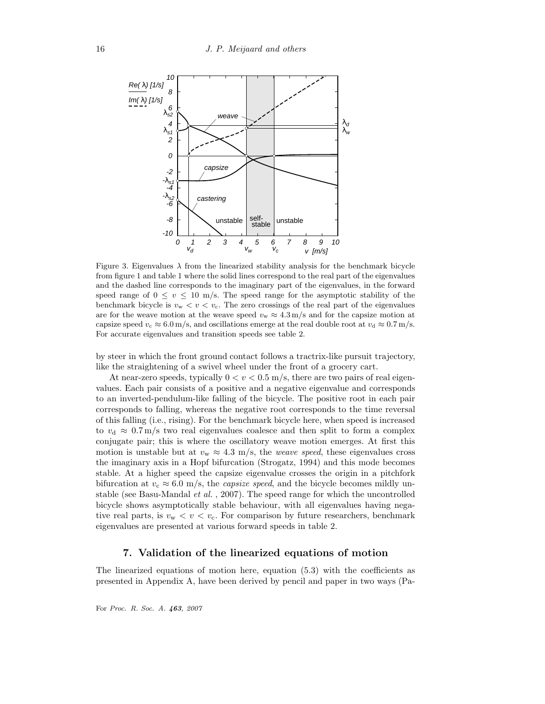

Figure 3. Eigenvalues  $\lambda$  from the linearized stability analysis for the benchmark bicycle from figure 1 and table 1 where the solid lines correspond to the real part of the eigenvalues and the dashed line corresponds to the imaginary part of the eigenvalues, in the forward speed range of  $0 \le v \le 10$  m/s. The speed range for the asymptotic stability of the benchmark bicycle is  $v_w < v < v_c$ . The zero crossings of the real part of the eigenvalues are for the weave motion at the weave speed  $v_w \approx 4.3 \,\mathrm{m/s}$  and for the capsize motion at capsize speed  $v_c \approx 6.0 \,\mathrm{m/s}$ , and oscillations emerge at the real double root at  $v_d \approx 0.7 \,\mathrm{m/s}$ . For accurate eigenvalues and transition speeds see table 2.

by steer in which the front ground contact follows a tractrix-like pursuit trajectory, like the straightening of a swivel wheel under the front of a grocery cart.

At near-zero speeds, typically  $0 < v < 0.5$  m/s, there are two pairs of real eigenvalues. Each pair consists of a positive and a negative eigenvalue and corresponds to an inverted-pendulum-like falling of the bicycle. The positive root in each pair corresponds to falling, whereas the negative root corresponds to the time reversal of this falling (i.e., rising). For the benchmark bicycle here, when speed is increased to  $v_{\rm d} \approx 0.7 \,\rm m/s$  two real eigenvalues coalesce and then split to form a complex conjugate pair; this is where the oscillatory weave motion emerges. At first this motion is unstable but at  $v_w \approx 4.3$  m/s, the *weave speed*, these eigenvalues cross the imaginary axis in a Hopf bifurcation (Strogatz, 1994) and this mode becomes stable. At a higher speed the capsize eigenvalue crosses the origin in a pitchfork bifurcation at  $v_c \approx 6.0$  m/s, the *capsize speed*, and the bicycle becomes mildly unstable (see Basu-Mandal et al. , 2007). The speed range for which the uncontrolled bicycle shows asymptotically stable behaviour, with all eigenvalues having negative real parts, is  $v_w < v < v_c$ . For comparison by future researchers, benchmark eigenvalues are presented at various forward speeds in table 2.

# 7. Validation of the linearized equations of motion

The linearized equations of motion here, equation (5.3) with the coefficients as presented in Appendix A, have been derived by pencil and paper in two ways (Pa-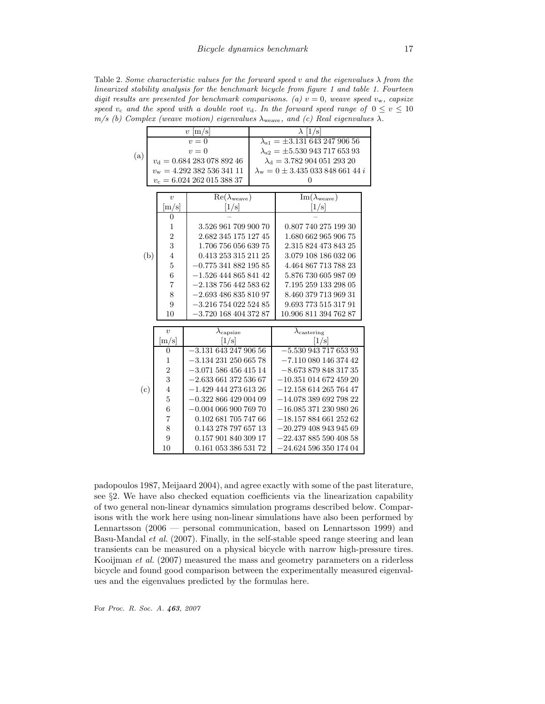Table 2. Some characteristic values for the forward speed v and the eigenvalues  $\lambda$  from the linearized stability analysis for the benchmark bicycle from figure 1 and table 1. Fourteen digit results are presented for benchmark comparisons. (a)  $v = 0$ , weave speed  $v_w$ , capsize speed  $v_c$  and the speed with a double root  $v_d$ . In the forward speed range of  $0 \le v \le 10$  $m/s$  (b) Complex (weave motion) eigenvalues  $\lambda_{\text{weave}}$ , and (c) Real eigenvalues  $\lambda$ .

|     |                          | $v \,  \mathrm{m/s} $                  |                                     | $\lambda$ [1/s]                                   |                              |  |  |  |  |
|-----|--------------------------|----------------------------------------|-------------------------------------|---------------------------------------------------|------------------------------|--|--|--|--|
| (a) |                          | $v=0$                                  |                                     | $\lambda_{s1} = \pm 3.131\,643\,247\,906\,56$     |                              |  |  |  |  |
|     |                          | $v=0$                                  |                                     | $\lambda_{s2} = \pm 5.53094371765393$             |                              |  |  |  |  |
|     |                          |                                        | $v_{\rm d} = 0.68428307889246$      | $\lambda_{\rm d} = 3.78290405129320$              |                              |  |  |  |  |
|     |                          | $v_{\rm w} = 4.292\ 382\ 536\ 341\ 11$ |                                     | $\lambda_{\rm w}=0\pm3.435\,033\,848\,661\,44\,i$ |                              |  |  |  |  |
|     | $v_c = 6.02426201538837$ |                                        |                                     | 0                                                 |                              |  |  |  |  |
|     |                          |                                        |                                     |                                                   |                              |  |  |  |  |
|     |                          | $\overline{v}$                         | $\text{Re}(\lambda_{\text{weave}})$ |                                                   | $Im(\lambda_{\text{weave}})$ |  |  |  |  |
|     |                          | $\left[ \mathrm{m/s} \right]$          | [1/s]                               |                                                   | [1/s]                        |  |  |  |  |
|     |                          | 0                                      |                                     |                                                   |                              |  |  |  |  |
|     |                          | 1                                      | 3.526 961 709 900 70                |                                                   | 0.807 740 275 199 30         |  |  |  |  |
|     |                          | $\overline{2}$                         | 2.682 345 175 127 45                |                                                   | 1.680 662 965 906 75         |  |  |  |  |
|     |                          | 3                                      | 1.706 756 056 639 75                |                                                   | 2.315 824 473 843 25         |  |  |  |  |
|     | (b)                      | $\overline{4}$                         | 0.413 253 315 211 25                |                                                   | 3.079 108 186 032 06         |  |  |  |  |
|     |                          | $\overline{5}$                         | $-0.77534188219585$                 |                                                   | 4.464 867 713 788 23         |  |  |  |  |
|     |                          | 6                                      | $-1.526$ 444 865 841 42             |                                                   | 5.876 730 605 987 09         |  |  |  |  |
|     |                          | 7                                      | $-2.138\ 756\ 442\ 583\ 62$         |                                                   | 7.195 259 133 298 05         |  |  |  |  |
|     |                          | 8                                      | $-2.69348683581097$                 |                                                   | 8.460 379 713 969 31         |  |  |  |  |
|     |                          |                                        |                                     |                                                   |                              |  |  |  |  |
|     |                          | 9                                      | $-3.216$ 754 022 524 85             |                                                   | 9.693 773 515 317 91         |  |  |  |  |
|     |                          | 10                                     | $-3.720$ 168 404 372 87             |                                                   | 10.906 811 394 762 87        |  |  |  |  |
|     |                          |                                        |                                     |                                                   |                              |  |  |  |  |
|     |                          | $\boldsymbol{v}$                       | $\lambda_{\rm{capsize}}$            |                                                   | $\lambda_{\text{castering}}$ |  |  |  |  |
|     |                          | [m/s]                                  | 1/s <br>$-3.13164324790656$         |                                                   | [1/s]                        |  |  |  |  |
|     |                          | $\theta$                               |                                     |                                                   | $-5.53094371765393$          |  |  |  |  |
|     |                          | 1                                      | $-3.13423125066578$                 |                                                   | $-7.11008014637442$          |  |  |  |  |
|     |                          | $\overline{2}$                         | $-3.07158645641514$                 |                                                   | $-8.67387984831735$          |  |  |  |  |
|     |                          | 3                                      | $-2.63366137253667$                 |                                                   | $-10.351$ 014 672 459 20     |  |  |  |  |
| (c) |                          | $\overline{4}$                         | $-1.429$ 444 273 613 26             |                                                   | $-12.15861426576447$         |  |  |  |  |
|     |                          | $\overline{5}$                         | $-0.32286642900409$                 |                                                   | $-14.07838969279822$         |  |  |  |  |
|     |                          | $\overline{6}$                         | $-0.00406690076970$                 |                                                   | $-16.08537123098026$         |  |  |  |  |
|     |                          | 7                                      | 0.102 681 705 747 66                |                                                   | $-18.15788466125262$         |  |  |  |  |
|     |                          | 8                                      | 0.143 278 797 657 13                |                                                   | $-20.27940894394569$         |  |  |  |  |
|     |                          | $\overline{9}$                         | 0.157 901 840 309 17                |                                                   | $-22.43788559040858$         |  |  |  |  |
|     |                          | 10                                     | 0.161 053 386 531 72                |                                                   | $-24.62459635017404$         |  |  |  |  |

padopoulos 1987, Meijaard 2004), and agree exactly with some of the past literature, see §2. We have also checked equation coefficients via the linearization capability of two general non-linear dynamics simulation programs described below. Comparisons with the work here using non-linear simulations have also been performed by Lennartsson (2006 — personal communication, based on Lennartsson 1999) and Basu-Mandal et al. (2007). Finally, in the self-stable speed range steering and lean transients can be measured on a physical bicycle with narrow high-pressure tires. Kooijman et al. (2007) measured the mass and geometry parameters on a riderless bicycle and found good comparison between the experimentally measured eigenvalues and the eigenvalues predicted by the formulas here.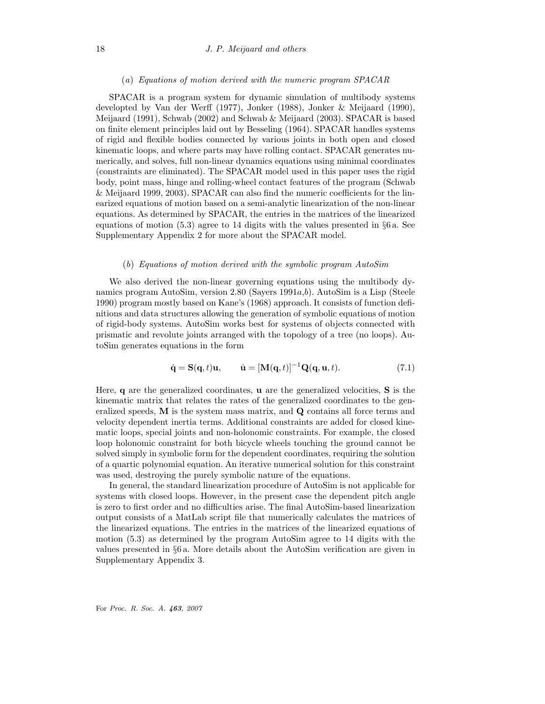#### (a) Equations of motion derived with the numeric program SPACAR

SPACAR is a program system for dynamic simulation of multibody systems developted by Van der Werff (1977), Jonker (1988), Jonker & Meijaard (1990), Meijaard (1991), Schwab (2002) and Schwab & Meijaard (2003). SPACAR is based on finite element principles laid out by Besseling (1964). SPACAR handles systems of rigid and flexible bodies connected by various joints in both open and closed kinematic loops, and where parts may have rolling contact. SPACAR generates numerically, and solves, full non-linear dynamics equations using minimal coordinates (constraints are eliminated). The SPACAR model used in this paper uses the rigid body, point mass, hinge and rolling-wheel contact features of the program (Schwab & Meijaard 1999, 2003). SPACAR can also find the numeric coefficients for the linearized equations of motion based on a semi-analytic linearization of the non-linear equations. As determined by SPACAR, the entries in the matrices of the linearized equations of motion (5.3) agree to 14 digits with the values presented in §6 a. See Supplementary Appendix 2 for more about the SPACAR model.

#### (b) Equations of motion derived with the symbolic program AutoSim

We also derived the non-linear governing equations using the multibody dynamics program AutoSim, version 2.80 (Sayers 1991a,b). AutoSim is a Lisp (Steele 1990) program mostly based on Kane's (1968) approach. It consists of function definitions and data structures allowing the generation of symbolic equations of motion of rigid-body systems. AutoSim works best for systems of objects connected with prismatic and revolute joints arranged with the topology of a tree (no loops). AutoSim generates equations in the form

$$
\dot{\mathbf{q}} = \mathbf{S}(\mathbf{q}, t)\mathbf{u}, \qquad \dot{\mathbf{u}} = [\mathbf{M}(\mathbf{q}, t)]^{-1} \mathbf{Q}(\mathbf{q}, \mathbf{u}, t). \tag{7.1}
$$

Here, q are the generalized coordinates, u are the generalized velocities, S is the kinematic matrix that relates the rates of the generalized coordinates to the generalized speeds, M is the system mass matrix, and Q contains all force terms and velocity dependent inertia terms. Additional constraints are added for closed kinematic loops, special joints and non-holonomic constraints. For example, the closed loop holonomic constraint for both bicycle wheels touching the ground cannot be solved simply in symbolic form for the dependent coordinates, requiring the solution of a quartic polynomial equation. An iterative numerical solution for this constraint was used, destroying the purely symbolic nature of the equations.

In general, the standard linearization procedure of AutoSim is not applicable for systems with closed loops. However, in the present case the dependent pitch angle is zero to first order and no difficulties arise. The final AutoSim-based linearization output consists of a MatLab script file that numerically calculates the matrices of the linearized equations. The entries in the matrices of the linearized equations of motion (5.3) as determined by the program AutoSim agree to 14 digits with the values presented in §6 a. More details about the AutoSim verification are given in Supplementary Appendix 3.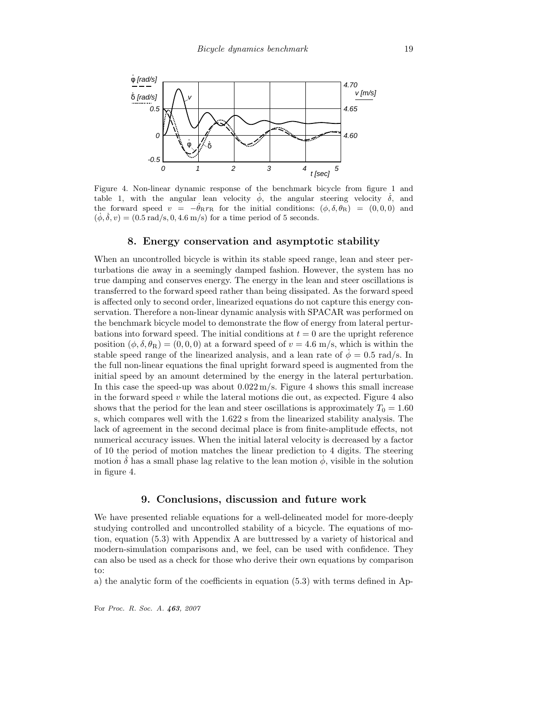

Figure 4. Non-linear dynamic response of the benchmark bicycle from figure 1 and table 1, with the angular lean velocity  $\dot{\phi}$ , the angular steering velocity  $\dot{\delta}$ , and the forward speed  $v = -\theta_R r_R$  for the initial conditions:  $(\phi, \delta, \theta_R) = (0, 0, 0)$  and  $(\phi, \delta, v) = (0.5 \text{ rad/s}, 0, 4.6 \text{ m/s})$  for a time period of 5 seconds.

# 8. Energy conservation and asymptotic stability

When an uncontrolled bicycle is within its stable speed range, lean and steer perturbations die away in a seemingly damped fashion. However, the system has no true damping and conserves energy. The energy in the lean and steer oscillations is transferred to the forward speed rather than being dissipated. As the forward speed is affected only to second order, linearized equations do not capture this energy conservation. Therefore a non-linear dynamic analysis with SPACAR was performed on the benchmark bicycle model to demonstrate the flow of energy from lateral perturbations into forward speed. The initial conditions at  $t = 0$  are the upright reference position  $(\phi, \delta, \theta_R) = (0, 0, 0)$  at a forward speed of  $v = 4.6$  m/s, which is within the stable speed range of the linearized analysis, and a lean rate of  $\phi = 0.5$  rad/s. In the full non-linear equations the final upright forward speed is augmented from the initial speed by an amount determined by the energy in the lateral perturbation. In this case the speed-up was about  $0.022 \,\mathrm{m/s}$ . Figure 4 shows this small increase in the forward speed  $v$  while the lateral motions die out, as expected. Figure 4 also shows that the period for the lean and steer oscillations is approximately  $T_0 = 1.60$ s, which compares well with the 1.622 s from the linearized stability analysis. The lack of agreement in the second decimal place is from finite-amplitude effects, not numerical accuracy issues. When the initial lateral velocity is decreased by a factor of 10 the period of motion matches the linear prediction to 4 digits. The steering motion  $\dot{\delta}$  has a small phase lag relative to the lean motion  $\dot{\phi}$ , visible in the solution in figure 4.

## 9. Conclusions, discussion and future work

We have presented reliable equations for a well-delineated model for more-deeply studying controlled and uncontrolled stability of a bicycle. The equations of motion, equation (5.3) with Appendix A are buttressed by a variety of historical and modern-simulation comparisons and, we feel, can be used with confidence. They can also be used as a check for those who derive their own equations by comparison to:

a) the analytic form of the coefficients in equation (5.3) with terms defined in Ap-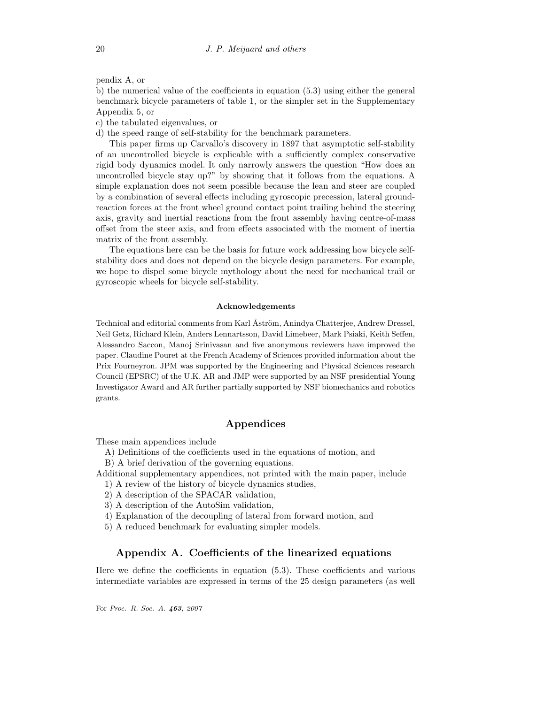pendix A, or

b) the numerical value of the coefficients in equation (5.3) using either the general benchmark bicycle parameters of table 1, or the simpler set in the Supplementary Appendix 5, or

c) the tabulated eigenvalues, or

d) the speed range of self-stability for the benchmark parameters.

This paper firms up Carvallo's discovery in 1897 that asymptotic self-stability of an uncontrolled bicycle is explicable with a sufficiently complex conservative rigid body dynamics model. It only narrowly answers the question "How does an uncontrolled bicycle stay up?" by showing that it follows from the equations. A simple explanation does not seem possible because the lean and steer are coupled by a combination of several effects including gyroscopic precession, lateral groundreaction forces at the front wheel ground contact point trailing behind the steering axis, gravity and inertial reactions from the front assembly having centre-of-mass offset from the steer axis, and from effects associated with the moment of inertia matrix of the front assembly.

The equations here can be the basis for future work addressing how bicycle selfstability does and does not depend on the bicycle design parameters. For example, we hope to dispel some bicycle mythology about the need for mechanical trail or gyroscopic wheels for bicycle self-stability.

#### Acknowledgements

Technical and editorial comments from Karl Åström, Anindya Chatterjee, Andrew Dressel, Neil Getz, Richard Klein, Anders Lennartsson, David Limebeer, Mark Psiaki, Keith Seffen, Alessandro Saccon, Manoj Srinivasan and five anonymous reviewers have improved the paper. Claudine Pouret at the French Academy of Sciences provided information about the Prix Fourneyron. JPM was supported by the Engineering and Physical Sciences research Council (EPSRC) of the U.K. AR and JMP were supported by an NSF presidential Young Investigator Award and AR further partially supported by NSF biomechanics and robotics grants.

## Appendices

These main appendices include

A) Definitions of the coefficients used in the equations of motion, and

B) A brief derivation of the governing equations.

Additional supplementary appendices, not printed with the main paper, include

- 1) A review of the history of bicycle dynamics studies,
- 2) A description of the SPACAR validation,
- 3) A description of the AutoSim validation,
- 4) Explanation of the decoupling of lateral from forward motion, and
- 5) A reduced benchmark for evaluating simpler models.

# Appendix A. Coefficients of the linearized equations

Here we define the coefficients in equation (5.3). These coefficients and various intermediate variables are expressed in terms of the 25 design parameters (as well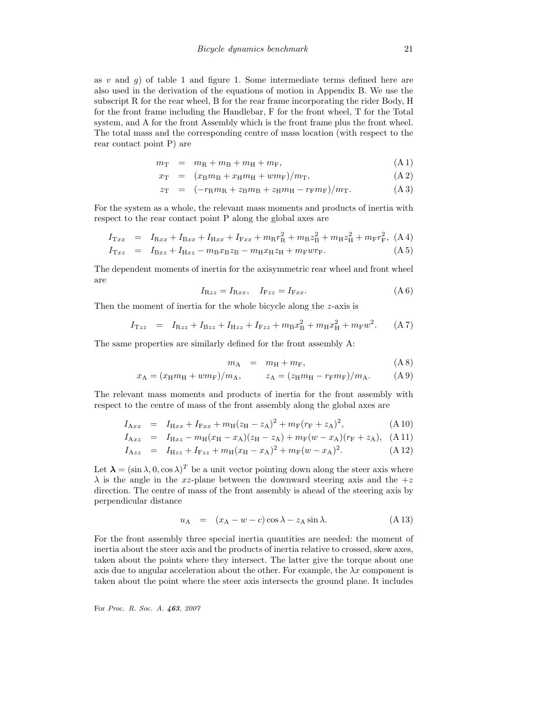as v and q) of table 1 and figure 1. Some intermediate terms defined here are also used in the derivation of the equations of motion in Appendix B. We use the subscript R for the rear wheel, B for the rear frame incorporating the rider Body, H for the front frame including the Handlebar, F for the front wheel, T for the Total system, and A for the front Assembly which is the front frame plus the front wheel. The total mass and the corresponding centre of mass location (with respect to the rear contact point P) are

$$
m_{\rm T} = m_{\rm R} + m_{\rm B} + m_{\rm H} + m_{\rm F}, \qquad (A1)
$$

$$
x_{\rm T} = (x_{\rm B}m_{\rm B} + x_{\rm H}m_{\rm H} + w m_{\rm F})/m_{\rm T}, \tag{A.2}
$$

$$
z_{\rm T} = (-r_{\rm R}m_{\rm R} + z_{\rm B}m_{\rm B} + z_{\rm H}m_{\rm H} - r_{\rm F}m_{\rm F})/m_{\rm T}.
$$
 (A3)

For the system as a whole, the relevant mass moments and products of inertia with respect to the rear contact point P along the global axes are

$$
I_{\text{T}xx} = I_{\text{R}xx} + I_{\text{B}xx} + I_{\text{H}xx} + I_{\text{F}xx} + m_{\text{R}}r_{\text{R}}^2 + m_{\text{B}}z_{\text{B}}^2 + m_{\text{H}}z_{\text{H}}^2 + m_{\text{F}}r_{\text{F}}^2, \text{ (A 4)}
$$

$$
I_{\text{T}xz} = I_{\text{B}xz} + I_{\text{H}xz} - m_{\text{B}}x_{\text{B}}z_{\text{B}} - m_{\text{H}}x_{\text{H}}z_{\text{H}} + m_{\text{F}}wr_{\text{F}}.
$$
(A 5)

The dependent moments of inertia for the axisymmetric rear wheel and front wheel are

$$
I_{\mathcal{R}zz} = I_{\mathcal{R}xx}, \quad I_{\mathcal{F}zz} = I_{\mathcal{F}xx}.\tag{A 6}
$$

Then the moment of inertia for the whole bicycle along the z-axis is

$$
I_{\text{T}zz} = I_{\text{R}zz} + I_{\text{B}zz} + I_{\text{H}zz} + I_{\text{F}zz} + m_{\text{B}}x_{\text{B}}^2 + m_{\text{H}}x_{\text{H}}^2 + m_{\text{F}}w^2.
$$
 (A 7)

The same properties are similarly defined for the front assembly A:

$$
m_{\rm A} = m_{\rm H} + m_{\rm F}, \qquad (A \, 8)
$$

$$
x_{A} = (x_{H}m_{H} + w_{H})/m_{A}, \t z_{A} = (z_{H}m_{H} - r_{F}m_{F})/m_{A}.
$$
 (A 9)

The relevant mass moments and products of inertia for the front assembly with respect to the centre of mass of the front assembly along the global axes are

$$
I_{Axx} = I_{Hxx} + I_{Fxx} + m_H(z_H - z_A)^2 + m_F(r_F + z_A)^2, \tag{A 10}
$$

$$
I_{\text{A}xz} = I_{\text{H}xz} - m_{\text{H}}(x_{\text{H}} - x_{\text{A}})(z_{\text{H}} - z_{\text{A}}) + m_{\text{F}}(w - x_{\text{A}})(r_{\text{F}} + z_{\text{A}}), \quad \text{(A 11)}
$$

$$
I_{\text{A}zz} = I_{\text{H}zz} + I_{\text{F}zz} + m_{\text{H}}(x_{\text{H}} - x_{\text{A}})^2 + m_{\text{F}}(w - x_{\text{A}})^2.
$$
 (A 12)

Let  $\lambda = (\sin \lambda, 0, \cos \lambda)^T$  be a unit vector pointing down along the steer axis where  $\lambda$  is the angle in the xz-plane between the downward steering axis and the  $+z$ direction. The centre of mass of the front assembly is ahead of the steering axis by perpendicular distance

$$
u_{A} = (x_{A} - w - c) \cos \lambda - z_{A} \sin \lambda. \tag{A.13}
$$

For the front assembly three special inertia quantities are needed: the moment of inertia about the steer axis and the products of inertia relative to crossed, skew axes, taken about the points where they intersect. The latter give the torque about one axis due to angular acceleration about the other. For example, the  $\lambda x$  component is taken about the point where the steer axis intersects the ground plane. It includes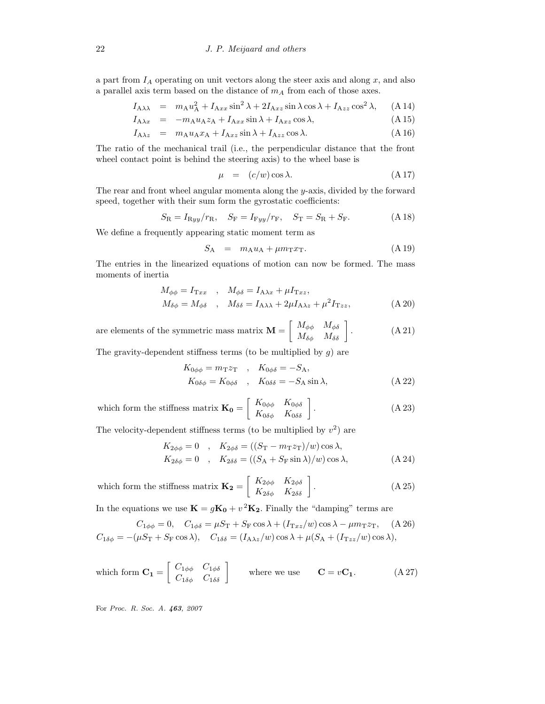a part from  $I_A$  operating on unit vectors along the steer axis and along  $x$ , and also a parallel axis term based on the distance of  $m_A$  from each of those axes.

$$
I_{A\lambda\lambda} = m_{A}u_{A}^{2} + I_{Axx}\sin^{2}\lambda + 2I_{Axz}\sin\lambda\cos\lambda + I_{Azz}\cos^{2}\lambda, \quad (A\,14)
$$

$$
I_{A\lambda x} = -m_A u_A z_A + I_{Axx} \sin \lambda + I_{Axz} \cos \lambda, \tag{A.15}
$$

$$
I_{A\lambda z} = m_A u_A x_A + I_{Axz} \sin \lambda + I_{Azz} \cos \lambda. \tag{A.16}
$$

The ratio of the mechanical trail (i.e., the perpendicular distance that the front wheel contact point is behind the steering axis) to the wheel base is

$$
\mu = (c/w)\cos\lambda. \tag{A.17}
$$

The rear and front wheel angular momenta along the y-axis, divided by the forward speed, together with their sum form the gyrostatic coefficients:

$$
S_{\rm R} = I_{\rm Ryy}/r_{\rm R}, \quad S_{\rm F} = I_{\rm Fyy}/r_{\rm F}, \quad S_{\rm T} = S_{\rm R} + S_{\rm F}.
$$
 (A 18)

We define a frequently appearing static moment term as

$$
S_{A} = m_{A}u_{A} + \mu m_{T}x_{T}.
$$
 (A 19)

The entries in the linearized equations of motion can now be formed. The mass moments of inertia

$$
M_{\phi\phi} = I_{\text{Tx}x} \ , \ M_{\phi\delta} = I_{\text{A}\lambda x} + \mu I_{\text{Tx}z},
$$
  

$$
M_{\delta\phi} = M_{\phi\delta} \ , \ M_{\delta\delta} = I_{\text{A}\lambda\lambda} + 2\mu I_{\text{A}\lambda z} + \mu^2 I_{\text{Tx}z},
$$
  
(A 20)

are elements of the symmetric mass matrix  $\mathbf{M} = \left[ \begin{array}{cc} M_{\phi\phi} & M_{\phi\delta} \ M_{\delta\phi} & M_{\delta\delta} \end{array} \right]$  $(A 21)$ 

The gravity-dependent stiffness terms (to be multiplied by  $g$ ) are

$$
K_{0\phi\phi} = m_{\mathrm{T}} z_{\mathrm{T}} , K_{0\phi\delta} = -S_{\mathrm{A}},
$$
  
\n
$$
K_{0\delta\phi} = K_{0\phi\delta} , K_{0\delta\delta} = -S_{\mathrm{A}} \sin \lambda,
$$
  
\n
$$
(A 22)
$$

which form the stiffness matrix 
$$
\mathbf{K_0} = \begin{bmatrix} K_{0\phi\phi} & K_{0\phi\delta} \\ K_{0\delta\phi} & K_{0\delta\delta} \end{bmatrix}
$$
. (A 23)

The velocity-dependent stiffness terms (to be multiplied by  $v^2$ ) are

$$
K_{2\phi\phi} = 0 \quad , \quad K_{2\phi\delta} = ((S_{\rm T} - m_{\rm T}z_{\rm T})/w) \cos \lambda,
$$
  
\n
$$
K_{2\delta\phi} = 0 \quad , \quad K_{2\delta\delta} = ((S_{\rm A} + S_{\rm F} \sin \lambda)/w) \cos \lambda,
$$
 (A 24)

which form the stiffness matrix 
$$
\mathbf{K_2} = \begin{bmatrix} K_{2\phi\phi} & K_{2\phi\delta} \\ K_{2\delta\phi} & K_{2\delta\delta} \end{bmatrix}
$$
. (A 25)

In the equations we use  $\mathbf{K} = g\mathbf{K_0} + v^2\mathbf{K_2}$ . Finally the "damping" terms are

$$
C_{1\phi\phi} = 0, \quad C_{1\phi\delta} = \mu S_{\rm T} + S_{\rm F} \cos \lambda + (I_{\rm T} z / w) \cos \lambda - \mu m_{\rm T} z_{\rm T}, \quad \text{(A 26)}
$$

$$
C_{1\delta\phi} = -(\mu S_{\rm T} + S_{\rm F} \cos \lambda), \quad C_{1\delta\delta} = (I_{\rm A}\lambda z / w) \cos \lambda + \mu (S_{\rm A} + (I_{\rm T} z / w) \cos \lambda),
$$

which form 
$$
\mathbf{C_1} = \begin{bmatrix} C_{1\phi\phi} & C_{1\phi\delta} \\ C_{1\delta\phi} & C_{1\delta\delta} \end{bmatrix}
$$
 where we use  $\mathbf{C} = v\mathbf{C_1}$ . (A 27)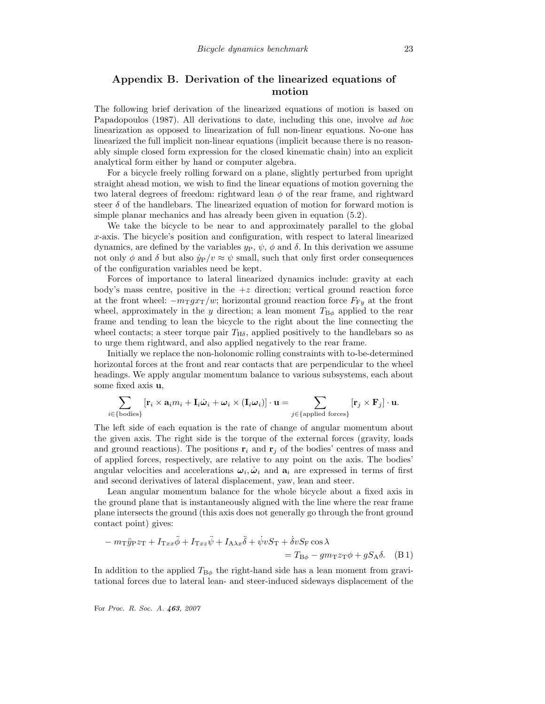# Appendix B. Derivation of the linearized equations of motion

The following brief derivation of the linearized equations of motion is based on Papadopoulos (1987). All derivations to date, including this one, involve ad hoc linearization as opposed to linearization of full non-linear equations. No-one has linearized the full implicit non-linear equations (implicit because there is no reasonably simple closed form expression for the closed kinematic chain) into an explicit analytical form either by hand or computer algebra.

For a bicycle freely rolling forward on a plane, slightly perturbed from upright straight ahead motion, we wish to find the linear equations of motion governing the two lateral degrees of freedom: rightward lean  $\phi$  of the rear frame, and rightward steer  $\delta$  of the handlebars. The linearized equation of motion for forward motion is simple planar mechanics and has already been given in equation (5.2).

We take the bicycle to be near to and approximately parallel to the global x-axis. The bicycle's position and configuration, with respect to lateral linearized dynamics, are defined by the variables  $y_P$ ,  $\psi$ ,  $\phi$  and δ. In this derivation we assume not only  $\phi$  and  $\delta$  but also  $\dot{y}_P/v \approx \psi$  small, such that only first order consequences of the configuration variables need be kept.

Forces of importance to lateral linearized dynamics include: gravity at each body's mass centre, positive in the  $+z$  direction; vertical ground reaction force at the front wheel:  $-m_{\text{T}}gx_{\text{T}}/w$ ; horizontal ground reaction force  $F_{\text{F}_y}$  at the front wheel, approximately in the y direction; a lean moment  $T_{\text{B}\phi}$  applied to the rear frame and tending to lean the bicycle to the right about the line connecting the wheel contacts; a steer torque pair  $T_{H\delta}$ , applied positively to the handlebars so as to urge them rightward, and also applied negatively to the rear frame.

Initially we replace the non-holonomic rolling constraints with to-be-determined horizontal forces at the front and rear contacts that are perpendicular to the wheel headings. We apply angular momentum balance to various subsystems, each about some fixed axis u,

$$
\sum_{i \in {\text{boldies}}} [r_i \times a_i m_i + I_i \dot{\boldsymbol{\omega}}_i + \boldsymbol{\omega}_i \times (I_i \boldsymbol{\omega}_i)] \cdot \mathbf{u} = \sum_{j \in {\text{applied forces}}} [r_j \times F_j] \cdot \mathbf{u}.
$$

The left side of each equation is the rate of change of angular momentum about the given axis. The right side is the torque of the external forces (gravity, loads and ground reactions). The positions  $\mathbf{r}_i$  and  $\mathbf{r}_j$  of the bodies' centres of mass and of applied forces, respectively, are relative to any point on the axis. The bodies' angular velocities and accelerations  $\omega_i, \dot{\omega}_i$  and  $\mathbf{a}_i$  are expressed in terms of first and second derivatives of lateral displacement, yaw, lean and steer.

Lean angular momentum balance for the whole bicycle about a fixed axis in the ground plane that is instantaneously aligned with the line where the rear frame plane intersects the ground (this axis does not generally go through the front ground contact point) gives:

$$
- m_{\text{T}} \ddot{y}_{\text{P}} z_{\text{T}} + I_{\text{T}xx} \ddot{\phi} + I_{\text{T}xz} \ddot{\psi} + I_{\text{A}\lambda x} \ddot{\delta} + \dot{\psi} v S_{\text{T}} + \dot{\delta} v S_{\text{F}} \cos \lambda = T_{\text{B}\phi} - g m_{\text{T}} z_{\text{T}} \phi + g S_{\text{A}} \delta. \quad (B 1)
$$

In addition to the applied  $T_{\text{B}\phi}$  the right-hand side has a lean moment from gravitational forces due to lateral lean- and steer-induced sideways displacement of the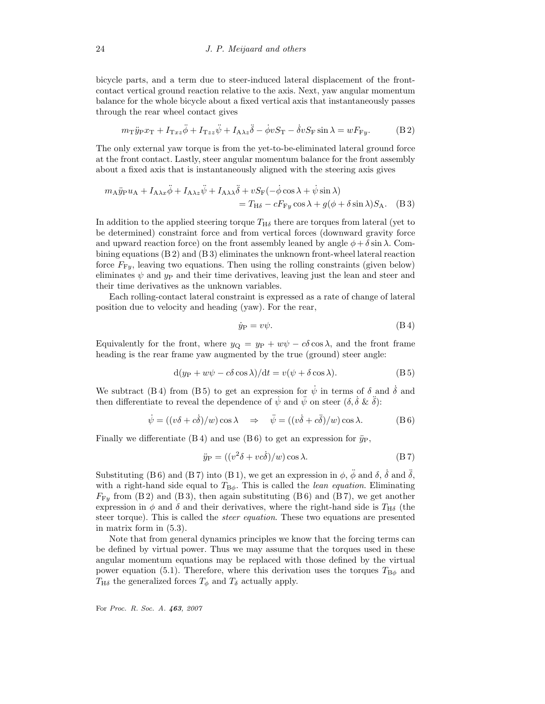bicycle parts, and a term due to steer-induced lateral displacement of the frontcontact vertical ground reaction relative to the axis. Next, yaw angular momentum balance for the whole bicycle about a fixed vertical axis that instantaneously passes through the rear wheel contact gives

$$
m_{\rm T}\ddot{y}_{\rm P}x_{\rm T} + I_{\rm T}x_{z}\ddot{\phi} + I_{\rm T}z_{z}\ddot{\phi} + I_{\rm A}\lambda_{z}\ddot{\delta} - \dot{\phi}vS_{\rm T} - \dot{\delta}vS_{\rm F}\sin\lambda = wF_{\rm F}y.
$$
 (B.2)

The only external yaw torque is from the yet-to-be-eliminated lateral ground force at the front contact. Lastly, steer angular momentum balance for the front assembly about a fixed axis that is instantaneously aligned with the steering axis gives

$$
m_{A}\ddot{y}_{P}u_{A} + I_{A\lambda x}\ddot{\phi} + I_{A\lambda z}\ddot{\psi} + I_{A\lambda \lambda}\ddot{\delta} + vS_{F}(-\dot{\phi}\cos\lambda + \dot{\psi}\sin\lambda)
$$
  
=  $T_{H\delta} - cF_{Fy}\cos\lambda + g(\phi + \delta\sin\lambda)S_{A}$ . (B 3)

In addition to the applied steering torque  $T_{H\delta}$  there are torques from lateral (yet to be determined) constraint force and from vertical forces (downward gravity force and upward reaction force) on the front assembly leaned by angle  $\phi + \delta \sin \lambda$ . Combining equations (B 2) and (B 3) eliminates the unknown front-wheel lateral reaction force  $F_{\text{F}y}$ , leaving two equations. Then using the rolling constraints (given below) eliminates  $\psi$  and  $y_P$  and their time derivatives, leaving just the lean and steer and their time derivatives as the unknown variables.

Each rolling-contact lateral constraint is expressed as a rate of change of lateral position due to velocity and heading (yaw). For the rear,

$$
\dot{y}_{\rm P} = v\psi. \tag{B.4}
$$

Equivalently for the front, where  $y_{\Omega} = y_{\text{P}} + w\psi - c\delta \cos \lambda$ , and the front frame heading is the rear frame yaw augmented by the true (ground) steer angle:

$$
d(y_P + w\psi - c\delta \cos \lambda)/dt = v(\psi + \delta \cos \lambda).
$$
 (B5)

We subtract (B4) from (B5) to get an expression for  $\dot{\psi}$  in terms of  $\delta$  and  $\dot{\delta}$  and then differentiate to reveal the dependence of  $\psi$  and  $\tilde{\psi}$  on steer  $(\delta, \delta \& \delta)$ :

$$
\dot{\psi} = ((v\delta + c\dot{\delta})/w)\cos\lambda \quad \Rightarrow \quad \ddot{\psi} = ((v\dot{\delta} + c\ddot{\delta})/w)\cos\lambda. \tag{B 6}
$$

Finally we differentiate  $(B 4)$  and use  $(B 6)$  to get an expression for  $\ddot{y}_P$ ,

$$
\ddot{y}_{\mathcal{P}} = ((v^2 \delta + v c \dot{\delta})/w) \cos \lambda.
$$
 (B 7)

Substituting (B6) and (B7) into (B1), we get an expression in  $\phi$ ,  $\ddot{\phi}$  and  $\delta$ ,  $\dot{\delta}$  and  $\ddot{\delta}$ , with a right-hand side equal to  $T_{\text{B}\phi}$ . This is called the *lean equation*. Eliminating  $F_{F_y}$  from (B 2) and (B 3), then again substituting (B 6) and (B 7), we get another expression in  $\phi$  and  $\delta$  and their derivatives, where the right-hand side is  $T_{\rm H\delta}$  (the steer torque). This is called the *steer equation*. These two equations are presented in matrix form in (5.3).

Note that from general dynamics principles we know that the forcing terms can be defined by virtual power. Thus we may assume that the torques used in these angular momentum equations may be replaced with those defined by the virtual power equation (5.1). Therefore, where this derivation uses the torques  $T_{\text{B}\phi}$  and  $T_{\rm H\delta}$  the generalized forces  $T_{\phi}$  and  $T_{\delta}$  actually apply.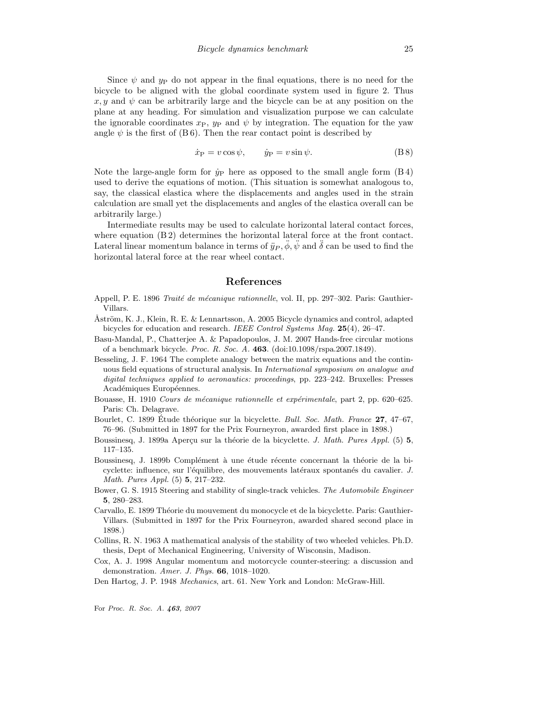Since  $\psi$  and  $\psi$  do not appear in the final equations, there is no need for the bicycle to be aligned with the global coordinate system used in figure 2. Thus x, y and  $\psi$  can be arbitrarily large and the bicycle can be at any position on the plane at any heading. For simulation and visualization purpose we can calculate the ignorable coordinates  $x_P$ ,  $y_P$  and  $\psi$  by integration. The equation for the yaw angle  $\psi$  is the first of (B6). Then the rear contact point is described by

$$
\dot{x}_{\rm P} = v \cos \psi, \qquad \dot{y}_{\rm P} = v \sin \psi. \tag{B 8}
$$

Note the large-angle form for  $\dot{y}_P$  here as opposed to the small angle form (B 4) used to derive the equations of motion. (This situation is somewhat analogous to, say, the classical elastica where the displacements and angles used in the strain calculation are small yet the displacements and angles of the elastica overall can be arbitrarily large.)

Intermediate results may be used to calculate horizontal lateral contact forces, where equation  $(B 2)$  determines the horizontal lateral force at the front contact. Lateral linear momentum balance in terms of  $\ddot{y}_P$ ,  $\ddot{\phi}$ ,  $\ddot{\psi}$  and  $\ddot{\delta}$  can be used to find the horizontal lateral force at the rear wheel contact.

## References

- Appell, P. E. 1896 Traité de mécanique rationnelle, vol. II, pp. 297–302. Paris: Gauthier-Villars.
- Åström, K. J., Klein, R. E. & Lennartsson, A. 2005 Bicycle dynamics and control, adapted bicycles for education and research. IEEE Control Systems Mag. 25(4), 26–47.
- Basu-Mandal, P., Chatterjee A. & Papadopoulos, J. M. 2007 Hands-free circular motions of a benchmark bicycle. Proc. R. Soc. A. 463. (doi:10.1098/rspa.2007.1849).
- Besseling, J. F. 1964 The complete analogy between the matrix equations and the continuous field equations of structural analysis. In International symposium on analogue and digital techniques applied to aeronautics: proceedings, pp. 223–242. Bruxelles: Presses Académiques Européennes.
- Bouasse, H. 1910 Cours de mécanique rationnelle et expérimentale, part 2, pp. 620-625. Paris: Ch. Delagrave.
- Bourlet, C. 1899 Étude théorique sur la bicyclette. *Bull. Soc. Math. France* 27, 47–67, 76–96. (Submitted in 1897 for the Prix Fourneyron, awarded first place in 1898.)
- Boussinesq, J. 1899a Aperçu sur la théorie de la bicyclette. J. Math. Pures Appl. (5) 5, 117–135.
- Boussinesq, J. 1899b Complément à une étude récente concernant la théorie de la bicyclette: influence, sur l'équilibre, des mouvements latéraux spontanés du cavalier. J. Math. Pures Appl. (5) 5, 217–232.
- Bower, G. S. 1915 Steering and stability of single-track vehicles. The Automobile Engineer 5, 280–283.
- Carvallo, E. 1899 Théorie du mouvement du monocycle et de la bicyclette. Paris: Gauthier-Villars. (Submitted in 1897 for the Prix Fourneyron, awarded shared second place in 1898.)
- Collins, R. N. 1963 A mathematical analysis of the stability of two wheeled vehicles. Ph.D. thesis, Dept of Mechanical Engineering, University of Wisconsin, Madison.
- Cox, A. J. 1998 Angular momentum and motorcycle counter-steering: a discussion and demonstration. Amer. J. Phys. 66, 1018–1020.
- Den Hartog, J. P. 1948 Mechanics, art. 61. New York and London: McGraw-Hill.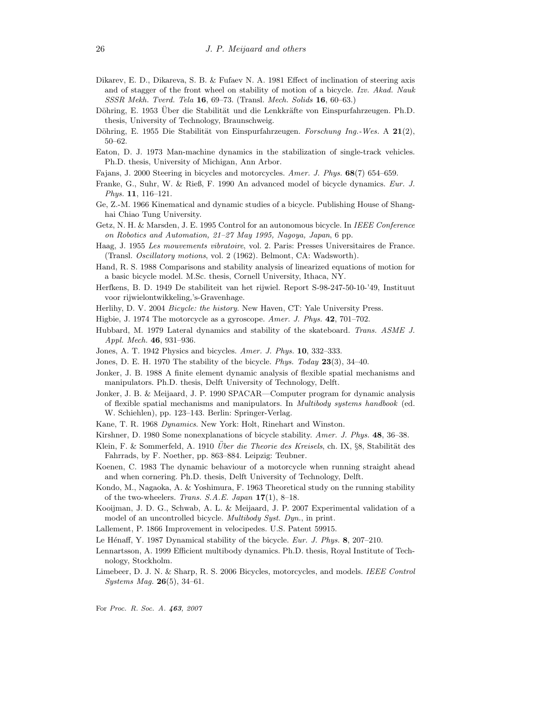- Dikarev, E. D., Dikareva, S. B. & Fufaev N. A. 1981 Effect of inclination of steering axis and of stagger of the front wheel on stability of motion of a bicycle. Izv. Akad. Nauk SSSR Mekh. Tverd. Tela 16, 69–73. (Transl. Mech. Solids 16, 60–63.)
- Döhring, E. 1953 Über die Stabilität und die Lenkkräfte von Einspurfahrzeugen. Ph.D. thesis, University of Technology, Braunschweig.
- Döhring, E. 1955 Die Stabilität von Einspurfahrzeugen. Forschung Ing.-Wes. A  $21(2)$ , 50–62.
- Eaton, D. J. 1973 Man-machine dynamics in the stabilization of single-track vehicles. Ph.D. thesis, University of Michigan, Ann Arbor.
- Fajans, J. 2000 Steering in bicycles and motorcycles. Amer. J. Phys. 68(7) 654–659.
- Franke, G., Suhr, W. & Rieß, F. 1990 An advanced model of bicycle dynamics. Eur. J. Phys. 11, 116–121.
- Ge, Z.-M. 1966 Kinematical and dynamic studies of a bicycle. Publishing House of Shanghai Chiao Tung University.
- Getz, N. H. & Marsden, J. E. 1995 Control for an autonomous bicycle. In IEEE Conference on Robotics and Automation, 21–27 May 1995, Nagoya, Japan, 6 pp.
- Haag, J. 1955 Les mouvements vibratoire, vol. 2. Paris: Presses Universitaires de France. (Transl. Oscillatory motions, vol. 2 (1962). Belmont, CA: Wadsworth).
- Hand, R. S. 1988 Comparisons and stability analysis of linearized equations of motion for a basic bicycle model. M.Sc. thesis, Cornell University, Ithaca, NY.
- Herfkens, B. D. 1949 De stabiliteit van het rijwiel. Report S-98-247-50-10-'49, Instituut voor rijwielontwikkeling,'s-Gravenhage.
- Herlihy, D. V. 2004 Bicycle: the history. New Haven, CT: Yale University Press.
- Higbie, J. 1974 The motorcycle as a gyroscope. Amer. J. Phys. 42, 701–702.
- Hubbard, M. 1979 Lateral dynamics and stability of the skateboard. Trans. ASME J. Appl. Mech.  $46, 931-936$ .
- Jones, A. T. 1942 Physics and bicycles. Amer. J. Phys. 10, 332–333.
- Jones, D. E. H. 1970 The stability of the bicycle. Phys. Today 23(3), 34-40.
- Jonker, J. B. 1988 A finite element dynamic analysis of flexible spatial mechanisms and manipulators. Ph.D. thesis, Delft University of Technology, Delft.
- Jonker, J. B. & Meijaard, J. P. 1990 SPACAR—Computer program for dynamic analysis of flexible spatial mechanisms and manipulators. In Multibody systems handbook (ed. W. Schiehlen), pp. 123–143. Berlin: Springer-Verlag.
- Kane, T. R. 1968 Dynamics. New York: Holt, Rinehart and Winston.
- Kirshner, D. 1980 Some nonexplanations of bicycle stability. Amer. J. Phys. 48, 36–38.
- Klein, F. & Sommerfeld, A. 1910 *Über die Theorie des Kreisels*, ch. IX, §8, Stabilität des Fahrrads, by F. Noether, pp. 863–884. Leipzig: Teubner.
- Koenen, C. 1983 The dynamic behaviour of a motorcycle when running straight ahead and when cornering. Ph.D. thesis, Delft University of Technology, Delft.
- Kondo, M., Nagaoka, A. & Yoshimura, F. 1963 Theoretical study on the running stability of the two-wheelers. Trans. S.A.E. Japan  $17(1)$ , 8-18.
- Kooijman, J. D. G., Schwab, A. L. & Meijaard, J. P. 2007 Experimental validation of a model of an uncontrolled bicycle. Multibody Syst. Dyn., in print.
- Lallement, P. 1866 Improvement in velocipedes. U.S. Patent 59915.
- Le Hénaff, Y. 1987 Dynamical stability of the bicycle. Eur. J. Phys.  $\bf{8}, 207-210$ .
- Lennartsson, A. 1999 Efficient multibody dynamics. Ph.D. thesis, Royal Institute of Technology, Stockholm.
- Limebeer, D. J. N. & Sharp, R. S. 2006 Bicycles, motorcycles, and models. IEEE Control *Systems Mag.* **26**(5), 34–61.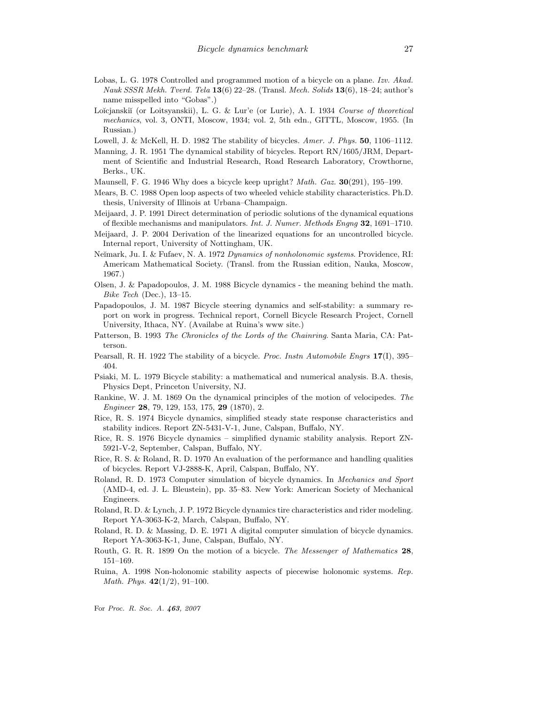- Lobas, L. G. 1978 Controlled and programmed motion of a bicycle on a plane. Izv. Akad. Nauk SSSR Mekh. Tverd. Tela  $13(6)$  22–28. (Transl. Mech. Solids  $13(6)$ , 18–24; author's name misspelled into "Gobas".)
- Loĭcjanskiĭ (or Loitsyanskii), L. G. & Lur'e (or Lurie), A. I. 1934 Course of theoretical mechanics, vol. 3, ONTI, Moscow, 1934; vol. 2, 5th edn., GITTL, Moscow, 1955. (In Russian.)
- Lowell, J. & McKell, H. D. 1982 The stability of bicycles. Amer. J. Phys. 50, 1106–1112.
- Manning, J. R. 1951 The dynamical stability of bicycles. Report RN/1605/JRM, Department of Scientific and Industrial Research, Road Research Laboratory, Crowthorne, Berks., UK.
- Maunsell, F. G. 1946 Why does a bicycle keep upright? *Math. Gaz.* **30**(291), 195–199.
- Mears, B. C. 1988 Open loop aspects of two wheeled vehicle stability characteristics. Ph.D. thesis, University of Illinois at Urbana–Champaign.
- Meijaard, J. P. 1991 Direct determination of periodic solutions of the dynamical equations of flexible mechanisms and manipulators. Int. J. Numer. Methods Engng 32, 1691–1710.
- Meijaard, J. P. 2004 Derivation of the linearized equations for an uncontrolled bicycle. Internal report, University of Nottingham, UK.
- Neĭmark, Ju. I. & Fufaev, N. A. 1972 Dynamics of nonholonomic systems. Providence, RI: Americam Mathematical Society. (Transl. from the Russian edition, Nauka, Moscow, 1967.)
- Olsen, J. & Papadopoulos, J. M. 1988 Bicycle dynamics the meaning behind the math. Bike Tech (Dec.), 13–15.
- Papadopoulos, J. M. 1987 Bicycle steering dynamics and self-stability: a summary report on work in progress. Technical report, Cornell Bicycle Research Project, Cornell University, Ithaca, NY. (Availabe at Ruina's www site.)
- Patterson, B. 1993 The Chronicles of the Lords of the Chainring. Santa Maria, CA: Patterson.
- Pearsall, R. H. 1922 The stability of a bicycle. *Proc. Instn Automobile Engrs* 17(I), 395– 404.
- Psiaki, M. L. 1979 Bicycle stability: a mathematical and numerical analysis. B.A. thesis, Physics Dept, Princeton University, NJ.
- Rankine, W. J. M. 1869 On the dynamical principles of the motion of velocipedes. The Engineer 28, 79, 129, 153, 175, 29 (1870), 2.
- Rice, R. S. 1974 Bicycle dynamics, simplified steady state response characteristics and stability indices. Report ZN-5431-V-1, June, Calspan, Buffalo, NY.
- Rice, R. S. 1976 Bicycle dynamics simplified dynamic stability analysis. Report ZN-5921-V-2, September, Calspan, Buffalo, NY.
- Rice, R. S. & Roland, R. D. 1970 An evaluation of the performance and handling qualities of bicycles. Report VJ-2888-K, April, Calspan, Buffalo, NY.
- Roland, R. D. 1973 Computer simulation of bicycle dynamics. In Mechanics and Sport (AMD-4, ed. J. L. Bleustein), pp. 35–83. New York: American Society of Mechanical Engineers.
- Roland, R. D. & Lynch, J. P. 1972 Bicycle dynamics tire characteristics and rider modeling. Report YA-3063-K-2, March, Calspan, Buffalo, NY.
- Roland, R. D. & Massing, D. E. 1971 A digital computer simulation of bicycle dynamics. Report YA-3063-K-1, June, Calspan, Buffalo, NY.
- Routh, G. R. R. 1899 On the motion of a bicycle. The Messenger of Mathematics 28, 151–169.
- Ruina, A. 1998 Non-holonomic stability aspects of piecewise holonomic systems. Rep. Math. Phys.  $42(1/2)$ , 91-100.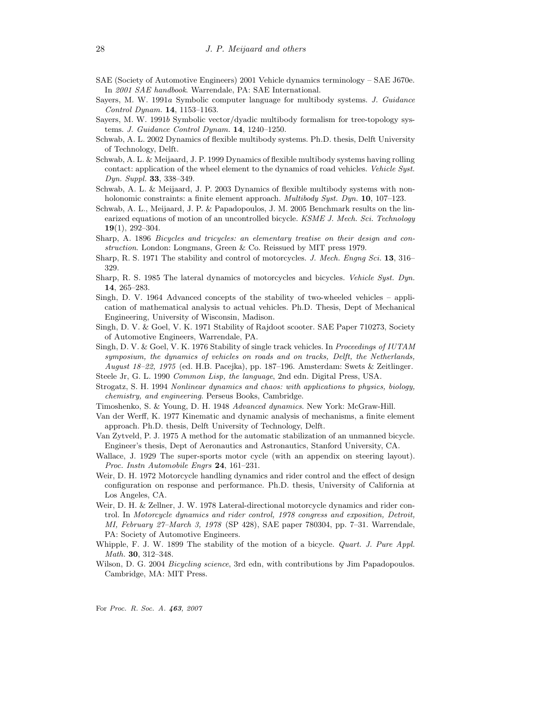- SAE (Society of Automotive Engineers) 2001 Vehicle dynamics terminology SAE J670e. In 2001 SAE handbook. Warrendale, PA: SAE International.
- Sayers, M. W. 1991a Symbolic computer language for multibody systems. J. Guidance Control Dynam. 14, 1153–1163.
- Sayers, M. W. 1991b Symbolic vector/dyadic multibody formalism for tree-topology systems. J. Guidance Control Dynam. 14, 1240–1250.
- Schwab, A. L. 2002 Dynamics of flexible multibody systems. Ph.D. thesis, Delft University of Technology, Delft.
- Schwab, A. L. & Meijaard, J. P. 1999 Dynamics of flexible multibody systems having rolling contact: application of the wheel element to the dynamics of road vehicles. Vehicle Syst. Dyn. Suppl. **33**, 338–349.
- Schwab, A. L. & Meijaard, J. P. 2003 Dynamics of flexible multibody systems with nonholonomic constraints: a finite element approach. *Multibody Syst. Dyn.* **10**, 107–123.
- Schwab, A. L., Meijaard, J. P. & Papadopoulos, J. M. 2005 Benchmark results on the linearized equations of motion of an uncontrolled bicycle. KSME J. Mech. Sci. Technology 19(1), 292–304.
- Sharp, A. 1896 Bicycles and tricycles: an elementary treatise on their design and construction. London: Longmans, Green & Co. Reissued by MIT press 1979.
- Sharp, R. S. 1971 The stability and control of motorcycles. J. Mech. Engng Sci. 13, 316– 329.
- Sharp, R. S. 1985 The lateral dynamics of motorcycles and bicycles. Vehicle Syst. Dyn. 14, 265–283.
- Singh, D. V. 1964 Advanced concepts of the stability of two-wheeled vehicles application of mathematical analysis to actual vehicles. Ph.D. Thesis, Dept of Mechanical Engineering, University of Wisconsin, Madison.
- Singh, D. V. & Goel, V. K. 1971 Stability of Rajdoot scooter. SAE Paper 710273, Society of Automotive Engineers, Warrendale, PA.
- Singh, D. V. & Goel, V. K. 1976 Stability of single track vehicles. In Proceedings of IUTAM symposium, the dynamics of vehicles on roads and on tracks, Delft, the Netherlands, August 18–22, 1975 (ed. H.B. Pacejka), pp. 187–196. Amsterdam: Swets & Zeitlinger.
- Steele Jr, G. L. 1990 Common Lisp, the language, 2nd edn. Digital Press, USA.
- Strogatz, S. H. 1994 Nonlinear dynamics and chaos: with applications to physics, biology, chemistry, and engineering. Perseus Books, Cambridge.
- Timoshenko, S. & Young, D. H. 1948 Advanced dynamics. New York: McGraw-Hill.
- Van der Werff, K. 1977 Kinematic and dynamic analysis of mechanisms, a finite element approach. Ph.D. thesis, Delft University of Technology, Delft.
- Van Zytveld, P. J. 1975 A method for the automatic stabilization of an unmanned bicycle. Engineer's thesis, Dept of Aeronautics and Astronautics, Stanford University, CA.
- Wallace, J. 1929 The super-sports motor cycle (with an appendix on steering layout). Proc. Instn Automobile Engrs 24, 161–231.
- Weir, D. H. 1972 Motorcycle handling dynamics and rider control and the effect of design configuration on response and performance. Ph.D. thesis, University of California at Los Angeles, CA.
- Weir, D. H. & Zellner, J. W. 1978 Lateral-directional motorcycle dynamics and rider control. In Motorcycle dynamics and rider control, 1978 congress and exposition, Detroit, MI, February 27–March 3, 1978 (SP 428), SAE paper 780304, pp. 7–31. Warrendale, PA: Society of Automotive Engineers.
- Whipple, F. J. W. 1899 The stability of the motion of a bicycle. *Quart. J. Pure Appl.* Math. 30, 312–348.
- Wilson, D. G. 2004 *Bicycling science*, 3rd edn, with contributions by Jim Papadopoulos. Cambridge, MA: MIT Press.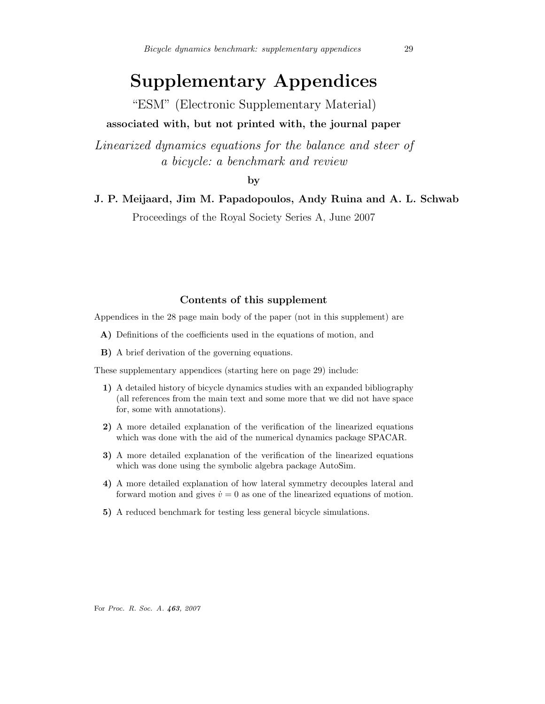# Supplementary Appendices

"ESM" (Electronic Supplementary Material)

# associated with, but not printed with, the journal paper

Linearized dynamics equations for the balance and steer of a bicycle: a benchmark and review

by

# J. P. Meijaard, Jim M. Papadopoulos, Andy Ruina and A. L. Schwab

Proceedings of the Royal Society Series A, June 2007

# Contents of this supplement

Appendices in the 28 page main body of the paper (not in this supplement) are

- A) Definitions of the coefficients used in the equations of motion, and
- B) A brief derivation of the governing equations.

These supplementary appendices (starting here on page 29) include:

- 1) A detailed history of bicycle dynamics studies with an expanded bibliography (all references from the main text and some more that we did not have space for, some with annotations).
- 2) A more detailed explanation of the verification of the linearized equations which was done with the aid of the numerical dynamics package SPACAR.
- 3) A more detailed explanation of the verification of the linearized equations which was done using the symbolic algebra package AutoSim.
- 4) A more detailed explanation of how lateral symmetry decouples lateral and forward motion and gives  $\dot{v} = 0$  as one of the linearized equations of motion.
- 5) A reduced benchmark for testing less general bicycle simulations.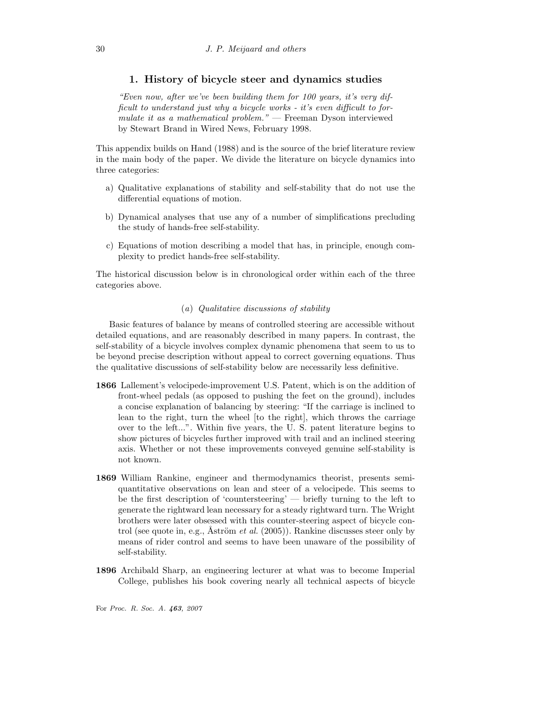# 1. History of bicycle steer and dynamics studies

"Even now, after we've been building them for 100 years, it's very difficult to understand just why a bicycle works - it's even difficult to formulate it as a mathematical problem." — Freeman Dyson interviewed by Stewart Brand in Wired News, February 1998.

This appendix builds on Hand (1988) and is the source of the brief literature review in the main body of the paper. We divide the literature on bicycle dynamics into three categories:

- a) Qualitative explanations of stability and self-stability that do not use the differential equations of motion.
- b) Dynamical analyses that use any of a number of simplifications precluding the study of hands-free self-stability.
- c) Equations of motion describing a model that has, in principle, enough complexity to predict hands-free self-stability.

The historical discussion below is in chronological order within each of the three categories above.

# (a) Qualitative discussions of stability

Basic features of balance by means of controlled steering are accessible without detailed equations, and are reasonably described in many papers. In contrast, the self-stability of a bicycle involves complex dynamic phenomena that seem to us to be beyond precise description without appeal to correct governing equations. Thus the qualitative discussions of self-stability below are necessarily less definitive.

- 1866 Lallement's velocipede-improvement U.S. Patent, which is on the addition of front-wheel pedals (as opposed to pushing the feet on the ground), includes a concise explanation of balancing by steering: "If the carriage is inclined to lean to the right, turn the wheel [to the right], which throws the carriage over to the left...". Within five years, the U. S. patent literature begins to show pictures of bicycles further improved with trail and an inclined steering axis. Whether or not these improvements conveyed genuine self-stability is not known.
- 1869 William Rankine, engineer and thermodynamics theorist, presents semiquantitative observations on lean and steer of a velocipede. This seems to be the first description of 'countersteering' — briefly turning to the left to generate the rightward lean necessary for a steady rightward turn. The Wright brothers were later obsessed with this counter-steering aspect of bicycle control (see quote in, e.g., Åström *et al.* (2005)). Rankine discusses steer only by means of rider control and seems to have been unaware of the possibility of self-stability.
- 1896 Archibald Sharp, an engineering lecturer at what was to become Imperial College, publishes his book covering nearly all technical aspects of bicycle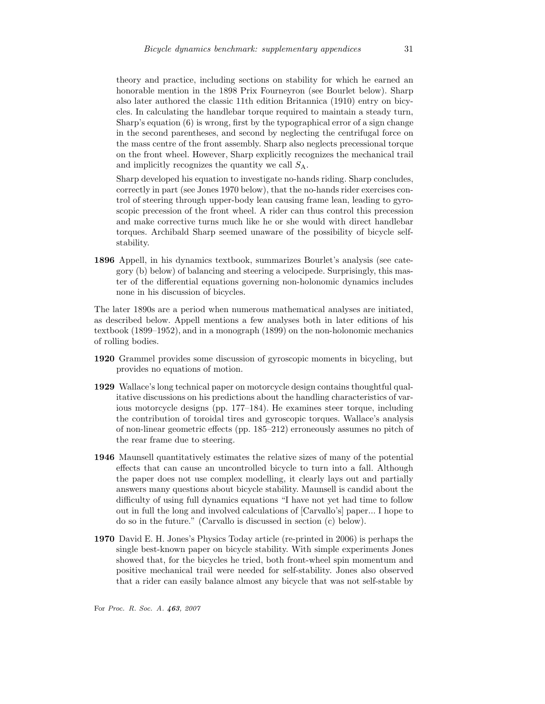theory and practice, including sections on stability for which he earned an honorable mention in the 1898 Prix Fourneyron (see Bourlet below). Sharp also later authored the classic 11th edition Britannica (1910) entry on bicycles. In calculating the handlebar torque required to maintain a steady turn, Sharp's equation (6) is wrong, first by the typographical error of a sign change in the second parentheses, and second by neglecting the centrifugal force on the mass centre of the front assembly. Sharp also neglects precessional torque on the front wheel. However, Sharp explicitly recognizes the mechanical trail and implicitly recognizes the quantity we call  $S_A$ .

Sharp developed his equation to investigate no-hands riding. Sharp concludes, correctly in part (see Jones 1970 below), that the no-hands rider exercises control of steering through upper-body lean causing frame lean, leading to gyroscopic precession of the front wheel. A rider can thus control this precession and make corrective turns much like he or she would with direct handlebar torques. Archibald Sharp seemed unaware of the possibility of bicycle selfstability.

1896 Appell, in his dynamics textbook, summarizes Bourlet's analysis (see category (b) below) of balancing and steering a velocipede. Surprisingly, this master of the differential equations governing non-holonomic dynamics includes none in his discussion of bicycles.

The later 1890s are a period when numerous mathematical analyses are initiated, as described below. Appell mentions a few analyses both in later editions of his textbook (1899–1952), and in a monograph (1899) on the non-holonomic mechanics of rolling bodies.

- 1920 Grammel provides some discussion of gyroscopic moments in bicycling, but provides no equations of motion.
- 1929 Wallace's long technical paper on motorcycle design contains thoughtful qualitative discussions on his predictions about the handling characteristics of various motorcycle designs (pp. 177–184). He examines steer torque, including the contribution of toroidal tires and gyroscopic torques. Wallace's analysis of non-linear geometric effects (pp. 185–212) erroneously assumes no pitch of the rear frame due to steering.
- 1946 Maunsell quantitatively estimates the relative sizes of many of the potential effects that can cause an uncontrolled bicycle to turn into a fall. Although the paper does not use complex modelling, it clearly lays out and partially answers many questions about bicycle stability. Maunsell is candid about the difficulty of using full dynamics equations "I have not yet had time to follow out in full the long and involved calculations of [Carvallo's] paper... I hope to do so in the future." (Carvallo is discussed in section (c) below).
- 1970 David E. H. Jones's Physics Today article (re-printed in 2006) is perhaps the single best-known paper on bicycle stability. With simple experiments Jones showed that, for the bicycles he tried, both front-wheel spin momentum and positive mechanical trail were needed for self-stability. Jones also observed that a rider can easily balance almost any bicycle that was not self-stable by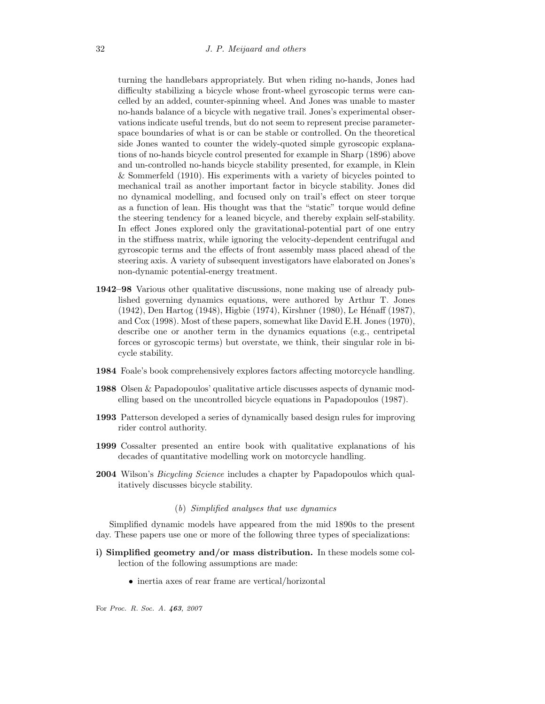turning the handlebars appropriately. But when riding no-hands, Jones had difficulty stabilizing a bicycle whose front-wheel gyroscopic terms were cancelled by an added, counter-spinning wheel. And Jones was unable to master no-hands balance of a bicycle with negative trail. Jones's experimental observations indicate useful trends, but do not seem to represent precise parameterspace boundaries of what is or can be stable or controlled. On the theoretical side Jones wanted to counter the widely-quoted simple gyroscopic explanations of no-hands bicycle control presented for example in Sharp (1896) above and un-controlled no-hands bicycle stability presented, for example, in Klein & Sommerfeld (1910). His experiments with a variety of bicycles pointed to mechanical trail as another important factor in bicycle stability. Jones did no dynamical modelling, and focused only on trail's effect on steer torque as a function of lean. His thought was that the "static" torque would define the steering tendency for a leaned bicycle, and thereby explain self-stability. In effect Jones explored only the gravitational-potential part of one entry in the stiffness matrix, while ignoring the velocity-dependent centrifugal and gyroscopic terms and the effects of front assembly mass placed ahead of the steering axis. A variety of subsequent investigators have elaborated on Jones's non-dynamic potential-energy treatment.

- 1942–98 Various other qualitative discussions, none making use of already published governing dynamics equations, were authored by Arthur T. Jones (1942), Den Hartog (1948), Higbie (1974), Kirshner (1980), Le Hénaff (1987), and Cox (1998). Most of these papers, somewhat like David E.H. Jones (1970), describe one or another term in the dynamics equations (e.g., centripetal forces or gyroscopic terms) but overstate, we think, their singular role in bicycle stability.
- 1984 Foale's book comprehensively explores factors affecting motorcycle handling.
- 1988 Olsen & Papadopoulos' qualitative article discusses aspects of dynamic modelling based on the uncontrolled bicycle equations in Papadopoulos (1987).
- 1993 Patterson developed a series of dynamically based design rules for improving rider control authority.
- 1999 Cossalter presented an entire book with qualitative explanations of his decades of quantitative modelling work on motorcycle handling.
- 2004 Wilson's *Bicycling Science* includes a chapter by Papadopoulos which qualitatively discusses bicycle stability.

#### (b) Simplified analyses that use dynamics

Simplified dynamic models have appeared from the mid 1890s to the present day. These papers use one or more of the following three types of specializations:

- i) Simplified geometry and/or mass distribution. In these models some collection of the following assumptions are made:
	- inertia axes of rear frame are vertical/horizontal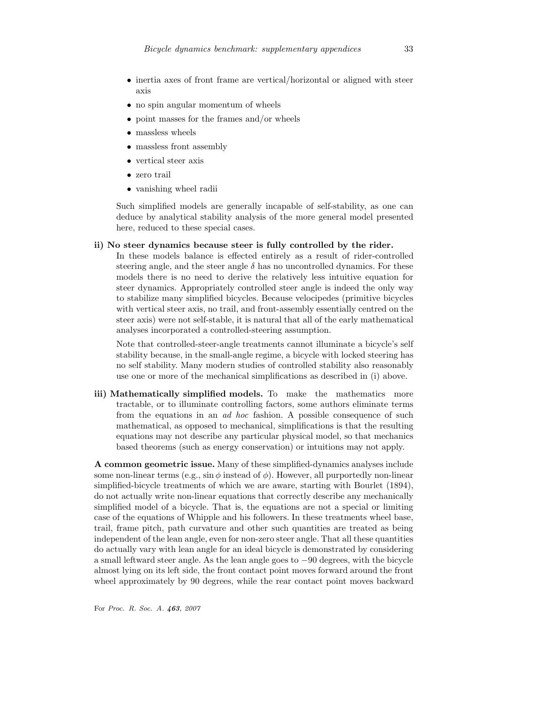- inertia axes of front frame are vertical/horizontal or aligned with steer axis
- no spin angular momentum of wheels
- point masses for the frames and/or wheels
- massless wheels
- massless front assembly
- vertical steer axis
- zero trail
- vanishing wheel radii

Such simplified models are generally incapable of self-stability, as one can deduce by analytical stability analysis of the more general model presented here, reduced to these special cases.

### ii) No steer dynamics because steer is fully controlled by the rider.

In these models balance is effected entirely as a result of rider-controlled steering angle, and the steer angle  $\delta$  has no uncontrolled dynamics. For these models there is no need to derive the relatively less intuitive equation for steer dynamics. Appropriately controlled steer angle is indeed the only way to stabilize many simplified bicycles. Because velocipedes (primitive bicycles with vertical steer axis, no trail, and front-assembly essentially centred on the steer axis) were not self-stable, it is natural that all of the early mathematical analyses incorporated a controlled-steering assumption.

Note that controlled-steer-angle treatments cannot illuminate a bicycle's self stability because, in the small-angle regime, a bicycle with locked steering has no self stability. Many modern studies of controlled stability also reasonably use one or more of the mechanical simplifications as described in (i) above.

iii) Mathematically simplified models. To make the mathematics more tractable, or to illuminate controlling factors, some authors eliminate terms from the equations in an ad hoc fashion. A possible consequence of such mathematical, as opposed to mechanical, simplifications is that the resulting equations may not describe any particular physical model, so that mechanics based theorems (such as energy conservation) or intuitions may not apply.

A common geometric issue. Many of these simplified-dynamics analyses include some non-linear terms (e.g.,  $\sin \phi$  instead of  $\phi$ ). However, all purportedly non-linear simplified-bicycle treatments of which we are aware, starting with Bourlet (1894), do not actually write non-linear equations that correctly describe any mechanically simplified model of a bicycle. That is, the equations are not a special or limiting case of the equations of Whipple and his followers. In these treatments wheel base, trail, frame pitch, path curvature and other such quantities are treated as being independent of the lean angle, even for non-zero steer angle. That all these quantities do actually vary with lean angle for an ideal bicycle is demonstrated by considering a small leftward steer angle. As the lean angle goes to −90 degrees, with the bicycle almost lying on its left side, the front contact point moves forward around the front wheel approximately by 90 degrees, while the rear contact point moves backward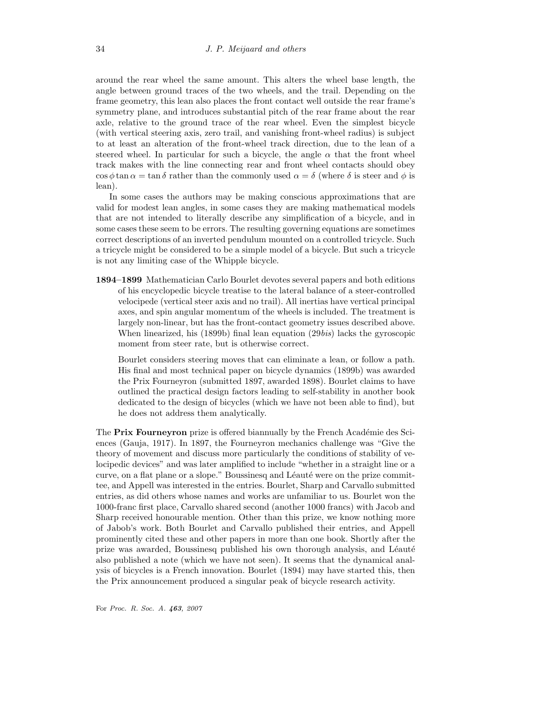around the rear wheel the same amount. This alters the wheel base length, the angle between ground traces of the two wheels, and the trail. Depending on the frame geometry, this lean also places the front contact well outside the rear frame's symmetry plane, and introduces substantial pitch of the rear frame about the rear axle, relative to the ground trace of the rear wheel. Even the simplest bicycle (with vertical steering axis, zero trail, and vanishing front-wheel radius) is subject to at least an alteration of the front-wheel track direction, due to the lean of a steered wheel. In particular for such a bicycle, the angle  $\alpha$  that the front wheel track makes with the line connecting rear and front wheel contacts should obey  $\cos \phi \tan \alpha = \tan \delta$  rather than the commonly used  $\alpha = \delta$  (where  $\delta$  is steer and  $\phi$  is lean).

In some cases the authors may be making conscious approximations that are valid for modest lean angles, in some cases they are making mathematical models that are not intended to literally describe any simplification of a bicycle, and in some cases these seem to be errors. The resulting governing equations are sometimes correct descriptions of an inverted pendulum mounted on a controlled tricycle. Such a tricycle might be considered to be a simple model of a bicycle. But such a tricycle is not any limiting case of the Whipple bicycle.

1894–1899 Mathematician Carlo Bourlet devotes several papers and both editions of his encyclopedic bicycle treatise to the lateral balance of a steer-controlled velocipede (vertical steer axis and no trail). All inertias have vertical principal axes, and spin angular momentum of the wheels is included. The treatment is largely non-linear, but has the front-contact geometry issues described above. When linearized, his (1899b) final lean equation (29bis) lacks the gyroscopic moment from steer rate, but is otherwise correct.

Bourlet considers steering moves that can eliminate a lean, or follow a path. His final and most technical paper on bicycle dynamics (1899b) was awarded the Prix Fourneyron (submitted 1897, awarded 1898). Bourlet claims to have outlined the practical design factors leading to self-stability in another book dedicated to the design of bicycles (which we have not been able to find), but he does not address them analytically.

The Prix Fourneyron prize is offered biannually by the French Académie des Sciences (Gauja, 1917). In 1897, the Fourneyron mechanics challenge was "Give the theory of movement and discuss more particularly the conditions of stability of velocipedic devices" and was later amplified to include "whether in a straight line or a curve, on a flat plane or a slope." Boussinesq and Léauté were on the prize committee, and Appell was interested in the entries. Bourlet, Sharp and Carvallo submitted entries, as did others whose names and works are unfamiliar to us. Bourlet won the 1000-franc first place, Carvallo shared second (another 1000 francs) with Jacob and Sharp received honourable mention. Other than this prize, we know nothing more of Jabob's work. Both Bourlet and Carvallo published their entries, and Appell prominently cited these and other papers in more than one book. Shortly after the prize was awarded, Boussinesq published his own thorough analysis, and Léauté also published a note (which we have not seen). It seems that the dynamical analysis of bicycles is a French innovation. Bourlet (1894) may have started this, then the Prix announcement produced a singular peak of bicycle research activity.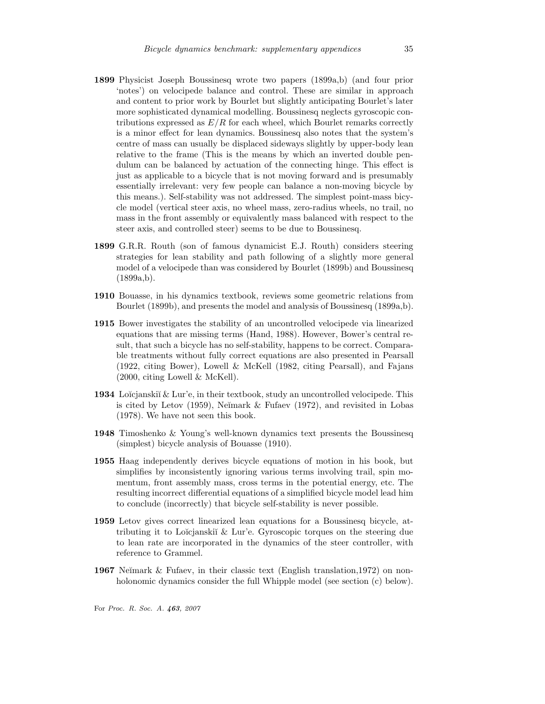- 1899 Physicist Joseph Boussinesq wrote two papers (1899a,b) (and four prior 'notes') on velocipede balance and control. These are similar in approach and content to prior work by Bourlet but slightly anticipating Bourlet's later more sophisticated dynamical modelling. Boussinesq neglects gyroscopic contributions expressed as  $E/R$  for each wheel, which Bourlet remarks correctly is a minor effect for lean dynamics. Boussinesq also notes that the system's centre of mass can usually be displaced sideways slightly by upper-body lean relative to the frame (This is the means by which an inverted double pendulum can be balanced by actuation of the connecting hinge. This effect is just as applicable to a bicycle that is not moving forward and is presumably essentially irrelevant: very few people can balance a non-moving bicycle by this means.). Self-stability was not addressed. The simplest point-mass bicycle model (vertical steer axis, no wheel mass, zero-radius wheels, no trail, no mass in the front assembly or equivalently mass balanced with respect to the steer axis, and controlled steer) seems to be due to Boussinesq.
- 1899 G.R.R. Routh (son of famous dynamicist E.J. Routh) considers steering strategies for lean stability and path following of a slightly more general model of a velocipede than was considered by Bourlet (1899b) and Boussinesq  $(1899a,b).$
- 1910 Bouasse, in his dynamics textbook, reviews some geometric relations from Bourlet (1899b), and presents the model and analysis of Boussinesq (1899a,b).
- 1915 Bower investigates the stability of an uncontrolled velocipede via linearized equations that are missing terms (Hand, 1988). However, Bower's central result, that such a bicycle has no self-stability, happens to be correct. Comparable treatments without fully correct equations are also presented in Pearsall (1922, citing Bower), Lowell & McKell (1982, citing Pearsall), and Fajans (2000, citing Lowell & McKell).
- **1934** Loïcjanskiĭ & Lur'e, in their textbook, study an uncontrolled velocipede. This is cited by Letov (1959), Neĭmark  $&$  Fufaev (1972), and revisited in Lobas (1978). We have not seen this book.
- 1948 Timoshenko & Young's well-known dynamics text presents the Boussinesq (simplest) bicycle analysis of Bouasse (1910).
- 1955 Haag independently derives bicycle equations of motion in his book, but simplifies by inconsistently ignoring various terms involving trail, spin momentum, front assembly mass, cross terms in the potential energy, etc. The resulting incorrect differential equations of a simplified bicycle model lead him to conclude (incorrectly) that bicycle self-stability is never possible.
- 1959 Letov gives correct linearized lean equations for a Boussinesq bicycle, attributing it to Loĭcjanskiĭ  $& Lur'e. Gyroscopic torques on the steering due$ to lean rate are incorporated in the dynamics of the steer controller, with reference to Grammel.
- **1967** Neĭmark & Fufaev, in their classic text (English translation, 1972) on nonholonomic dynamics consider the full Whipple model (see section (c) below).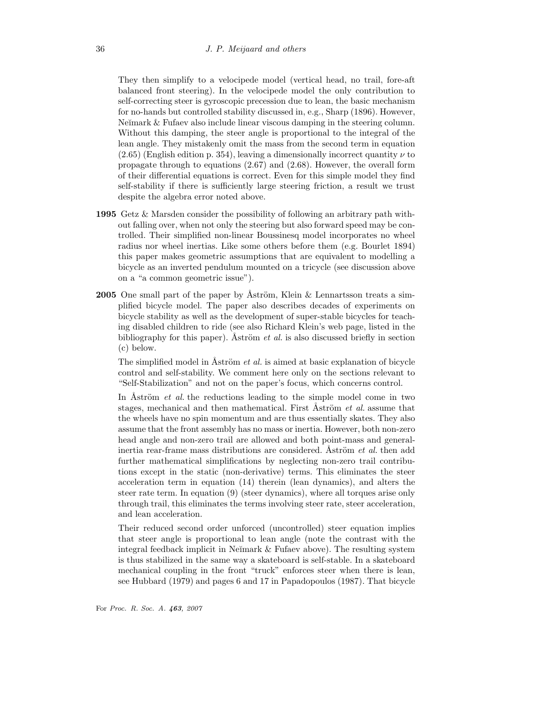They then simplify to a velocipede model (vertical head, no trail, fore-aft balanced front steering). In the velocipede model the only contribution to self-correcting steer is gyroscopic precession due to lean, the basic mechanism for no-hands but controlled stability discussed in, e.g., Sharp (1896). However, Neĭmark & Fufaev also include linear viscous damping in the steering column. Without this damping, the steer angle is proportional to the integral of the lean angle. They mistakenly omit the mass from the second term in equation  $(2.65)$  (English edition p. 354), leaving a dimensionally incorrect quantity  $\nu$  to propagate through to equations (2.67) and (2.68). However, the overall form of their differential equations is correct. Even for this simple model they find self-stability if there is sufficiently large steering friction, a result we trust despite the algebra error noted above.

- 1995 Getz & Marsden consider the possibility of following an arbitrary path without falling over, when not only the steering but also forward speed may be controlled. Their simplified non-linear Boussinesq model incorporates no wheel radius nor wheel inertias. Like some others before them (e.g. Bourlet 1894) this paper makes geometric assumptions that are equivalent to modelling a bicycle as an inverted pendulum mounted on a tricycle (see discussion above on a "a common geometric issue").
- **2005** One small part of the paper by Åström, Klein & Lennartsson treats a simplified bicycle model. The paper also describes decades of experiments on bicycle stability as well as the development of super-stable bicycles for teaching disabled children to ride (see also Richard Klein's web page, listed in the bibliography for this paper). Aström *et al.* is also discussed briefly in section (c) below.

The simplified model in Åström  $et$  al. is aimed at basic explanation of bicycle control and self-stability. We comment here only on the sections relevant to "Self-Stabilization" and not on the paper's focus, which concerns control.

In Aström *et al.* the reductions leading to the simple model come in two stages, mechanical and then mathematical. First Aström *et al.* assume that the wheels have no spin momentum and are thus essentially skates. They also assume that the front assembly has no mass or inertia. However, both non-zero head angle and non-zero trail are allowed and both point-mass and generalinertia rear-frame mass distributions are considered. Aström *et al.* then add further mathematical simplifications by neglecting non-zero trail contributions except in the static (non-derivative) terms. This eliminates the steer acceleration term in equation (14) therein (lean dynamics), and alters the steer rate term. In equation (9) (steer dynamics), where all torques arise only through trail, this eliminates the terms involving steer rate, steer acceleration, and lean acceleration.

Their reduced second order unforced (uncontrolled) steer equation implies that steer angle is proportional to lean angle (note the contrast with the integral feedback implicit in Ne $\gamma$  mark  $\&$  Fufaev above). The resulting system is thus stabilized in the same way a skateboard is self-stable. In a skateboard mechanical coupling in the front "truck" enforces steer when there is lean, see Hubbard (1979) and pages 6 and 17 in Papadopoulos (1987). That bicycle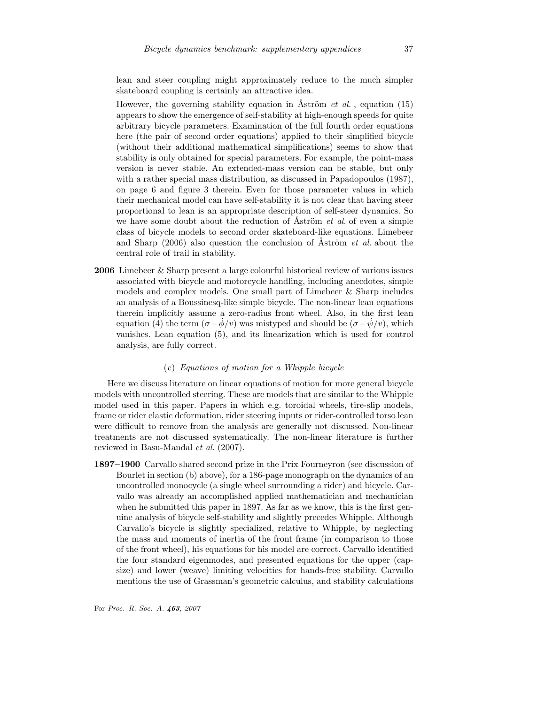lean and steer coupling might approximately reduce to the much simpler skateboard coupling is certainly an attractive idea.

However, the governing stability equation in Aström *et al.*, equation (15) appears to show the emergence of self-stability at high-enough speeds for quite arbitrary bicycle parameters. Examination of the full fourth order equations here (the pair of second order equations) applied to their simplified bicycle (without their additional mathematical simplifications) seems to show that stability is only obtained for special parameters. For example, the point-mass version is never stable. An extended-mass version can be stable, but only with a rather special mass distribution, as discussed in Papadopoulos (1987), on page 6 and figure 3 therein. Even for those parameter values in which their mechanical model can have self-stability it is not clear that having steer proportional to lean is an appropriate description of self-steer dynamics. So we have some doubt about the reduction of  $\tilde{A}$ ström *et al.* of even a simple class of bicycle models to second order skateboard-like equations. Limebeer and Sharp  $(2006)$  also question the conclusion of Aström *et al.* about the central role of trail in stability.

2006 Limebeer & Sharp present a large colourful historical review of various issues associated with bicycle and motorcycle handling, including anecdotes, simple models and complex models. One small part of Limebeer & Sharp includes an analysis of a Boussinesq-like simple bicycle. The non-linear lean equations therein implicitly assume a zero-radius front wheel. Also, in the first lean equation (4) the term  $(\sigma - \dot{\phi}/v)$  was mistyped and should be  $(\sigma - \dot{\psi}/v)$ , which vanishes. Lean equation (5), and its linearization which is used for control analysis, are fully correct.

#### (c) Equations of motion for a Whipple bicycle

Here we discuss literature on linear equations of motion for more general bicycle models with uncontrolled steering. These are models that are similar to the Whipple model used in this paper. Papers in which e.g. toroidal wheels, tire-slip models, frame or rider elastic deformation, rider steering inputs or rider-controlled torso lean were difficult to remove from the analysis are generally not discussed. Non-linear treatments are not discussed systematically. The non-linear literature is further reviewed in Basu-Mandal et al. (2007).

1897–1900 Carvallo shared second prize in the Prix Fourneyron (see discussion of Bourlet in section (b) above), for a 186-page monograph on the dynamics of an uncontrolled monocycle (a single wheel surrounding a rider) and bicycle. Carvallo was already an accomplished applied mathematician and mechanician when he submitted this paper in 1897. As far as we know, this is the first genuine analysis of bicycle self-stability and slightly precedes Whipple. Although Carvallo's bicycle is slightly specialized, relative to Whipple, by neglecting the mass and moments of inertia of the front frame (in comparison to those of the front wheel), his equations for his model are correct. Carvallo identified the four standard eigenmodes, and presented equations for the upper (capsize) and lower (weave) limiting velocities for hands-free stability. Carvallo mentions the use of Grassman's geometric calculus, and stability calculations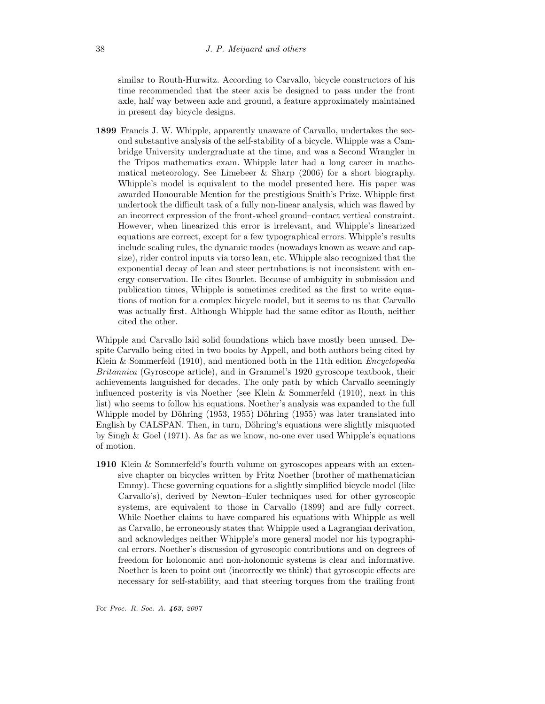similar to Routh-Hurwitz. According to Carvallo, bicycle constructors of his time recommended that the steer axis be designed to pass under the front axle, half way between axle and ground, a feature approximately maintained in present day bicycle designs.

1899 Francis J. W. Whipple, apparently unaware of Carvallo, undertakes the second substantive analysis of the self-stability of a bicycle. Whipple was a Cambridge University undergraduate at the time, and was a Second Wrangler in the Tripos mathematics exam. Whipple later had a long career in mathematical meteorology. See Limebeer  $\&$  Sharp (2006) for a short biography. Whipple's model is equivalent to the model presented here. His paper was awarded Honourable Mention for the prestigious Smith's Prize. Whipple first undertook the difficult task of a fully non-linear analysis, which was flawed by an incorrect expression of the front-wheel ground–contact vertical constraint. However, when linearized this error is irrelevant, and Whipple's linearized equations are correct, except for a few typographical errors. Whipple's results include scaling rules, the dynamic modes (nowadays known as weave and capsize), rider control inputs via torso lean, etc. Whipple also recognized that the exponential decay of lean and steer pertubations is not inconsistent with energy conservation. He cites Bourlet. Because of ambiguity in submission and publication times, Whipple is sometimes credited as the first to write equations of motion for a complex bicycle model, but it seems to us that Carvallo was actually first. Although Whipple had the same editor as Routh, neither cited the other.

Whipple and Carvallo laid solid foundations which have mostly been unused. Despite Carvallo being cited in two books by Appell, and both authors being cited by Klein & Sommerfeld (1910), and mentioned both in the 11th edition *Encyclopedia* Britannica (Gyroscope article), and in Grammel's 1920 gyroscope textbook, their achievements languished for decades. The only path by which Carvallo seemingly influenced posterity is via Noether (see Klein  $\&$  Sommerfeld (1910), next in this list) who seems to follow his equations. Noether's analysis was expanded to the full Whipple model by Döhring (1953, 1955) Döhring (1955) was later translated into English by CALSPAN. Then, in turn, Döhring's equations were slightly misquoted by Singh & Goel (1971). As far as we know, no-one ever used Whipple's equations of motion.

1910 Klein & Sommerfeld's fourth volume on gyroscopes appears with an extensive chapter on bicycles written by Fritz Noether (brother of mathematician Emmy). These governing equations for a slightly simplified bicycle model (like Carvallo's), derived by Newton–Euler techniques used for other gyroscopic systems, are equivalent to those in Carvallo (1899) and are fully correct. While Noether claims to have compared his equations with Whipple as well as Carvallo, he erroneously states that Whipple used a Lagrangian derivation, and acknowledges neither Whipple's more general model nor his typographical errors. Noether's discussion of gyroscopic contributions and on degrees of freedom for holonomic and non-holonomic systems is clear and informative. Noether is keen to point out (incorrectly we think) that gyroscopic effects are necessary for self-stability, and that steering torques from the trailing front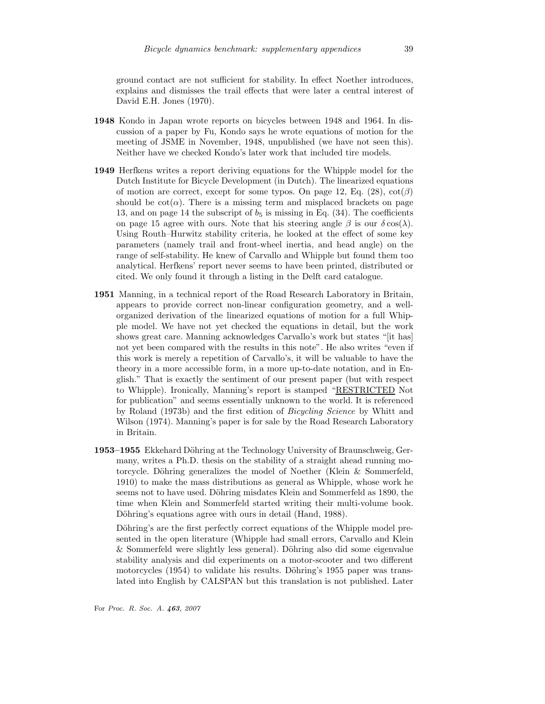ground contact are not sufficient for stability. In effect Noether introduces, explains and dismisses the trail effects that were later a central interest of David E.H. Jones (1970).

- 1948 Kondo in Japan wrote reports on bicycles between 1948 and 1964. In discussion of a paper by Fu, Kondo says he wrote equations of motion for the meeting of JSME in November, 1948, unpublished (we have not seen this). Neither have we checked Kondo's later work that included tire models.
- 1949 Herfkens writes a report deriving equations for the Whipple model for the Dutch Institute for Bicycle Development (in Dutch). The linearized equations of motion are correct, except for some typos. On page 12, Eq. (28),  $cot(\beta)$ should be  $\cot(\alpha)$ . There is a missing term and misplaced brackets on page 13, and on page 14 the subscript of  $b_5$  is missing in Eq. (34). The coefficients on page 15 agree with ours. Note that his steering angle  $\beta$  is our  $\delta \cos(\lambda)$ . Using Routh–Hurwitz stability criteria, he looked at the effect of some key parameters (namely trail and front-wheel inertia, and head angle) on the range of self-stability. He knew of Carvallo and Whipple but found them too analytical. Herfkens' report never seems to have been printed, distributed or cited. We only found it through a listing in the Delft card catalogue.
- 1951 Manning, in a technical report of the Road Research Laboratory in Britain, appears to provide correct non-linear configuration geometry, and a wellorganized derivation of the linearized equations of motion for a full Whipple model. We have not yet checked the equations in detail, but the work shows great care. Manning acknowledges Carvallo's work but states "[it has] not yet been compared with the results in this note". He also writes "even if this work is merely a repetition of Carvallo's, it will be valuable to have the theory in a more accessible form, in a more up-to-date notation, and in English." That is exactly the sentiment of our present paper (but with respect to Whipple). Ironically, Manning's report is stamped "RESTRICTED Not for publication" and seems essentially unknown to the world. It is referenced by Roland (1973b) and the first edition of Bicycling Science by Whitt and Wilson (1974). Manning's paper is for sale by the Road Research Laboratory in Britain.
- 1953–1955 Ekkehard Döhring at the Technology University of Braunschweig, Germany, writes a Ph.D. thesis on the stability of a straight ahead running motorcycle. Döhring generalizes the model of Noether (Klein  $\&$  Sommerfeld, 1910) to make the mass distributions as general as Whipple, whose work he seems not to have used. Döhring misdates Klein and Sommerfeld as 1890, the time when Klein and Sommerfeld started writing their multi-volume book. Döhring's equations agree with ours in detail (Hand, 1988).

Döhring's are the first perfectly correct equations of the Whipple model presented in the open literature (Whipple had small errors, Carvallo and Klein  $&$  Sommerfeld were slightly less general). Döhring also did some eigenvalue stability analysis and did experiments on a motor-scooter and two different motorcycles  $(1954)$  to validate his results. Döhring's 1955 paper was translated into English by CALSPAN but this translation is not published. Later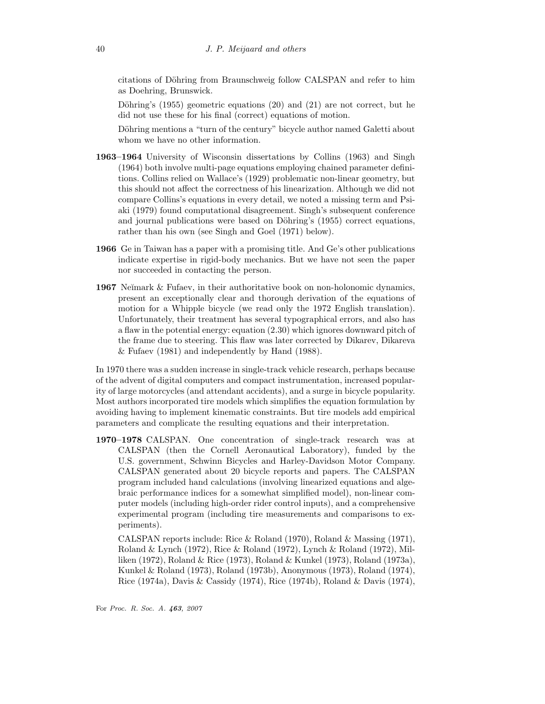citations of Döhring from Braunschweig follow CALSPAN and refer to him as Doehring, Brunswick.

Döhring's  $(1955)$  geometric equations  $(20)$  and  $(21)$  are not correct, but he did not use these for his final (correct) equations of motion.

Döhring mentions a "turn of the century" bicycle author named Galetti about whom we have no other information.

- 1963–1964 University of Wisconsin dissertations by Collins (1963) and Singh (1964) both involve multi-page equations employing chained parameter definitions. Collins relied on Wallace's (1929) problematic non-linear geometry, but this should not affect the correctness of his linearization. Although we did not compare Collins's equations in every detail, we noted a missing term and Psiaki (1979) found computational disagreement. Singh's subsequent conference and journal publications were based on Döhring's (1955) correct equations, rather than his own (see Singh and Goel (1971) below).
- 1966 Ge in Taiwan has a paper with a promising title. And Ge's other publications indicate expertise in rigid-body mechanics. But we have not seen the paper nor succeeded in contacting the person.
- **1967** Ne $\text{Y}$  Meximark & Fufaev, in their authoritative book on non-holonomic dynamics, present an exceptionally clear and thorough derivation of the equations of motion for a Whipple bicycle (we read only the 1972 English translation). Unfortunately, their treatment has several typographical errors, and also has a flaw in the potential energy: equation (2.30) which ignores downward pitch of the frame due to steering. This flaw was later corrected by Dikarev, Dikareva & Fufaev (1981) and independently by Hand (1988).

In 1970 there was a sudden increase in single-track vehicle research, perhaps because of the advent of digital computers and compact instrumentation, increased popularity of large motorcycles (and attendant accidents), and a surge in bicycle popularity. Most authors incorporated tire models which simplifies the equation formulation by avoiding having to implement kinematic constraints. But tire models add empirical parameters and complicate the resulting equations and their interpretation.

1970–1978 CALSPAN. One concentration of single-track research was at CALSPAN (then the Cornell Aeronautical Laboratory), funded by the U.S. government, Schwinn Bicycles and Harley-Davidson Motor Company. CALSPAN generated about 20 bicycle reports and papers. The CALSPAN program included hand calculations (involving linearized equations and algebraic performance indices for a somewhat simplified model), non-linear computer models (including high-order rider control inputs), and a comprehensive experimental program (including tire measurements and comparisons to experiments).

CALSPAN reports include: Rice & Roland (1970), Roland & Massing (1971), Roland & Lynch (1972), Rice & Roland (1972), Lynch & Roland (1972), Milliken (1972), Roland & Rice (1973), Roland & Kunkel (1973), Roland (1973a), Kunkel & Roland (1973), Roland (1973b), Anonymous (1973), Roland (1974), Rice (1974a), Davis & Cassidy (1974), Rice (1974b), Roland & Davis (1974),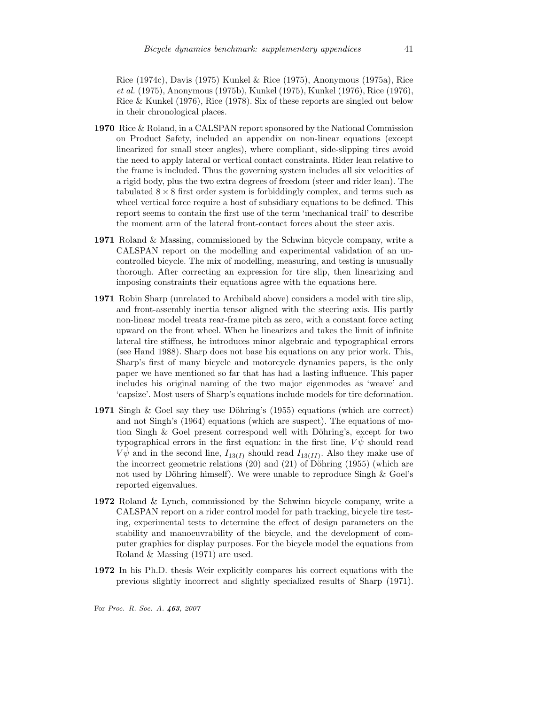Rice (1974c), Davis (1975) Kunkel & Rice (1975), Anonymous (1975a), Rice et al. (1975), Anonymous (1975b), Kunkel (1975), Kunkel (1976), Rice (1976), Rice & Kunkel (1976), Rice (1978). Six of these reports are singled out below in their chronological places.

- 1970 Rice & Roland, in a CALSPAN report sponsored by the National Commission on Product Safety, included an appendix on non-linear equations (except linearized for small steer angles), where compliant, side-slipping tires avoid the need to apply lateral or vertical contact constraints. Rider lean relative to the frame is included. Thus the governing system includes all six velocities of a rigid body, plus the two extra degrees of freedom (steer and rider lean). The tabulated  $8 \times 8$  first order system is forbiddingly complex, and terms such as wheel vertical force require a host of subsidiary equations to be defined. This report seems to contain the first use of the term 'mechanical trail' to describe the moment arm of the lateral front-contact forces about the steer axis.
- 1971 Roland & Massing, commissioned by the Schwinn bicycle company, write a CALSPAN report on the modelling and experimental validation of an uncontrolled bicycle. The mix of modelling, measuring, and testing is unusually thorough. After correcting an expression for tire slip, then linearizing and imposing constraints their equations agree with the equations here.
- 1971 Robin Sharp (unrelated to Archibald above) considers a model with tire slip, and front-assembly inertia tensor aligned with the steering axis. His partly non-linear model treats rear-frame pitch as zero, with a constant force acting upward on the front wheel. When he linearizes and takes the limit of infinite lateral tire stiffness, he introduces minor algebraic and typographical errors (see Hand 1988). Sharp does not base his equations on any prior work. This, Sharp's first of many bicycle and motorcycle dynamics papers, is the only paper we have mentioned so far that has had a lasting influence. This paper includes his original naming of the two major eigenmodes as 'weave' and 'capsize'. Most users of Sharp's equations include models for tire deformation.
- 1971 Singh & Goel say they use Döhring's  $(1955)$  equations (which are correct) and not Singh's (1964) equations (which are suspect). The equations of motion Singh  $\&$  Goel present correspond well with Döhring's, except for two typographical errors in the first equation: in the first line,  $V\ddot{\psi}$  should read  $V\dot{\psi}$  and in the second line,  $I_{13(I)}$  should read  $I_{13(II)}$ . Also they make use of the incorrect geometric relations  $(20)$  and  $(21)$  of Döhring  $(1955)$  (which are not used by Döhring himself). We were unable to reproduce Singh  $&$  Goel's reported eigenvalues.
- 1972 Roland & Lynch, commissioned by the Schwinn bicycle company, write a CALSPAN report on a rider control model for path tracking, bicycle tire testing, experimental tests to determine the effect of design parameters on the stability and manoeuvrability of the bicycle, and the development of computer graphics for display purposes. For the bicycle model the equations from Roland & Massing (1971) are used.
- 1972 In his Ph.D. thesis Weir explicitly compares his correct equations with the previous slightly incorrect and slightly specialized results of Sharp (1971).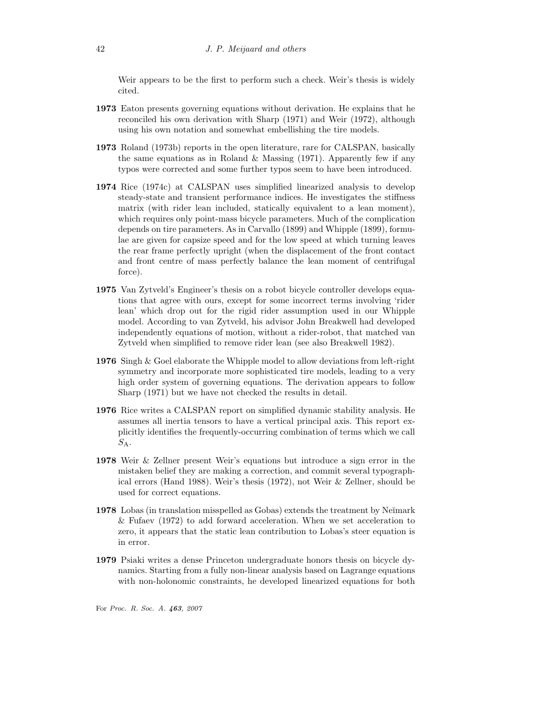Weir appears to be the first to perform such a check. Weir's thesis is widely cited.

- 1973 Eaton presents governing equations without derivation. He explains that he reconciled his own derivation with Sharp (1971) and Weir (1972), although using his own notation and somewhat embellishing the tire models.
- 1973 Roland (1973b) reports in the open literature, rare for CALSPAN, basically the same equations as in Roland & Massing  $(1971)$ . Apparently few if any typos were corrected and some further typos seem to have been introduced.
- 1974 Rice (1974c) at CALSPAN uses simplified linearized analysis to develop steady-state and transient performance indices. He investigates the stiffness matrix (with rider lean included, statically equivalent to a lean moment), which requires only point-mass bicycle parameters. Much of the complication depends on tire parameters. As in Carvallo (1899) and Whipple (1899), formulae are given for capsize speed and for the low speed at which turning leaves the rear frame perfectly upright (when the displacement of the front contact and front centre of mass perfectly balance the lean moment of centrifugal force).
- 1975 Van Zytveld's Engineer's thesis on a robot bicycle controller develops equations that agree with ours, except for some incorrect terms involving 'rider lean' which drop out for the rigid rider assumption used in our Whipple model. According to van Zytveld, his advisor John Breakwell had developed independently equations of motion, without a rider-robot, that matched van Zytveld when simplified to remove rider lean (see also Breakwell 1982).
- 1976 Singh & Goel elaborate the Whipple model to allow deviations from left-right symmetry and incorporate more sophisticated tire models, leading to a very high order system of governing equations. The derivation appears to follow Sharp (1971) but we have not checked the results in detail.
- 1976 Rice writes a CALSPAN report on simplified dynamic stability analysis. He assumes all inertia tensors to have a vertical principal axis. This report explicitly identifies the frequently-occurring combination of terms which we call  $S_A$ .
- 1978 Weir & Zellner present Weir's equations but introduce a sign error in the mistaken belief they are making a correction, and commit several typographical errors (Hand 1988). Weir's thesis (1972), not Weir & Zellner, should be used for correct equations.
- 1978 Lobas (in translation misspelled as Gobas) extends the treatment by Ne $\gamma$ mark & Fufaev (1972) to add forward acceleration. When we set acceleration to zero, it appears that the static lean contribution to Lobas's steer equation is in error.
- 1979 Psiaki writes a dense Princeton undergraduate honors thesis on bicycle dynamics. Starting from a fully non-linear analysis based on Lagrange equations with non-holonomic constraints, he developed linearized equations for both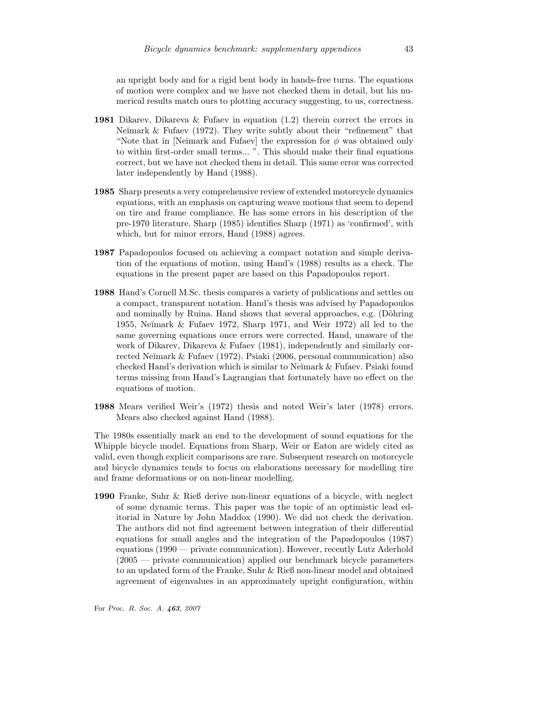an upright body and for a rigid bent body in hands-free turns. The equations of motion were complex and we have not checked them in detail, but his numerical results match ours to plotting accuracy suggesting, to us, correctness.

- 1981 Dikarev, Dikareva & Fufaev in equation (1.2) therein correct the errors in Ne $\check{\mathbf{m}}$  ark  $\&$  Fufaev (1972). They write subtly about their "refinement" that "Note that in [Neimark and Fufaev] the expression for  $\phi$  was obtained only to within first-order small terms... ". This should make their final equations correct, but we have not checked them in detail. This same error was corrected later independently by Hand (1988).
- 1985 Sharp presents a very comprehensive review of extended motorcycle dynamics equations, with an emphasis on capturing weave motions that seem to depend on tire and frame compliance. He has some errors in his description of the pre-1970 literature. Sharp (1985) identifies Sharp (1971) as 'confirmed', with which, but for minor errors, Hand (1988) agrees.
- 1987 Papadopoulos focused on achieving a compact notation and simple derivation of the equations of motion, using Hand's (1988) results as a check. The equations in the present paper are based on this Papadopoulos report.
- 1988 Hand's Cornell M.Sc. thesis compares a variety of publications and settles on a compact, transparent notation. Hand's thesis was advised by Papadopoulos and nominally by Ruina. Hand shows that several approaches, e.g.  $(D\ddot{\text{ohring}})$ 1955, Ne˘ımark & Fufaev 1972, Sharp 1971, and Weir 1972) all led to the same governing equations once errors were corrected. Hand, unaware of the work of Dikarev, Dikareva & Fufaev (1981), independently and similarly corrected Neĭmark & Fufaev (1972). Psiaki (2006, personal communication) also checked Hand's derivation which is similar to Neĭmark & Fufaev. Psiaki found terms missing from Hand's Lagrangian that fortunately have no effect on the equations of motion.
- 1988 Mears verified Weir's (1972) thesis and noted Weir's later (1978) errors. Mears also checked against Hand (1988).

The 1980s essentially mark an end to the development of sound equations for the Whipple bicycle model. Equations from Sharp, Weir or Eaton are widely cited as valid, even though explicit comparisons are rare. Subsequent research on motorcycle and bicycle dynamics tends to focus on elaborations necessary for modelling tire and frame deformations or on non-linear modelling.

1990 Franke, Suhr & Rieß derive non-linear equations of a bicycle, with neglect of some dynamic terms. This paper was the topic of an optimistic lead editorial in Nature by John Maddox (1990). We did not check the derivation. The authors did not find agreement between integration of their differential equations for small angles and the integration of the Papadopoulos (1987) equations (1990 — private communication). However, recently Lutz Aderhold (2005 — private communication) applied our benchmark bicycle parameters to an updated form of the Franke, Suhr & Rieß non-linear model and obtained agreement of eigenvalues in an approximately upright configuration, within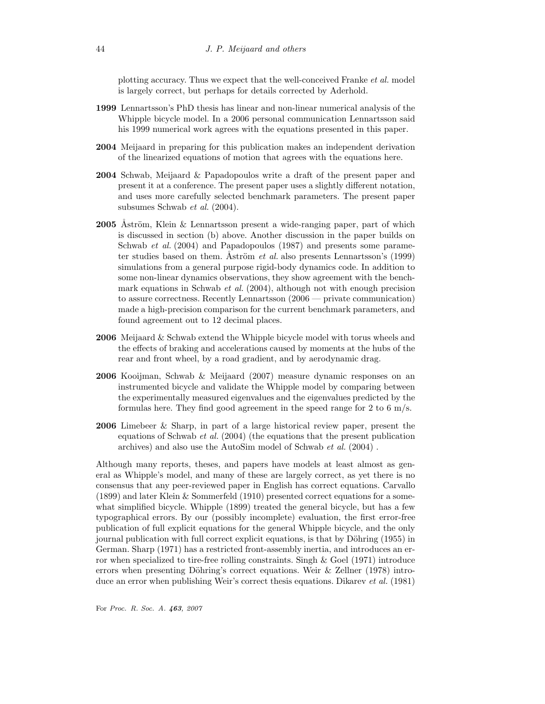plotting accuracy. Thus we expect that the well-conceived Franke et al. model is largely correct, but perhaps for details corrected by Aderhold.

- 1999 Lennartsson's PhD thesis has linear and non-linear numerical analysis of the Whipple bicycle model. In a 2006 personal communication Lennartsson said his 1999 numerical work agrees with the equations presented in this paper.
- 2004 Meijaard in preparing for this publication makes an independent derivation of the linearized equations of motion that agrees with the equations here.
- 2004 Schwab, Meijaard & Papadopoulos write a draft of the present paper and present it at a conference. The present paper uses a slightly different notation, and uses more carefully selected benchmark parameters. The present paper subsumes Schwab et al. (2004).
- **2005** Åström, Klein  $\&$  Lennartsson present a wide-ranging paper, part of which is discussed in section (b) above. Another discussion in the paper builds on Schwab *et al.* (2004) and Papadopoulos (1987) and presents some parameter studies based on them. Åström *et al.* also presents Lennartsson's  $(1999)$ simulations from a general purpose rigid-body dynamics code. In addition to some non-linear dynamics observations, they show agreement with the benchmark equations in Schwab *et al.*  $(2004)$ , although not with enough precision to assure correctness. Recently Lennartsson (2006 — private communication) made a high-precision comparison for the current benchmark parameters, and found agreement out to 12 decimal places.
- 2006 Meijaard & Schwab extend the Whipple bicycle model with torus wheels and the effects of braking and accelerations caused by moments at the hubs of the rear and front wheel, by a road gradient, and by aerodynamic drag.
- 2006 Kooijman, Schwab & Meijaard (2007) measure dynamic responses on an instrumented bicycle and validate the Whipple model by comparing between the experimentally measured eigenvalues and the eigenvalues predicted by the formulas here. They find good agreement in the speed range for 2 to 6 m/s.
- 2006 Limebeer & Sharp, in part of a large historical review paper, present the equations of Schwab *et al.*  $(2004)$  (the equations that the present publication archives) and also use the AutoSim model of Schwab et al. (2004) .

Although many reports, theses, and papers have models at least almost as general as Whipple's model, and many of these are largely correct, as yet there is no consensus that any peer-reviewed paper in English has correct equations. Carvallo (1899) and later Klein & Sommerfeld (1910) presented correct equations for a somewhat simplified bicycle. Whipple (1899) treated the general bicycle, but has a few typographical errors. By our (possibly incomplete) evaluation, the first error-free publication of full explicit equations for the general Whipple bicycle, and the only journal publication with full correct explicit equations, is that by Döhring (1955) in German. Sharp (1971) has a restricted front-assembly inertia, and introduces an error when specialized to tire-free rolling constraints. Singh & Goel (1971) introduce errors when presenting Döhring's correct equations. Weir  $&$  Zellner (1978) introduce an error when publishing Weir's correct thesis equations. Dikarev et al. (1981)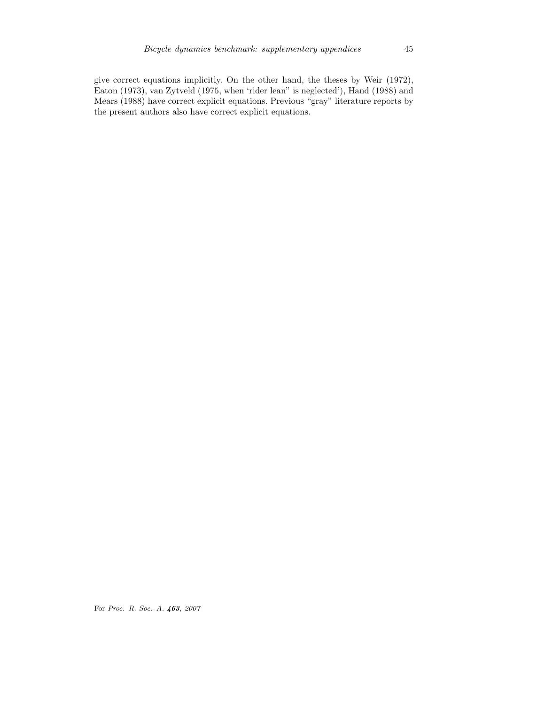give correct equations implicitly. On the other hand, the theses by Weir (1972), Eaton (1973), van Zytveld (1975, when 'rider lean" is neglected'), Hand (1988) and Mears (1988) have correct explicit equations. Previous "gray" literature reports by the present authors also have correct explicit equations.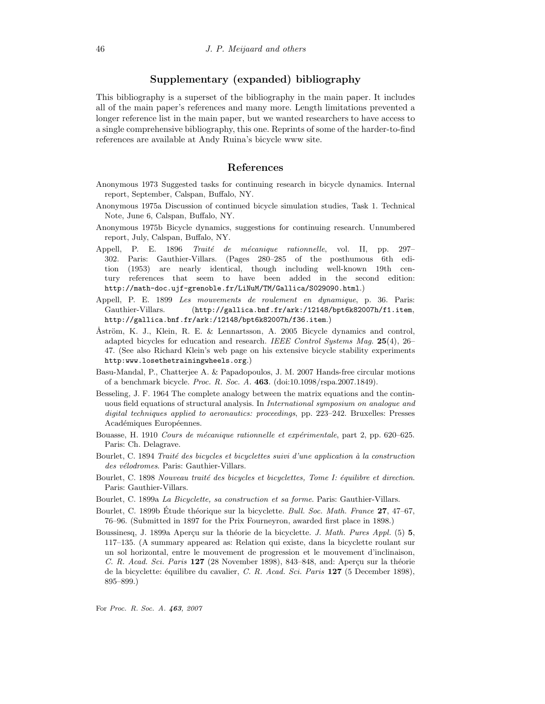# Supplementary (expanded) bibliography

This bibliography is a superset of the bibliography in the main paper. It includes all of the main paper's references and many more. Length limitations prevented a longer reference list in the main paper, but we wanted researchers to have access to a single comprehensive bibliography, this one. Reprints of some of the harder-to-find references are available at Andy Ruina's bicycle www site.

# References

- Anonymous 1973 Suggested tasks for continuing research in bicycle dynamics. Internal report, September, Calspan, Buffalo, NY.
- Anonymous 1975a Discussion of continued bicycle simulation studies, Task 1. Technical Note, June 6, Calspan, Buffalo, NY.
- Anonymous 1975b Bicycle dynamics, suggestions for continuing research. Unnumbered report, July, Calspan, Buffalo, NY.
- Appell, P. E. 1896 Traité de mécanique rationnelle, vol. II, pp. 297-302. Paris: Gauthier-Villars. (Pages 280–285 of the posthumous 6th edition (1953) are nearly identical, though including well-known 19th century references that seem to have been added in the second edition: http://math-doc.ujf-grenoble.fr/LiNuM/TM/Gallica/S029090.html.)
- Appell, P. E. 1899 Les mouvements de roulement en dynamique, p. 36. Paris: Gauthier-Villars. (http://gallica.bnf.fr/ark:/12148/bpt6k82007h/f1.item, http://gallica.bnf.fr/ark:/12148/bpt6k82007h/f36.item.)
- Åström, K. J., Klein, R. E. & Lennartsson, A. 2005 Bicycle dynamics and control, adapted bicycles for education and research. IEEE Control Systems Mag. 25(4), 26– 47. (See also Richard Klein's web page on his extensive bicycle stability experiments http:www.losethetrainingwheels.org.)
- Basu-Mandal, P., Chatterjee A. & Papadopoulos, J. M. 2007 Hands-free circular motions of a benchmark bicycle. Proc. R. Soc. A. 463. (doi:10.1098/rspa.2007.1849).
- Besseling, J. F. 1964 The complete analogy between the matrix equations and the continuous field equations of structural analysis. In International symposium on analogue and digital techniques applied to aeronautics: proceedings, pp. 223–242. Bruxelles: Presses Académiques Européennes.
- Bouasse, H. 1910 Cours de mécanique rationnelle et expérimentale, part 2, pp. 620-625. Paris: Ch. Delagrave.
- Bourlet, C. 1894 Traité des bicycles et bicyclettes suivi d'une application à la construction des vélodromes. Paris: Gauthier-Villars.
- Bourlet, C. 1898 Nouveau traité des bicycles et bicyclettes, Tome I: équilibre et direction. Paris: Gauthier-Villars.
- Bourlet, C. 1899a La Bicyclette, sa construction et sa forme. Paris: Gauthier-Villars.
- Bourlet, C. 1899b Étude théorique sur la bicyclette. *Bull. Soc. Math. France* 27, 47–67, 76–96. (Submitted in 1897 for the Prix Fourneyron, awarded first place in 1898.)
- Boussinesq, J. 1899a Aperçu sur la théorie de la bicyclette. *J. Math. Pures Appl.* (5) 5, 117–135. (A summary appeared as: Relation qui existe, dans la bicyclette roulant sur un sol horizontal, entre le mouvement de progression et le mouvement d'inclinaison, C. R. Acad. Sci. Paris  $127$  (28 November 1898), 843–848, and: Aperçu sur la théorie de la bicyclette: équilibre du cavalier, C. R. Acad. Sci. Paris 127 (5 December 1898), 895–899.)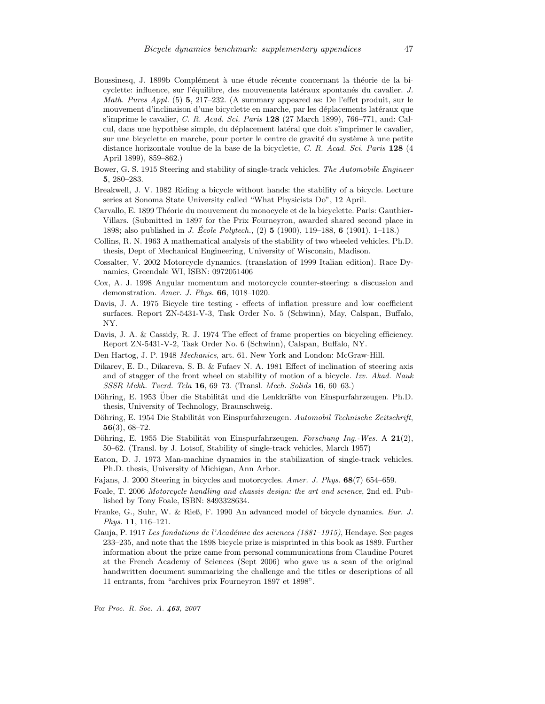- Boussinesq, J. 1899b Complément à une étude récente concernant la théorie de la bicyclette: influence, sur l'équilibre, des mouvements latéraux spontanés du cavalier. J. Math. Pures Appl. (5) 5, 217–232. (A summary appeared as: De l'effet produit, sur le mouvement d'inclinaison d'une bicyclette en marche, par les déplacements latéraux que s'imprime le cavalier, C. R. Acad. Sci. Paris 128 (27 March 1899), 766–771, and: Calcul, dans une hypothèse simple, du déplacement latéral que doit s'imprimer le cavalier, sur une bicyclette en marche, pour porter le centre de gravité du système à une petite distance horizontale voulue de la base de la bicyclette, C. R. Acad. Sci. Paris 128 (4 April 1899), 859–862.)
- Bower, G. S. 1915 Steering and stability of single-track vehicles. The Automobile Engineer 5, 280–283.
- Breakwell, J. V. 1982 Riding a bicycle without hands: the stability of a bicycle. Lecture series at Sonoma State University called "What Physicists Do", 12 April.
- Carvallo, E. 1899 Théorie du mouvement du monocycle et de la bicyclette. Paris: Gauthier-Villars. (Submitted in 1897 for the Prix Fourneyron, awarded shared second place in 1898; also published in *J. École Polytech.*,  $(2)$  **5** (1900), 119–188, **6** (1901), 1–118.)
- Collins, R. N. 1963 A mathematical analysis of the stability of two wheeled vehicles. Ph.D. thesis, Dept of Mechanical Engineering, University of Wisconsin, Madison.
- Cossalter, V. 2002 Motorcycle dynamics. (translation of 1999 Italian edition). Race Dynamics, Greendale WI, ISBN: 0972051406
- Cox, A. J. 1998 Angular momentum and motorcycle counter-steering: a discussion and demonstration. Amer. J. Phys. 66, 1018–1020.
- Davis, J. A. 1975 Bicycle tire testing effects of inflation pressure and low coefficient surfaces. Report ZN-5431-V-3, Task Order No. 5 (Schwinn), May, Calspan, Buffalo, NY.
- Davis, J. A. & Cassidy, R. J. 1974 The effect of frame properties on bicycling efficiency. Report ZN-5431-V-2, Task Order No. 6 (Schwinn), Calspan, Buffalo, NY.
- Den Hartog, J. P. 1948 Mechanics, art. 61. New York and London: McGraw-Hill.
- Dikarev, E. D., Dikareva, S. B. & Fufaev N. A. 1981 Effect of inclination of steering axis and of stagger of the front wheel on stability of motion of a bicycle. Izv. Akad. Nauk SSSR Mekh. Tverd. Tela 16, 69–73. (Transl. Mech. Solids 16, 60–63.)
- Döhring, E. 1953 Über die Stabilität und die Lenkkräfte von Einspurfahrzeugen. Ph.D. thesis, University of Technology, Braunschweig.
- Döhring, E. 1954 Die Stabilität von Einspurfahrzeugen. Automobil Technische Zeitschrift, 56(3), 68–72.
- Döhring, E. 1955 Die Stabilität von Einspurfahrzeugen. Forschung Ing.-Wes. A  $21(2)$ , 50–62. (Transl. by J. Lotsof, Stability of single-track vehicles, March 1957)
- Eaton, D. J. 1973 Man-machine dynamics in the stabilization of single-track vehicles. Ph.D. thesis, University of Michigan, Ann Arbor.
- Fajans, J. 2000 Steering in bicycles and motorcycles. Amer. J. Phys. 68(7) 654–659.
- Foale, T. 2006 Motorcycle handling and chassis design: the art and science, 2nd ed. Published by Tony Foale, ISBN: 8493328634.
- Franke, G., Suhr, W. & Rieß, F. 1990 An advanced model of bicycle dynamics. Eur. J. Phys. **11**, 116-121.
- Gauja, P. 1917 Les fondations de l'Académie des sciences (1881–1915), Hendaye. See pages 233–235, and note that the 1898 bicycle prize is misprinted in this book as 1889. Further information about the prize came from personal communications from Claudine Pouret at the French Academy of Sciences (Sept 2006) who gave us a scan of the original handwritten document summarizing the challenge and the titles or descriptions of all 11 entrants, from "archives prix Fourneyron 1897 et 1898".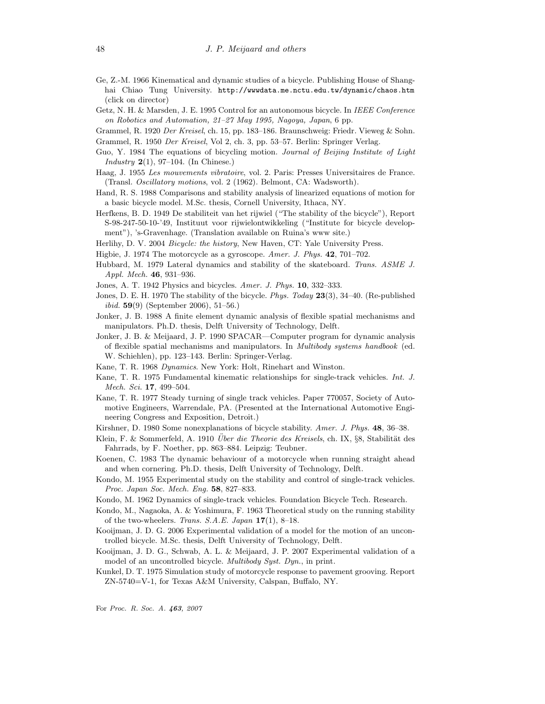- Ge, Z.-M. 1966 Kinematical and dynamic studies of a bicycle. Publishing House of Shanghai Chiao Tung University. http://wwwdata.me.nctu.edu.tw/dynamic/chaos.htm (click on director)
- Getz, N. H. & Marsden, J. E. 1995 Control for an autonomous bicycle. In IEEE Conference on Robotics and Automation, 21–27 May 1995, Nagoya, Japan, 6 pp.
- Grammel, R. 1920 Der Kreisel, ch. 15, pp. 183–186. Braunschweig: Friedr. Vieweg & Sohn.
- Grammel, R. 1950 Der Kreisel, Vol 2, ch. 3, pp. 53–57. Berlin: Springer Verlag.
- Guo, Y. 1984 The equations of bicycling motion. Journal of Beijing Institute of Light Industry  $2(1)$ , 97–104. (In Chinese.)
- Haag, J. 1955 Les mouvements vibratoire, vol. 2. Paris: Presses Universitaires de France. (Transl. Oscillatory motions, vol. 2 (1962). Belmont, CA: Wadsworth).
- Hand, R. S. 1988 Comparisons and stability analysis of linearized equations of motion for a basic bicycle model. M.Sc. thesis, Cornell University, Ithaca, NY.
- Herfkens, B. D. 1949 De stabiliteit van het rijwiel ("The stability of the bicycle"), Report S-98-247-50-10-'49, Instituut voor rijwielontwikkeling ("Institute for bicycle development"), 's-Gravenhage. (Translation available on Ruina's www site.)
- Herlihy, D. V. 2004 Bicycle: the history, New Haven, CT: Yale University Press.
- Higbie, J. 1974 The motorcycle as a gyroscope. Amer. J. Phys. 42, 701–702.
- Hubbard, M. 1979 Lateral dynamics and stability of the skateboard. Trans. ASME J. Appl. Mech. **46**, 931–936.
- Jones, A. T. 1942 Physics and bicycles. Amer. J. Phys. 10, 332–333.
- Jones, D. E. H. 1970 The stability of the bicycle. *Phys. Today* 23(3), 34–40. (Re-published *ibid.*  $59(9)$  (September 2006), 51–56.)
- Jonker, J. B. 1988 A finite element dynamic analysis of flexible spatial mechanisms and manipulators. Ph.D. thesis, Delft University of Technology, Delft.
- Jonker, J. B. & Meijaard, J. P. 1990 SPACAR—Computer program for dynamic analysis of flexible spatial mechanisms and manipulators. In Multibody systems handbook (ed. W. Schiehlen), pp. 123–143. Berlin: Springer-Verlag.
- Kane, T. R. 1968 Dynamics. New York: Holt, Rinehart and Winston.
- Kane, T. R. 1975 Fundamental kinematic relationships for single-track vehicles. Int. J. Mech. Sci. 17, 499–504.
- Kane, T. R. 1977 Steady turning of single track vehicles. Paper 770057, Society of Automotive Engineers, Warrendale, PA. (Presented at the International Automotive Engineering Congress and Exposition, Detroit.)
- Kirshner, D. 1980 Some nonexplanations of bicycle stability. Amer. J. Phys. 48, 36–38.
- Klein, F. & Sommerfeld, A. 1910 *Über die Theorie des Kreisels*, ch. IX, §8, Stabilität des Fahrrads, by F. Noether, pp. 863–884. Leipzig: Teubner.
- Koenen, C. 1983 The dynamic behaviour of a motorcycle when running straight ahead and when cornering. Ph.D. thesis, Delft University of Technology, Delft.
- Kondo, M. 1955 Experimental study on the stability and control of single-track vehicles. Proc. Japan Soc. Mech. Eng. 58, 827–833.
- Kondo, M. 1962 Dynamics of single-track vehicles. Foundation Bicycle Tech. Research.
- Kondo, M., Nagaoka, A. & Yoshimura, F. 1963 Theoretical study on the running stability of the two-wheelers. Trans.  $S.A.E. Japan 17(1), 8-18.$
- Kooijman, J. D. G. 2006 Experimental validation of a model for the motion of an uncontrolled bicycle. M.Sc. thesis, Delft University of Technology, Delft.
- Kooijman, J. D. G., Schwab, A. L. & Meijaard, J. P. 2007 Experimental validation of a model of an uncontrolled bicycle. Multibody Syst. Dyn., in print.
- Kunkel, D. T. 1975 Simulation study of motorcycle response to pavement grooving. Report ZN-5740=V-1, for Texas A&M University, Calspan, Buffalo, NY.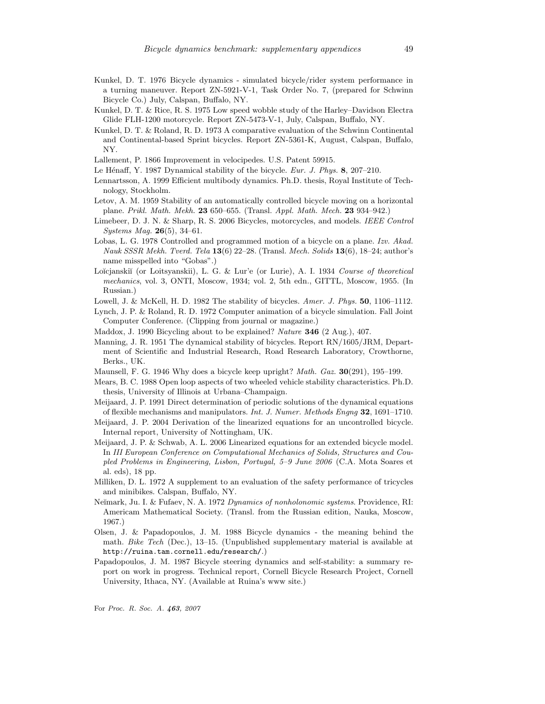- Kunkel, D. T. 1976 Bicycle dynamics simulated bicycle/rider system performance in a turning maneuver. Report ZN-5921-V-1, Task Order No. 7, (prepared for Schwinn Bicycle Co.) July, Calspan, Buffalo, NY.
- Kunkel, D. T. & Rice, R. S. 1975 Low speed wobble study of the Harley–Davidson Electra Glide FLH-1200 motorcycle. Report ZN-5473-V-1, July, Calspan, Buffalo, NY.
- Kunkel, D. T. & Roland, R. D. 1973 A comparative evaluation of the Schwinn Continental and Continental-based Sprint bicycles. Report ZN-5361-K, August, Calspan, Buffalo, NY.
- Lallement, P. 1866 Improvement in velocipedes. U.S. Patent 59915.
- Le Hénaff, Y. 1987 Dynamical stability of the bicycle. Eur. J. Phys. 8, 207-210.
- Lennartsson, A. 1999 Efficient multibody dynamics. Ph.D. thesis, Royal Institute of Technology, Stockholm.
- Letov, A. M. 1959 Stability of an automatically controlled bicycle moving on a horizontal plane. Prikl. Math. Mekh. 23 650–655. (Transl. Appl. Math. Mech. 23 934–942.)
- Limebeer, D. J. N. & Sharp, R. S. 2006 Bicycles, motorcycles, and models. IEEE Control Systems Mag. 26(5), 34–61.
- Lobas, L. G. 1978 Controlled and programmed motion of a bicycle on a plane. Izv. Akad. Nauk SSSR Mekh. Tverd. Tela  $13(6)$  22–28. (Transl. Mech. Solids  $13(6)$ , 18–24; author's name misspelled into "Gobas".)
- Loĭcjanskiĭ (or Loitsyanskii), L. G. & Lur'e (or Lurie), A. I. 1934 Course of theoretical mechanics, vol. 3, ONTI, Moscow, 1934; vol. 2, 5th edn., GITTL, Moscow, 1955. (In Russian.)
- Lowell, J. & McKell, H. D. 1982 The stability of bicycles. Amer. J. Phys. 50, 1106–1112.
- Lynch, J. P. & Roland, R. D. 1972 Computer animation of a bicycle simulation. Fall Joint Computer Conference. (Clipping from journal or magazine.)
- Maddox, J. 1990 Bicycling about to be explained? Nature 346 (2 Aug.), 407.
- Manning, J. R. 1951 The dynamical stability of bicycles. Report RN/1605/JRM, Department of Scientific and Industrial Research, Road Research Laboratory, Crowthorne, Berks., UK.
- Maunsell, F. G. 1946 Why does a bicycle keep upright? *Math. Gaz.*  $30(291)$ , 195–199.
- Mears, B. C. 1988 Open loop aspects of two wheeled vehicle stability characteristics. Ph.D. thesis, University of Illinois at Urbana–Champaign.
- Meijaard, J. P. 1991 Direct determination of periodic solutions of the dynamical equations of flexible mechanisms and manipulators. Int. J. Numer. Methods Engng  $32$ , 1691–1710.
- Meijaard, J. P. 2004 Derivation of the linearized equations for an uncontrolled bicycle. Internal report, University of Nottingham, UK.
- Meijaard, J. P. & Schwab, A. L. 2006 Linearized equations for an extended bicycle model. In III European Conference on Computational Mechanics of Solids, Structures and Coupled Problems in Engineering, Lisbon, Portugal, 5–9 June 2006 (C.A. Mota Soares et al. eds), 18 pp.
- Milliken, D. L. 1972 A supplement to an evaluation of the safety performance of tricycles and minibikes. Calspan, Buffalo, NY.
- Neĭmark, Ju. I. & Fufaev, N. A. 1972 Dynamics of nonholonomic systems. Providence, RI: Americam Mathematical Society. (Transl. from the Russian edition, Nauka, Moscow, 1967.)
- Olsen, J. & Papadopoulos, J. M. 1988 Bicycle dynamics the meaning behind the math. Bike Tech (Dec.), 13–15. (Unpublished supplementary material is available at http://ruina.tam.cornell.edu/research/.)
- Papadopoulos, J. M. 1987 Bicycle steering dynamics and self-stability: a summary report on work in progress. Technical report, Cornell Bicycle Research Project, Cornell University, Ithaca, NY. (Available at Ruina's www site.)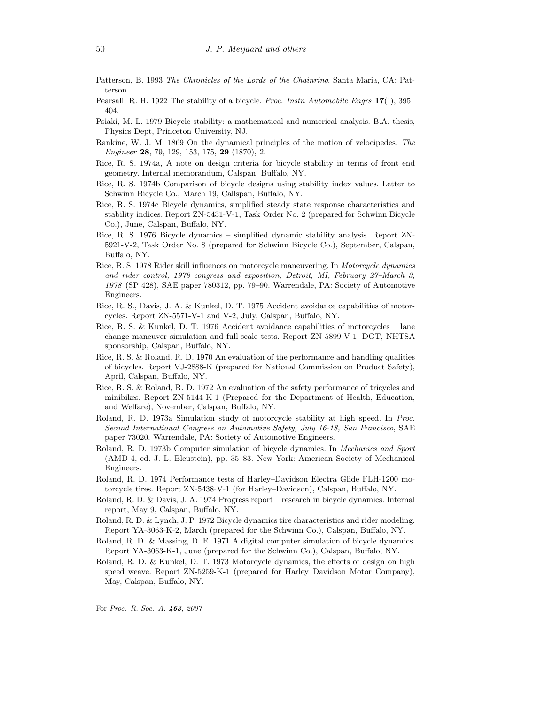- Patterson, B. 1993 The Chronicles of the Lords of the Chainring. Santa Maria, CA: Patterson.
- Pearsall, R. H. 1922 The stability of a bicycle. *Proc. Instn Automobile Engrs* 17(I), 395– 404.
- Psiaki, M. L. 1979 Bicycle stability: a mathematical and numerical analysis. B.A. thesis, Physics Dept, Princeton University, NJ.
- Rankine, W. J. M. 1869 On the dynamical principles of the motion of velocipedes. The Engineer 28, 79, 129, 153, 175, 29 (1870), 2.
- Rice, R. S. 1974a, A note on design criteria for bicycle stability in terms of front end geometry. Internal memorandum, Calspan, Buffalo, NY.
- Rice, R. S. 1974b Comparison of bicycle designs using stability index values. Letter to Schwinn Bicycle Co., March 19, Callspan, Buffalo, NY.
- Rice, R. S. 1974c Bicycle dynamics, simplified steady state response characteristics and stability indices. Report ZN-5431-V-1, Task Order No. 2 (prepared for Schwinn Bicycle Co.), June, Calspan, Buffalo, NY.
- Rice, R. S. 1976 Bicycle dynamics simplified dynamic stability analysis. Report ZN-5921-V-2, Task Order No. 8 (prepared for Schwinn Bicycle Co.), September, Calspan, Buffalo, NY.
- Rice, R. S. 1978 Rider skill influences on motorcycle maneuvering. In Motorcycle dynamics and rider control, 1978 congress and exposition, Detroit, MI, February 27–March 3, 1978 (SP 428), SAE paper 780312, pp. 79–90. Warrendale, PA: Society of Automotive Engineers.
- Rice, R. S., Davis, J. A. & Kunkel, D. T. 1975 Accident avoidance capabilities of motorcycles. Report ZN-5571-V-1 and V-2, July, Calspan, Buffalo, NY.
- Rice, R. S. & Kunkel, D. T. 1976 Accident avoidance capabilities of motorcycles lane change maneuver simulation and full-scale tests. Report ZN-5899-V-1, DOT, NHTSA sponsorship, Calspan, Buffalo, NY.
- Rice, R. S. & Roland, R. D. 1970 An evaluation of the performance and handling qualities of bicycles. Report VJ-2888-K (prepared for National Commission on Product Safety), April, Calspan, Buffalo, NY.
- Rice, R. S. & Roland, R. D. 1972 An evaluation of the safety performance of tricycles and minibikes. Report ZN-5144-K-1 (Prepared for the Department of Health, Education, and Welfare), November, Calspan, Buffalo, NY.
- Roland, R. D. 1973a Simulation study of motorcycle stability at high speed. In Proc. Second International Congress on Automotive Safety, July 16-18, San Francisco, SAE paper 73020. Warrendale, PA: Society of Automotive Engineers.
- Roland, R. D. 1973b Computer simulation of bicycle dynamics. In Mechanics and Sport (AMD-4, ed. J. L. Bleustein), pp. 35–83. New York: American Society of Mechanical Engineers.
- Roland, R. D. 1974 Performance tests of Harley–Davidson Electra Glide FLH-1200 motorcycle tires. Report ZN-5438-V-1 (for Harley–Davidson), Calspan, Buffalo, NY.
- Roland, R. D. & Davis, J. A. 1974 Progress report research in bicycle dynamics. Internal report, May 9, Calspan, Buffalo, NY.
- Roland, R. D. & Lynch, J. P. 1972 Bicycle dynamics tire characteristics and rider modeling. Report YA-3063-K-2, March (prepared for the Schwinn Co.), Calspan, Buffalo, NY.
- Roland, R. D. & Massing, D. E. 1971 A digital computer simulation of bicycle dynamics. Report YA-3063-K-1, June (prepared for the Schwinn Co.), Calspan, Buffalo, NY.
- Roland, R. D. & Kunkel, D. T. 1973 Motorcycle dynamics, the effects of design on high speed weave. Report ZN-5259-K-1 (prepared for Harley–Davidson Motor Company), May, Calspan, Buffalo, NY.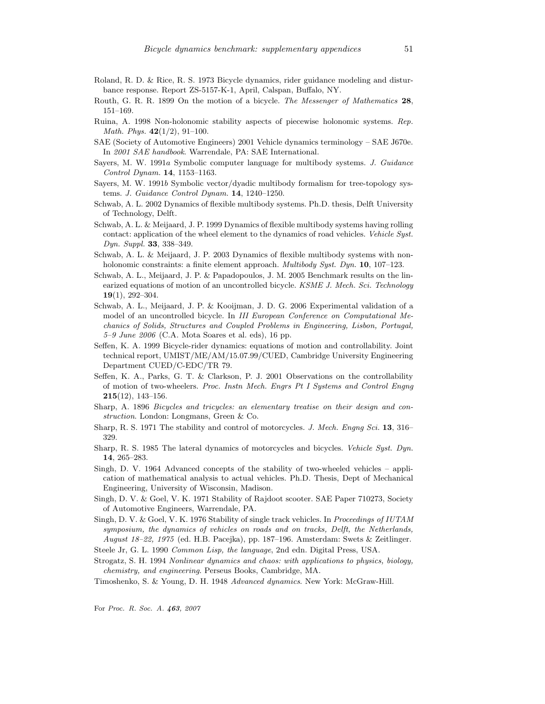- Roland, R. D. & Rice, R. S. 1973 Bicycle dynamics, rider guidance modeling and disturbance response. Report ZS-5157-K-1, April, Calspan, Buffalo, NY.
- Routh, G. R. R. 1899 On the motion of a bicycle. The Messenger of Mathematics 28, 151–169.
- Ruina, A. 1998 Non-holonomic stability aspects of piecewise holonomic systems. Rep. Math. Phys.  $42(1/2)$ , 91-100.
- SAE (Society of Automotive Engineers) 2001 Vehicle dynamics terminology SAE J670e. In 2001 SAE handbook. Warrendale, PA: SAE International.
- Sayers, M. W. 1991a Symbolic computer language for multibody systems. J. Guidance Control Dynam. 14, 1153–1163.
- Sayers, M. W. 1991b Symbolic vector/dyadic multibody formalism for tree-topology systems. J. Guidance Control Dynam. 14, 1240–1250.
- Schwab, A. L. 2002 Dynamics of flexible multibody systems. Ph.D. thesis, Delft University of Technology, Delft.
- Schwab, A. L. & Meijaard, J. P. 1999 Dynamics of flexible multibody systems having rolling contact: application of the wheel element to the dynamics of road vehicles. Vehicle Syst. Dyn. Suppl. 33, 338–349.
- Schwab, A. L. & Meijaard, J. P. 2003 Dynamics of flexible multibody systems with nonholonomic constraints: a finite element approach. *Multibody Syst. Dyn.* **10**, 107–123.
- Schwab, A. L., Meijaard, J. P. & Papadopoulos, J. M. 2005 Benchmark results on the linearized equations of motion of an uncontrolled bicycle. KSME J. Mech. Sci. Technology  $19(1), 292 - 304.$
- Schwab, A. L., Meijaard, J. P. & Kooijman, J. D. G. 2006 Experimental validation of a model of an uncontrolled bicycle. In III European Conference on Computational Mechanics of Solids, Structures and Coupled Problems in Engineering, Lisbon, Portugal,  $5-9$  June  $2006$  (C.A. Mota Soares et al. eds), 16 pp.
- Seffen, K. A. 1999 Bicycle-rider dynamics: equations of motion and controllability. Joint technical report, UMIST/ME/AM/15.07.99/CUED, Cambridge University Engineering Department CUED/C-EDC/TR 79.
- Seffen, K. A., Parks, G. T. & Clarkson, P. J. 2001 Observations on the controllability of motion of two-wheelers. Proc. Instn Mech. Engrs Pt I Systems and Control Engng  $215(12), 143\hbox{--}156.$
- Sharp, A. 1896 Bicycles and tricycles: an elementary treatise on their design and construction. London: Longmans, Green & Co.
- Sharp, R. S. 1971 The stability and control of motorcycles. J. Mech. Engng Sci. 13, 316– 329.
- Sharp, R. S. 1985 The lateral dynamics of motorcycles and bicycles. Vehicle Syst. Dyn. 14, 265–283.
- Singh, D. V. 1964 Advanced concepts of the stability of two-wheeled vehicles application of mathematical analysis to actual vehicles. Ph.D. Thesis, Dept of Mechanical Engineering, University of Wisconsin, Madison.
- Singh, D. V. & Goel, V. K. 1971 Stability of Rajdoot scooter. SAE Paper 710273, Society of Automotive Engineers, Warrendale, PA.
- Singh, D. V. & Goel, V. K. 1976 Stability of single track vehicles. In Proceedings of IUTAM symposium, the dynamics of vehicles on roads and on tracks, Delft, the Netherlands, August 18–22, 1975 (ed. H.B. Pacejka), pp. 187–196. Amsterdam: Swets & Zeitlinger.
- Steele Jr, G. L. 1990 Common Lisp, the language, 2nd edn. Digital Press, USA.
- Strogatz, S. H. 1994 Nonlinear dynamics and chaos: with applications to physics, biology, chemistry, and engineering. Perseus Books, Cambridge, MA.
- Timoshenko, S. & Young, D. H. 1948 Advanced dynamics. New York: McGraw-Hill.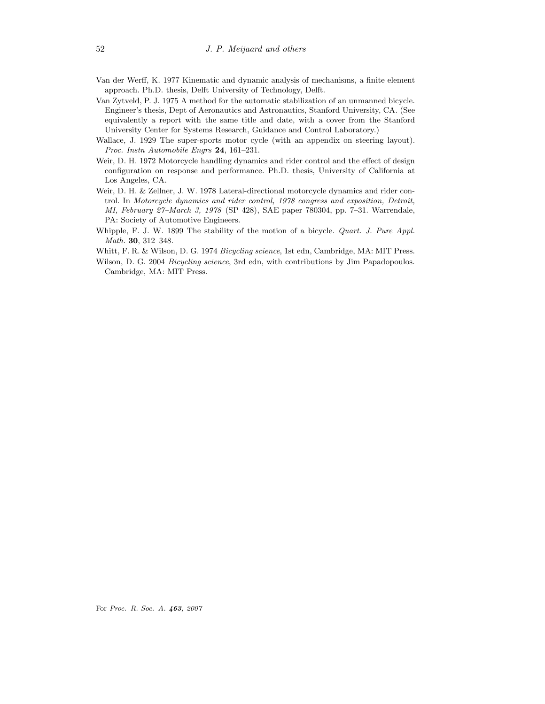- Van der Werff, K. 1977 Kinematic and dynamic analysis of mechanisms, a finite element approach. Ph.D. thesis, Delft University of Technology, Delft.
- Van Zytveld, P. J. 1975 A method for the automatic stabilization of an unmanned bicycle. Engineer's thesis, Dept of Aeronautics and Astronautics, Stanford University, CA. (See equivalently a report with the same title and date, with a cover from the Stanford University Center for Systems Research, Guidance and Control Laboratory.)
- Wallace, J. 1929 The super-sports motor cycle (with an appendix on steering layout). Proc. Instn Automobile Engrs 24, 161–231.
- Weir, D. H. 1972 Motorcycle handling dynamics and rider control and the effect of design configuration on response and performance. Ph.D. thesis, University of California at Los Angeles, CA.
- Weir, D. H. & Zellner, J. W. 1978 Lateral-directional motorcycle dynamics and rider control. In Motorcycle dynamics and rider control, 1978 congress and exposition, Detroit, MI, February 27–March 3, 1978 (SP 428), SAE paper 780304, pp. 7–31. Warrendale, PA: Society of Automotive Engineers.
- Whipple, F. J. W. 1899 The stability of the motion of a bicycle. Quart. J. Pure Appl. Math. 30, 312–348.
- Whitt, F. R. & Wilson, D. G. 1974 Bicycling science, 1st edn, Cambridge, MA: MIT Press.
- Wilson, D. G. 2004 Bicycling science, 3rd edn, with contributions by Jim Papadopoulos. Cambridge, MA: MIT Press.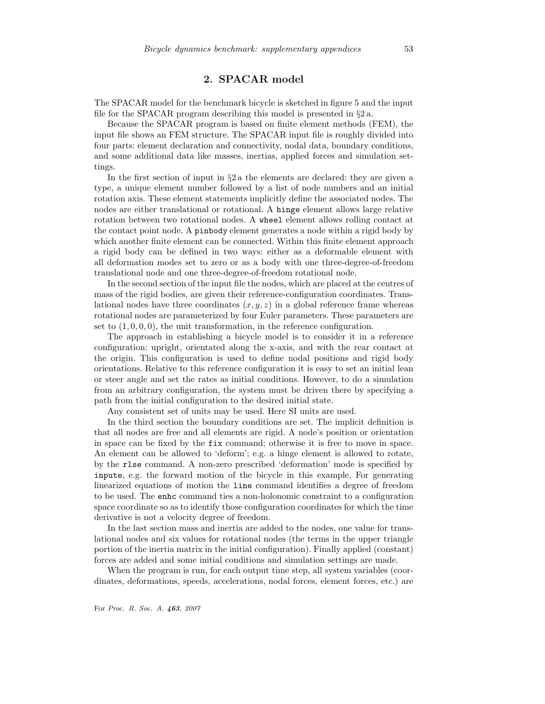# 2. SPACAR model

The SPACAR model for the benchmark bicycle is sketched in figure 5 and the input file for the SPACAR program describing this model is presented in  $\S 2a$ .

Because the SPACAR program is based on finite element methods (FEM), the input file shows an FEM structure. The SPACAR input file is roughly divided into four parts: element declaration and connectivity, nodal data, boundary conditions, and some additional data like masses, inertias, applied forces and simulation settings.

In the first section of input in  $\S 2a$  the elements are declared: they are given a type, a unique element number followed by a list of node numbers and an initial rotation axis. These element statements implicitly define the associated nodes. The nodes are either translational or rotational. A hinge element allows large relative rotation between two rotational nodes. A wheel element allows rolling contact at the contact point node. A pinbody element generates a node within a rigid body by which another finite element can be connected. Within this finite element approach a rigid body can be defined in two ways: either as a deformable element with all deformation modes set to zero or as a body with one three-degree-of-freedom translational node and one three-degree-of-freedom rotational node.

In the second section of the input file the nodes, which are placed at the centres of mass of the rigid bodies, are given their reference-configuration coordinates. Translational nodes have three coordinates  $(x, y, z)$  in a global reference frame whereas rotational nodes are parameterized by four Euler parameters. These parameters are set to  $(1, 0, 0, 0)$ , the unit transformation, in the reference configuration.

The approach in establishing a bicycle model is to consider it in a reference configuration: upright, orientated along the x-axis, and with the rear contact at the origin. This configuration is used to define nodal positions and rigid body orientations. Relative to this reference configuration it is easy to set an initial lean or steer angle and set the rates as initial conditions. However, to do a simulation from an arbitrary configuration, the system must be driven there by specifying a path from the initial configuration to the desired initial state.

Any consistent set of units may be used. Here SI units are used.

In the third section the boundary conditions are set. The implicit definition is that all nodes are free and all elements are rigid. A node's position or orientation in space can be fixed by the fix command; otherwise it is free to move in space. An element can be allowed to 'deform'; e.g. a hinge element is allowed to rotate, by the rlse command. A non-zero prescribed 'deformation' mode is specified by inpute, e.g. the forward motion of the bicycle in this example. For generating linearized equations of motion the line command identifies a degree of freedom to be used. The enhc command ties a non-holonomic constraint to a configuration space coordinate so as to identify those configuration coordinates for which the time derivative is not a velocity degree of freedom.

In the last section mass and inertia are added to the nodes, one value for translational nodes and six values for rotational nodes (the terms in the upper triangle portion of the inertia matrix in the initial configuration). Finally applied (constant) forces are added and some initial conditions and simulation settings are made.

When the program is run, for each output time step, all system variables (coordinates, deformations, speeds, accelerations, nodal forces, element forces, etc.) are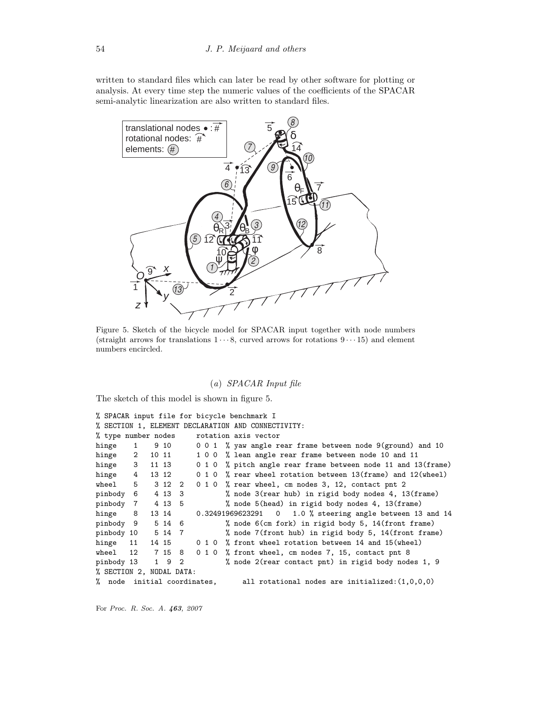written to standard files which can later be read by other software for plotting or analysis. At every time step the numeric values of the coefficients of the SPACAR semi-analytic linearization are also written to standard files.



Figure 5. Sketch of the bicycle model for SPACAR input together with node numbers (straight arrows for translations  $1 \cdots 8$ , curved arrows for rotations  $9 \cdots 15$ ) and element numbers encircled.

# (a) SPACAR Input file

The sketch of this model is shown in figure 5.

```
% SPACAR input file for bicycle benchmark I
% SECTION 1, ELEMENT DECLARATION AND CONNECTIVITY:
% type number nodes rotation axis vector
hinge 1 9 10 0 0 1 % yaw angle rear frame between node 9(ground) and 10
hinge 2 10 11 1 0 0 % lean angle rear frame between node 10 and 11
hinge 3 11 13 0 1 0 % pitch angle rear frame between node 11 and 13(frame)
hinge 4 13 12 0 1 0 % rear wheel rotation between 13(frame) and 12(wheel)
wheel 5 3 12 2 0 1 0 % rear wheel, cm nodes 3, 12, contact pnt 2
pinbody 6 4 13 3 % node 3(rear hub) in rigid body nodes 4, 13(frame)
pinbody 7 4 13 5 % node 5(head) in rigid body nodes 4, 13(frame)
hinge 8 13 14 0.32491969623291 0 1.0 % steering angle between 13 and 14
pinbody 9 5 14 6 % node 6(cm fork) in rigid body 5, 14(front frame)
pinbody 10 5 14 7 % node 7(front hub) in rigid body 5, 14(front frame)
hinge 11 14 15 0 1 0 % front wheel rotation between 14 and 15(wheel)
wheel 12 7 15 8 0 1 0 % front wheel, cm nodes 7, 15, contact pnt 8
pinbody 13 1 9 2 % node 2(rear contact pnt) in rigid body nodes 1, 9
% SECTION 2, NODAL DATA:
% node initial coordinates, all rotational nodes are initialized:(1,0,0,0)
```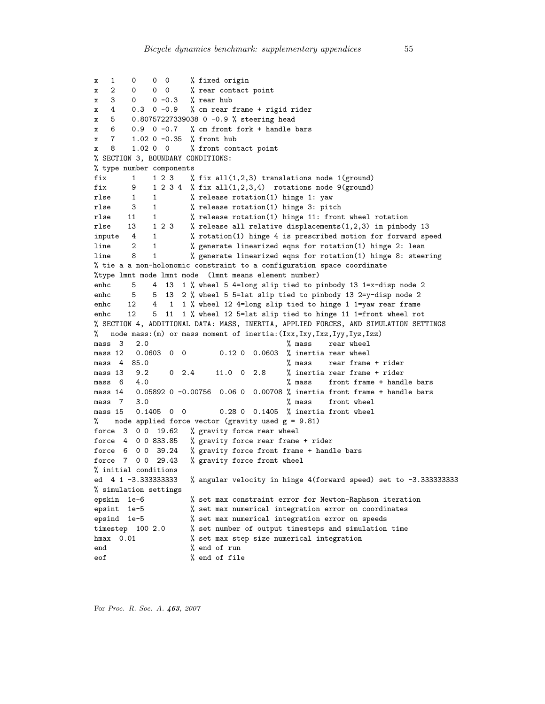```
x 1 0 0 0 % fixed origin
x 2 0 0 0 % rear contact point
x 3 0 0 -0.3 % rear hub
x 4 0.3 0 -0.9 % cm rear frame + rigid rider
x 5 0.80757227339038 0 -0.9 % steering head
x = 6 0.9 0 -0.7 % cm front fork + handle bars
x 7 1.02 0 -0.35 % front hub
x 8 1.02 0 0 % front contact point
% SECTION 3, BOUNDARY CONDITIONS:
% type number components
fix 1 1 2 3 % fix all(1,2,3) translations node 1(ground)
fix 9 1 2 3 4 % fix all(1,2,3,4) rotations node 9(ground)<br>rlse 1 1 % release rotation(1) hinge 1: yaw
rlse 1 1 % release rotation(1) hinge 1: yaw
rlse 3 1 % release rotation(1) hinge 3: pitch<br>rlse 11 1 % release rotation(1) hinge 11: from
                    % release rotation(1) hinge 11: front wheel rotation
rlse 13 1 2 3 % release all relative displacements(1,2,3) in pinbody 13
inpute 4 1 % rotation(1) hinge 4 is prescribed motion for forward speed
line 2 1 % generate linearized eqns for rotation(1) hinge 2: lean
line 8 1 % generate linearized eqns for rotation(1) hinge 8: steering
% tie a a non-holonomic constraint to a configuration space coordinate
%type lmnt mode lmnt mode (lmnt means element number)
enhc 5 4 13 1 % wheel 5 4=long slip tied to pinbody 13 1=x-disp node 2
enhc 5 5 13 2 % wheel 5 5=lat slip tied to pinbody 13 2=y-disp node 2
enhc 12 4 1 1 % wheel 12 4=long slip tied to hinge 1 1=yaw rear frame
enhc 12 5 11 1 % wheel 12 5=lat slip tied to hinge 11 1=front wheel rot
% SECTION 4, ADDITIONAL DATA: MASS, INERTIA, APPLIED FORCES, AND SIMULATION SETTINGS
% node mass:(m) or mass moment of inertia:(Ixx,Ixy,Ixz,Iyy,Iyz,Izz)
mass 3 2.0 % mass rear wheel
mass 12  0.0603  0  0  0.12  0  0.0603  % inertia rear wheel
mass 4 85.0 \% mass rear frame + rider
mass 13 9.2 0 2.4 11.0 0 2.8 % inertia rear frame + rider
mass 6 4.0 \% mass front frame + handle bars
mass 14 0.05892 0 -0.00756 0.06 0 0.00708 % inertia front frame + handle bars
mass 7 3.0 <br>mass 15 0.1405 0 0 0 0.28 0 0.1405 % inertia front wheel
                         0.28 0 0.1405 % inertia front wheel
% node applied force vector (gravity used g = 9.81)
force 3 0 0 19.62 % gravity force rear wheel
force 4 0 0 833.85 % gravity force rear frame + rider
force 6 0 0 39.24 % gravity force front frame + handle bars
force 7 0 0 29.43 % gravity force front wheel
% initial conditions
ed 4 1 -3.333333333 % angular velocity in hinge 4(forward speed) set to -3.333333333
% simulation settings
epskin 1e-6 % set max constraint error for Newton-Raphson iteration
epsint 1e-5 % set max numerical integration error on coordinates
epsind 1e-5 % set max numerical integration error on speeds
timestep 100 2.0 % set number of output timesteps and simulation time<br>hmax 0.01 % set max step size numerical integration
                    % set max step size numerical integration
end % end of run
eof % end of file
```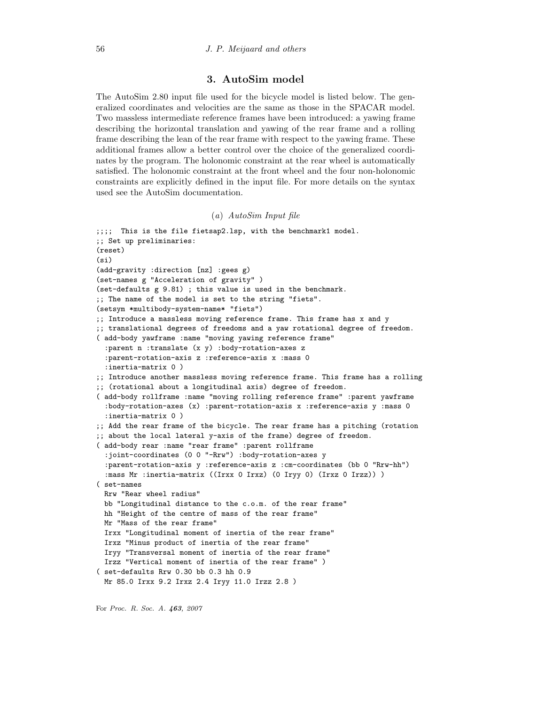# 3. AutoSim model

The AutoSim 2.80 input file used for the bicycle model is listed below. The generalized coordinates and velocities are the same as those in the SPACAR model. Two massless intermediate reference frames have been introduced: a yawing frame describing the horizontal translation and yawing of the rear frame and a rolling frame describing the lean of the rear frame with respect to the yawing frame. These additional frames allow a better control over the choice of the generalized coordinates by the program. The holonomic constraint at the rear wheel is automatically satisfied. The holonomic constraint at the front wheel and the four non-holonomic constraints are explicitly defined in the input file. For more details on the syntax used see the AutoSim documentation.

# (a) AutoSim Input file

```
;;;; This is the file fietsap2.lsp, with the benchmark1 model.
;; Set up preliminaries:
(reset)
(si)
(add-gravity :direction [nz] :gees g)
(set-names g "Acceleration of gravity" )
(set-defaults g 9.81) ; this value is used in the benchmark.
;; The name of the model is set to the string "fiets".
(setsym *multibody-system-name* "fiets")
;; Introduce a massless moving reference frame. This frame has x and y
;; translational degrees of freedoms and a yaw rotational degree of freedom.
( add-body yawframe :name "moving yawing reference frame"
 :parent n :translate (x y) :body-rotation-axes z
 :parent-rotation-axis z :reference-axis x :mass 0
 :inertia-matrix 0 )
;; Introduce another massless moving reference frame. This frame has a rolling
;; (rotational about a longitudinal axis) degree of freedom.
( add-body rollframe :name "moving rolling reference frame" :parent yawframe
 :body-rotation-axes (x) :parent-rotation-axis x :reference-axis y :mass 0
 :inertia-matrix 0 )
;; Add the rear frame of the bicycle. The rear frame has a pitching (rotation
;; about the local lateral y-axis of the frame) degree of freedom.
( add-body rear :name "rear frame" :parent rollframe
 :joint-coordinates (0 0 "-Rrw") :body-rotation-axes y
 :parent-rotation-axis y :reference-axis z :cm-coordinates (bb 0 "Rrw-hh")
 :mass Mr :inertia-matrix ((Irxx 0 Irxz) (0 Iryy 0) (Irxz 0 Irzz)) )
( set-names
 Rrw "Rear wheel radius"
 bb "Longitudinal distance to the c.o.m. of the rear frame"
 hh "Height of the centre of mass of the rear frame"
 Mr "Mass of the rear frame"
 Irxx "Longitudinal moment of inertia of the rear frame"
 Irxz "Minus product of inertia of the rear frame"
 Iryy "Transversal moment of inertia of the rear frame"
 Irzz "Vertical moment of inertia of the rear frame" )
( set-defaults Rrw 0.30 bb 0.3 hh 0.9
 Mr 85.0 Irxx 9.2 Irxz 2.4 Iryy 11.0 Irzz 2.8 )
```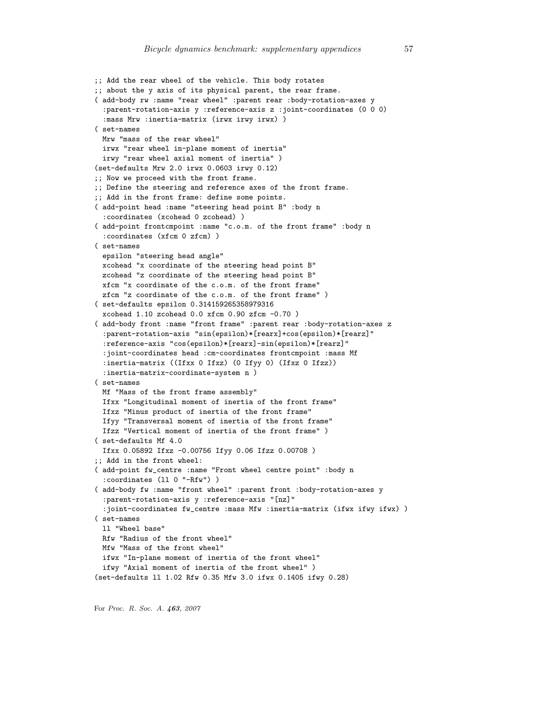```
;; Add the rear wheel of the vehicle. This body rotates
;; about the y axis of its physical parent, the rear frame.
( add-body rw :name "rear wheel" :parent rear :body-rotation-axes y
 :parent-rotation-axis y :reference-axis z :joint-coordinates (0 0 0)
 :mass Mrw :inertia-matrix (irwx irwy irwx) )
( set-names
 Mrw "mass of the rear wheel"
 irwx "rear wheel in-plane moment of inertia"
 irwy "rear wheel axial moment of inertia" )
(set-defaults Mrw 2.0 irwx 0.0603 irwy 0.12)
;; Now we proceed with the front frame.
;; Define the steering and reference axes of the front frame.
;; Add in the front frame: define some points.
( add-point head :name "steering head point B" :body n
 :coordinates (xcohead 0 zcohead) )
( add-point frontcmpoint :name "c.o.m. of the front frame" :body n
 :coordinates (xfcm 0 zfcm) )
( set-names
 epsilon "steering head angle"
 xcohead "x coordinate of the steering head point B"
 zcohead "z coordinate of the steering head point B"
 xfcm "x coordinate of the c.o.m. of the front frame"
 zfcm "z coordinate of the c.o.m. of the front frame" )
( set-defaults epsilon 0.314159265358979316
 xcohead 1.10 zcohead 0.0 xfcm 0.90 zfcm -0.70 )
( add-body front :name "front frame" :parent rear :body-rotation-axes z
  :parent-rotation-axis "sin(epsilon)*[rearx]+cos(epsilon)*[rearz]"
 :reference-axis "cos(epsilon)*[rearx]-sin(epsilon)*[rearz]"
 :joint-coordinates head :cm-coordinates frontcmpoint :mass Mf
 :inertia-matrix ((Ifxx 0 Ifxz) (0 Ifyy 0) (Ifxz 0 Ifzz))
 :inertia-matrix-coordinate-system n )
( set-names
 Mf "Mass of the front frame assembly"
 Ifxx "Longitudinal moment of inertia of the front frame"
 Ifxz "Minus product of inertia of the front frame"
 Ifyy "Transversal moment of inertia of the front frame"
 Ifzz "Vertical moment of inertia of the front frame" )
( set-defaults Mf 4.0
 Ifxx 0.05892 Ifxz -0.00756 Ifyy 0.06 Ifzz 0.00708 )
;; Add in the front wheel:
( add-point fw_centre :name "Front wheel centre point" :body n
  :coordinates (ll 0 "-Rfw") )
( add-body fw :name "front wheel" :parent front :body-rotation-axes y
 :parent-rotation-axis y :reference-axis "[nz]"
 :joint-coordinates fw_centre :mass Mfw :inertia-matrix (ifwx ifwy ifwx) )
( set-names
 ll "Wheel base"
 Rfw "Radius of the front wheel"
 Mfw "Mass of the front wheel"
 ifwx "In-plane moment of inertia of the front wheel"
 ifwy "Axial moment of inertia of the front wheel" )
(set-defaults ll 1.02 Rfw 0.35 Mfw 3.0 ifwx 0.1405 ifwy 0.28)
```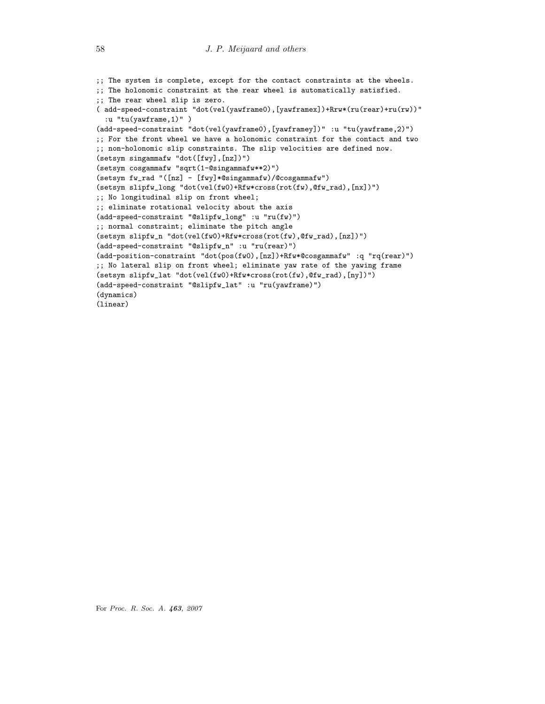```
;; The system is complete, except for the contact constraints at the wheels.
;; The holonomic constraint at the rear wheel is automatically satisfied.
;; The rear wheel slip is zero.
( add-speed-constraint "dot(vel(yawframe0),[yawframex])+Rrw*(ru(rear)+ru(rw))"
 :u "tu(yawframe,1)" )
(add-speed-constraint "dot(vel(yawframe0),[yawframey])" :u "tu(yawframe,2)")
;; For the front wheel we have a holonomic constraint for the contact and two
;; non-holonomic slip constraints. The slip velocities are defined now.
(setsym singammafw "dot([fwy],[nz])")
(setsym cosgammafw "sqrt(1-@singammafw**2)")
(setsym fw_rad "([nz] - [fwy]*@singammafw)/@cosgammafw")
(setsym slipfw_long "dot(vel(fw0)+Rfw*cross(rot(fw),@fw_rad),[nx])")
;; No longitudinal slip on front wheel;
;; eliminate rotational velocity about the axis
(add-speed-constraint "@slipfw_long" :u "ru(fw)")
;; normal constraint; eliminate the pitch angle
(setsym slipfw_n "dot(vel(fw0)+Rfw*cross(rot(fw),@fw_rad),[nz])")
(add-speed-constraint "@slipfw_n" :u "ru(rear)")
(add-position-constraint "dot(pos(fw0),[nz])+Rfw*@cosgammafw" :q "rq(rear)")
;; No lateral slip on front wheel; eliminate yaw rate of the yawing frame
(setsym slipfw_lat "dot(vel(fw0)+Rfw*cross(rot(fw),@fw_rad),[ny])")
(add-speed-constraint "@slipfw_lat" :u "ru(yawframe)")
(dynamics)
(linear)
```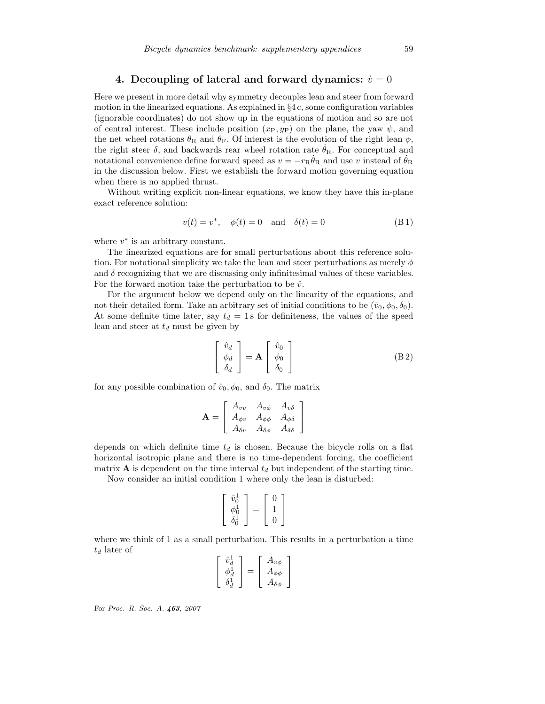# 4. Decoupling of lateral and forward dynamics:  $\dot{v}=0$

Here we present in more detail why symmetry decouples lean and steer from forward motion in the linearized equations. As explained in  $\S 4 c$ , some configuration variables (ignorable coordinates) do not show up in the equations of motion and so are not of central interest. These include position  $(x_P, y_P)$  on the plane, the yaw  $\psi$ , and the net wheel rotations  $\theta_R$  and  $\theta_F$ . Of interest is the evolution of the right lean  $\phi$ , the right steer  $\delta$ , and backwards rear wheel rotation rate  $\theta_R$ . For conceptual and notational convenience define forward speed as  $v = -r_R \dot{\theta}_R$  and use v instead of  $\dot{\theta}_R$ in the discussion below. First we establish the forward motion governing equation when there is no applied thrust.

Without writing explicit non-linear equations, we know they have this in-plane exact reference solution:

$$
v(t) = v^*, \quad \phi(t) = 0 \quad \text{and} \quad \delta(t) = 0 \tag{B1}
$$

where  $v^*$  is an arbitrary constant.

The linearized equations are for small perturbations about this reference solution. For notational simplicity we take the lean and steer perturbations as merely  $\phi$ and  $\delta$  recognizing that we are discussing only infinitesimal values of these variables. For the forward motion take the perturbation to be  $\hat{v}$ .

For the argument below we depend only on the linearity of the equations, and not their detailed form. Take an arbitrary set of initial conditions to be  $(\hat{v}_0, \phi_0, \delta_0)$ . At some definite time later, say  $t_d = 1$  s for definiteness, the values of the speed lean and steer at  $t_d$  must be given by

$$
\begin{bmatrix}\n\hat{v}_d \\
\phi_d \\
\delta_d\n\end{bmatrix} = \mathbf{A} \begin{bmatrix}\n\hat{v}_0 \\
\phi_0 \\
\delta_0\n\end{bmatrix}
$$
\n(B2)

for any possible combination of  $\hat{v}_0, \phi_0$ , and  $\delta_0$ . The matrix

$$
\mathbf{A} = \left[ \begin{array}{ccc} A_{vv} & A_{v\phi} & A_{v\delta} \\ A_{\phi v} & A_{\phi\phi} & A_{\phi\delta} \\ A_{\delta v} & A_{\delta\phi} & A_{\delta\delta} \end{array} \right]
$$

depends on which definite time  $t_d$  is chosen. Because the bicycle rolls on a flat horizontal isotropic plane and there is no time-dependent forcing, the coefficient matrix  $\bf{A}$  is dependent on the time interval  $t_d$  but independent of the starting time.

Now consider an initial condition 1 where only the lean is disturbed:

$$
\left[\begin{array}{c} \hat{v}_0^1 \\ \phi_0^1 \\ \delta_0^1 \end{array}\right] = \left[\begin{array}{c} 0 \\ 1 \\ 0 \end{array}\right]
$$

where we think of 1 as a small perturbation. This results in a perturbation a time  $t_d$  later of

$$
\begin{bmatrix}\n\hat{v}_d^1 \\
\phi_d^1 \\
\delta_d^1\n\end{bmatrix} = \begin{bmatrix}\nA_{v\phi} \\
A_{\phi\phi} \\
A_{\delta\phi}\n\end{bmatrix}
$$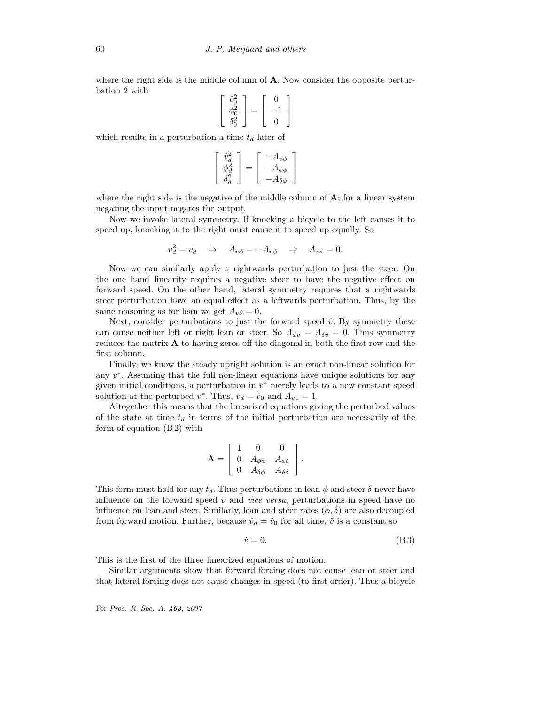where the right side is the middle column of  $A$ . Now consider the opposite perturbation 2 with

$$
\begin{bmatrix}\n\hat{v}_0^2 \\
\phi_0^2 \\
\delta_0^2\n\end{bmatrix} = \begin{bmatrix}\n0 \\
-1 \\
0\n\end{bmatrix}
$$

which results in a perturbation a time  $t_d$  later of

$$
\begin{bmatrix}\n\hat{v}_d^2 \\
\phi_d^2 \\
\delta_d^2\n\end{bmatrix} = \begin{bmatrix}\n-A_{v\phi} \\
-A_{\phi\phi} \\
-A_{\delta\phi}\n\end{bmatrix}
$$

where the right side is the negative of the middle column of  $\bf{A}$ ; for a linear system negating the input negates the output.

Now we invoke lateral symmetry. If knocking a bicycle to the left causes it to speed up, knocking it to the right must cause it to speed up equally. So

$$
v_d^2 = v_d^1 \quad \Rightarrow \quad A_{v\phi} = -A_{v\phi} \quad \Rightarrow \quad A_{v\phi} = 0.
$$

Now we can similarly apply a rightwards perturbation to just the steer. On the one hand linearity requires a negative steer to have the negative effect on forward speed. On the other hand, lateral symmetry requires that a rightwards steer perturbation have an equal effect as a leftwards perturbation. Thus, by the same reasoning as for lean we get  $A_{\nu\delta} = 0$ .

Next, consider perturbations to just the forward speed  $\hat{v}$ . By symmetry these can cause neither left or right lean or steer. So  $A_{\phi v} = A_{\delta v} = 0$ . Thus symmetry reduces the matrix A to having zeros off the diagonal in both the first row and the first column.

Finally, we know the steady upright solution is an exact non-linear solution for any  $v^*$ . Assuming that the full non-linear equations have unique solutions for any given initial conditions, a perturbation in  $v^*$  merely leads to a new constant speed solution at the perturbed  $v^*$ . Thus,  $\hat{v}_d = \hat{v}_0$  and  $A_{vv} = 1$ .

Altogether this means that the linearized equations giving the perturbed values of the state at time  $t_d$  in terms of the initial perturbation are necessarily of the form of equation (B 2) with

$$
\mathbf{A} = \left[ \begin{array}{ccc} 1 & 0 & 0 \\ 0 & A_{\phi\phi} & A_{\phi\delta} \\ 0 & A_{\delta\phi} & A_{\delta\delta} \end{array} \right].
$$

This form must hold for any  $t_d$ . Thus perturbations in lean  $\phi$  and steer  $\delta$  never have influence on the forward speed  $v$  and *vice versa*, perturbations in speed have no influence on lean and steer. Similarly, lean and steer rates  $(\phi, \delta)$  are also decoupled from forward motion. Further, because  $\hat{v}_d = \hat{v}_0$  for all time,  $\hat{v}$  is a constant so

$$
\dot{v} = 0.\t\t(B3)
$$

This is the first of the three linearized equations of motion.

Similar arguments show that forward forcing does not cause lean or steer and that lateral forcing does not cause changes in speed (to first order). Thus a bicycle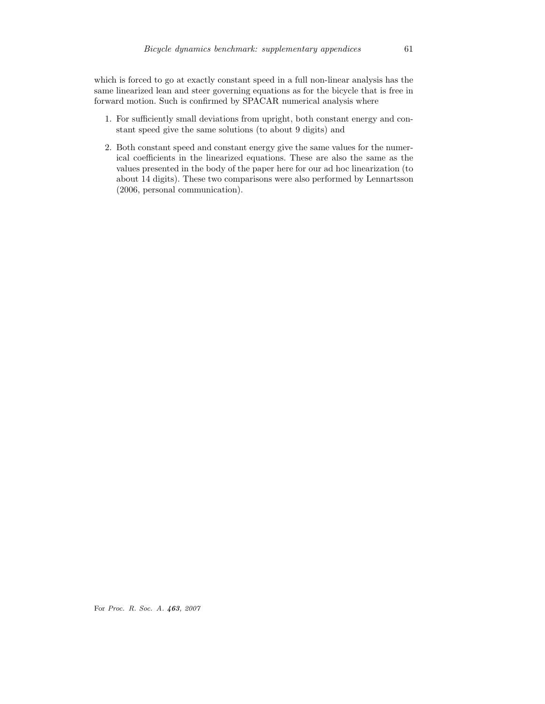which is forced to go at exactly constant speed in a full non-linear analysis has the same linearized lean and steer governing equations as for the bicycle that is free in forward motion. Such is confirmed by SPACAR numerical analysis where

- 1. For sufficiently small deviations from upright, both constant energy and constant speed give the same solutions (to about 9 digits) and
- 2. Both constant speed and constant energy give the same values for the numerical coefficients in the linearized equations. These are also the same as the values presented in the body of the paper here for our ad hoc linearization (to about 14 digits). These two comparisons were also performed by Lennartsson (2006, personal communication).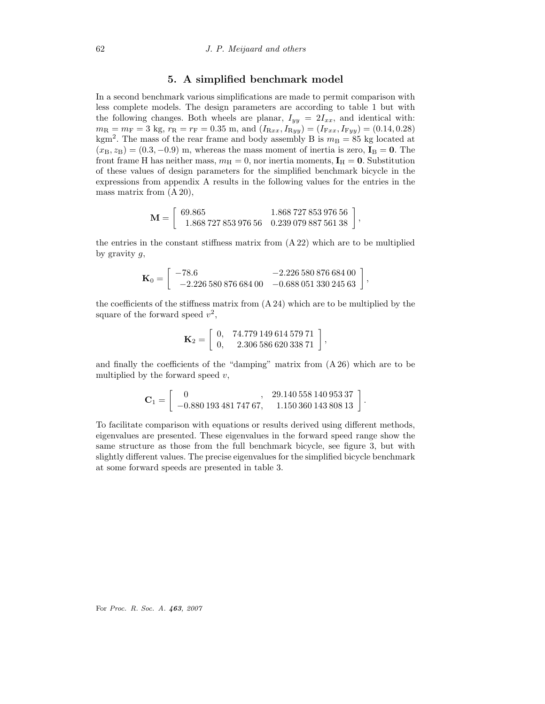## 5. A simplified benchmark model

In a second benchmark various simplifications are made to permit comparison with less complete models. The design parameters are according to table 1 but with the following changes. Both wheels are planar,  $I_{yy} = 2I_{xx}$ , and identical with:  $m_{\rm R} = m_{\rm F} = 3$  kg,  $r_{\rm R} = r_{\rm F} = 0.35$  m, and  $(I_{\rm Rxx}, I_{\rm Ryy}) = (I_{\rm Fxx}, I_{\rm Fyy}) = (0.14, 0.28)$ kgm<sup>2</sup>. The mass of the rear frame and body assembly B is  $m<sub>B</sub> = 85$  kg located at  $(x_B, z_B) = (0.3, -0.9)$  m, whereas the mass moment of inertia is zero,  $I_B = 0$ . The front frame H has neither mass,  $m_H = 0$ , nor inertia moments,  $I_H = 0$ . Substitution of these values of design parameters for the simplified benchmark bicycle in the expressions from appendix A results in the following values for the entries in the mass matrix from (A 20),

$$
\mathbf{M} = \left[ \begin{array}{cc} 69.865 & 1.868\,727\,853\,976\,56 \\ 1.868\,727\,853\,976\,56 & 0.239\,079\,887\,561\,38 \end{array} \right]
$$

,

the entries in the constant stiffness matrix from (A 22) which are to be multiplied by gravity  $g$ ,

$$
\mathbf{K}_0 = \left[ \begin{array}{cc} -78.6 & -2.226\,580\,876\,684\,00 \\ -2.226\,580\,876\,684\,00 & -0.688\,051\,330\,245\,63 \end{array} \right],
$$

the coefficients of the stiffness matrix from (A 24) which are to be multiplied by the square of the forward speed  $v^2$ ,

$$
\mathbf{K}_2 = \left[ \begin{array}{cc} 0, & 74.779\,149\,614\,579\,71 \\ 0, & 2.306\,586\,620\,338\,71 \end{array} \right],
$$

and finally the coefficients of the "damping" matrix from (A 26) which are to be multiplied by the forward speed  $v$ ,

$$
\mathbf{C}_1 = \left[ \begin{array}{rr} 0 & , & 29.140\,558\,140\,953\,37 \\ -0.880\,193\,481\,747\,67, & 1.150\,360\,143\,808\,13 \end{array} \right].
$$

To facilitate comparison with equations or results derived using different methods, eigenvalues are presented. These eigenvalues in the forward speed range show the same structure as those from the full benchmark bicycle, see figure 3, but with slightly different values. The precise eigenvalues for the simplified bicycle benchmark at some forward speeds are presented in table 3.